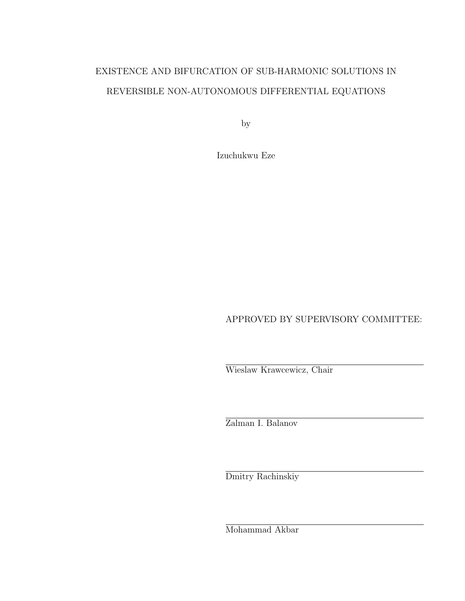# EXISTENCE AND BIFURCATION OF SUB-HARMONIC SOLUTIONS IN REVERSIBLE NON-AUTONOMOUS DIFFERENTIAL EQUATIONS

by

Izuchukwu Eze

APPROVED BY SUPERVISORY COMMITTEE:

Wieslaw Krawcewicz, Chair

Zalman I. Balanov

Dmitry Rachinskiy

Mohammad Akbar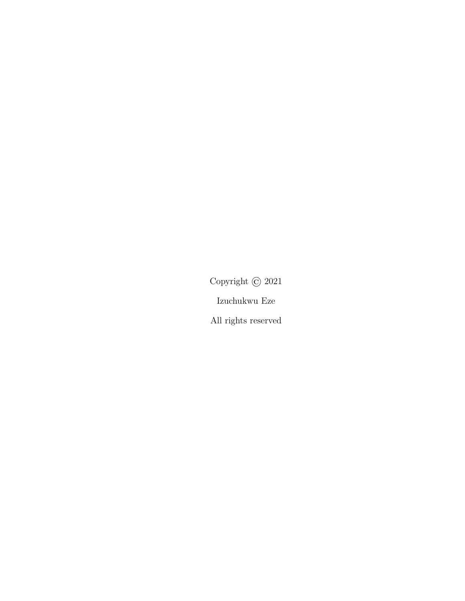Copyright © 2021 Izuchukwu Eze

All rights reserved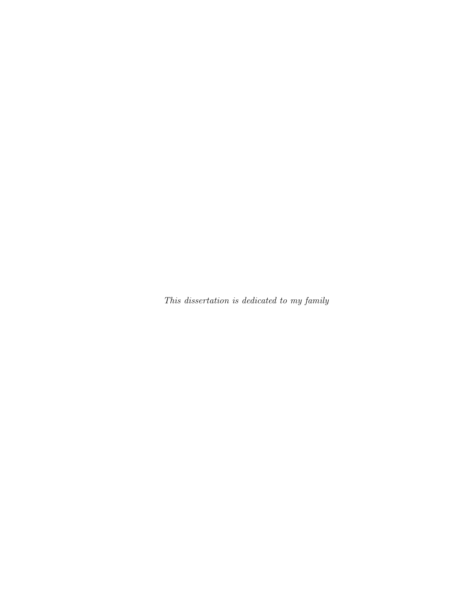This dissertation is dedicated to my family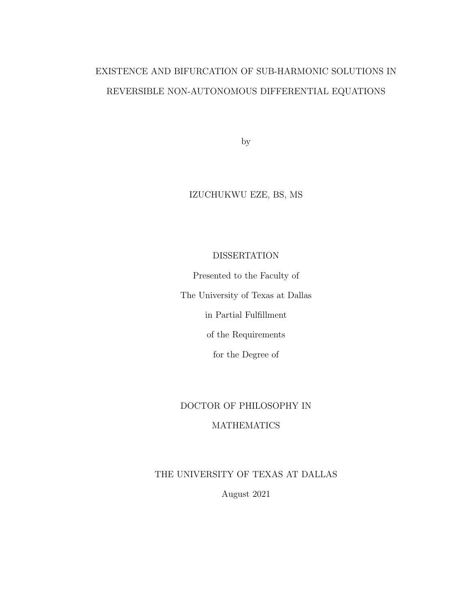# EXISTENCE AND BIFURCATION OF SUB-HARMONIC SOLUTIONS IN REVERSIBLE NON-AUTONOMOUS DIFFERENTIAL EQUATIONS

by

# IZUCHUKWU EZE, BS, MS

# DISSERTATION

Presented to the Faculty of The University of Texas at Dallas in Partial Fulfillment of the Requirements

for the Degree of

# DOCTOR OF PHILOSOPHY IN MATHEMATICS

# THE UNIVERSITY OF TEXAS AT DALLAS

August 2021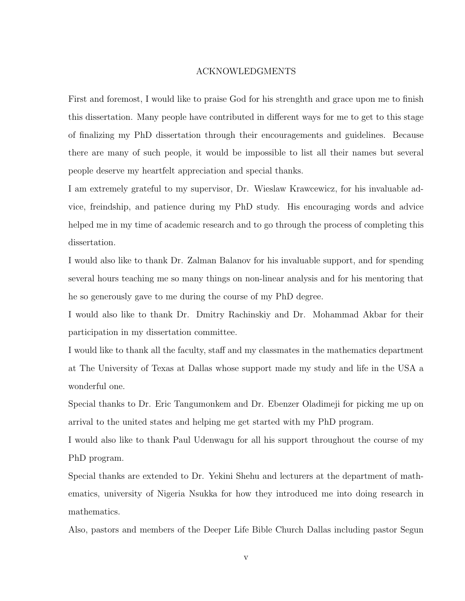### ACKNOWLEDGMENTS

<span id="page-4-0"></span>First and foremost, I would like to praise God for his strenghth and grace upon me to finish this dissertation. Many people have contributed in different ways for me to get to this stage of finalizing my PhD dissertation through their encouragements and guidelines. Because there are many of such people, it would be impossible to list all their names but several people deserve my heartfelt appreciation and special thanks.

I am extremely grateful to my supervisor, Dr. Wieslaw Krawcewicz, for his invaluable advice, freindship, and patience during my PhD study. His encouraging words and advice helped me in my time of academic research and to go through the process of completing this dissertation.

I would also like to thank Dr. Zalman Balanov for his invaluable support, and for spending several hours teaching me so many things on non-linear analysis and for his mentoring that he so generously gave to me during the course of my PhD degree.

I would also like to thank Dr. Dmitry Rachinskiy and Dr. Mohammad Akbar for their participation in my dissertation committee.

I would like to thank all the faculty, staff and my classmates in the mathematics department at The University of Texas at Dallas whose support made my study and life in the USA a wonderful one.

Special thanks to Dr. Eric Tangumonkem and Dr. Ebenzer Oladimeji for picking me up on arrival to the united states and helping me get started with my PhD program.

I would also like to thank Paul Udenwagu for all his support throughout the course of my PhD program.

Special thanks are extended to Dr. Yekini Shehu and lecturers at the department of mathematics, university of Nigeria Nsukka for how they introduced me into doing research in mathematics.

Also, pastors and members of the Deeper Life Bible Church Dallas including pastor Segun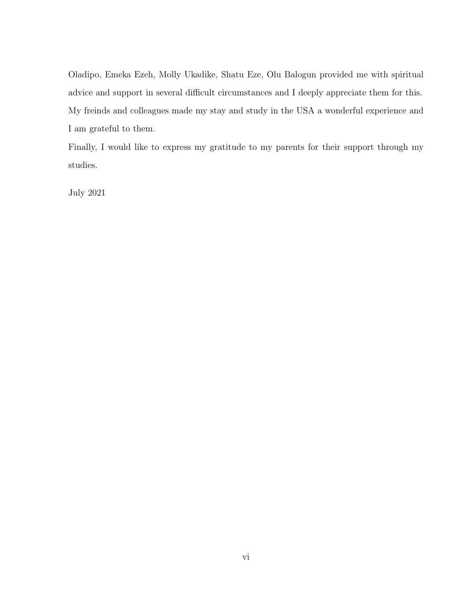Oladipo, Emeka Ezeh, Molly Ukadike, Shatu Eze, Olu Balogun provided me with spiritual advice and support in several difficult circumstances and I deeply appreciate them for this. My freinds and colleagues made my stay and study in the USA a wonderful experience and I am grateful to them.

Finally, I would like to express my gratitude to my parents for their support through my studies.

July 2021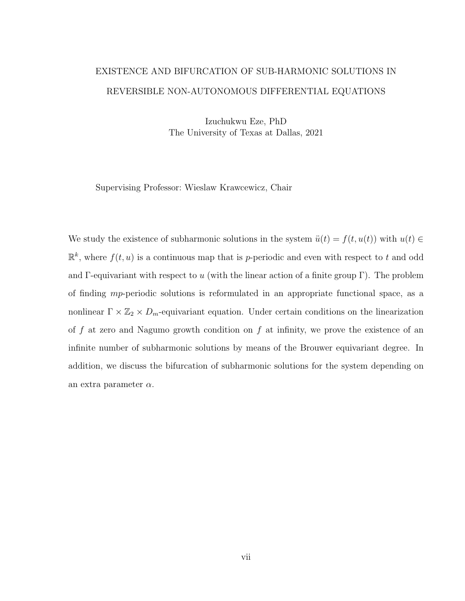# <span id="page-6-0"></span>EXISTENCE AND BIFURCATION OF SUB-HARMONIC SOLUTIONS IN REVERSIBLE NON-AUTONOMOUS DIFFERENTIAL EQUATIONS

Izuchukwu Eze, PhD The University of Texas at Dallas, 2021

Supervising Professor: Wieslaw Krawcewicz, Chair

We study the existence of subharmonic solutions in the system  $\ddot{u}(t) = f(t, u(t))$  with  $u(t) \in$  $\mathbb{R}^k$ , where  $f(t, u)$  is a continuous map that is p-periodic and even with respect to t and odd and Γ-equivariant with respect to u (with the linear action of a finite group Γ). The problem of finding mp-periodic solutions is reformulated in an appropriate functional space, as a nonlinear  $\Gamma \times \mathbb{Z}_2 \times D_m$ -equivariant equation. Under certain conditions on the linearization of f at zero and Nagumo growth condition on f at infinity, we prove the existence of an infinite number of subharmonic solutions by means of the Brouwer equivariant degree. In addition, we discuss the bifurcation of subharmonic solutions for the system depending on an extra parameter  $\alpha$ .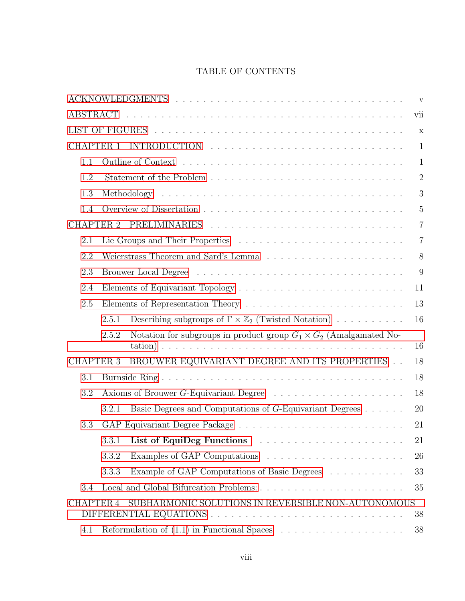# TABLE OF CONTENTS

|                  |                                                                                    |  |  | $\mathbf{V}$   |
|------------------|------------------------------------------------------------------------------------|--|--|----------------|
| ABSTRACT         |                                                                                    |  |  | vii            |
|                  |                                                                                    |  |  | $\mathbf X$    |
| <b>CHAPTER 1</b> |                                                                                    |  |  | $\mathbf{1}$   |
| 1.1              |                                                                                    |  |  | $\mathbf{1}$   |
| 1.2              |                                                                                    |  |  | $\overline{2}$ |
| 1.3              |                                                                                    |  |  | 3              |
| 1.4              |                                                                                    |  |  | $\overline{5}$ |
|                  |                                                                                    |  |  | $\overline{7}$ |
| 2.1              |                                                                                    |  |  | $\overline{7}$ |
| 2.2              |                                                                                    |  |  | 8              |
| 2.3              |                                                                                    |  |  | 9              |
| 2.4              |                                                                                    |  |  | 11             |
| 2.5              |                                                                                    |  |  | 13             |
|                  | Describing subgroups of $\Gamma \times \mathbb{Z}_2$ (Twisted Notation)<br>2.5.1   |  |  | 16             |
|                  | Notation for subgroups in product group $G_1 \times G_2$ (Amalgamated No-<br>2.5.2 |  |  | 16             |
| <b>CHAPTER 3</b> | BROUWER EQUIVARIANT DEGREE AND ITS PROPERTIES                                      |  |  | 18             |
| 3.1              |                                                                                    |  |  | 18             |
| 3.2              |                                                                                    |  |  | 18             |
|                  | Basic Degrees and Computations of G-Equivariant Degrees<br>3.2.1                   |  |  | 20             |
| 3.3              |                                                                                    |  |  | 21             |
|                  | 3.3.1                                                                              |  |  | 21             |
|                  | 3.3.2                                                                              |  |  | 26             |
|                  | Example of GAP Computations of Basic Degrees<br>3.3.3                              |  |  | 33             |
| 3.4              |                                                                                    |  |  | 35             |
| <b>CHAPTER 4</b> | SUBHARMONIC SOLUTIONS IN REVERSIBLE NON-AUTONOMOUS                                 |  |  | 38             |
| 4.1              |                                                                                    |  |  | 38             |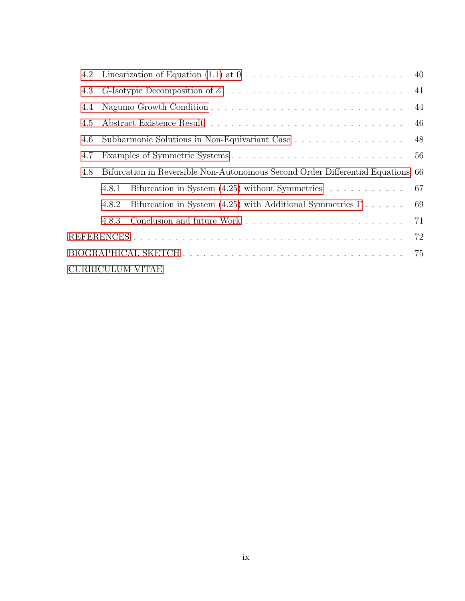|     | 4.2 Linearization of Equation $(1.1)$ at $0 \ldots \ldots \ldots \ldots \ldots \ldots \ldots \ldots$ | 40  |
|-----|------------------------------------------------------------------------------------------------------|-----|
| 4.3 |                                                                                                      | 41  |
| 4.4 |                                                                                                      | 44  |
| 4.5 |                                                                                                      | 46  |
| 4.6 | Subharmonic Solutions in Non-Equivariant Case                                                        | 48  |
| 4.7 |                                                                                                      | 56  |
| 4.8 | Bifurcation in Reversible Non-Autonomous Second Order Differential Equations 66                      |     |
|     | Bifurcation in System $(4.25)$ without Symmetries<br>4.8.1                                           | -67 |
|     | Bifurcation in System (4.25) with Additional Symmetries $\Gamma \ldots \ldots$<br>4.8.2              | 69  |
|     | 4.8.3                                                                                                | 71  |
|     |                                                                                                      | 72  |
|     |                                                                                                      | 75  |
|     | CURRICULUM VITAE                                                                                     |     |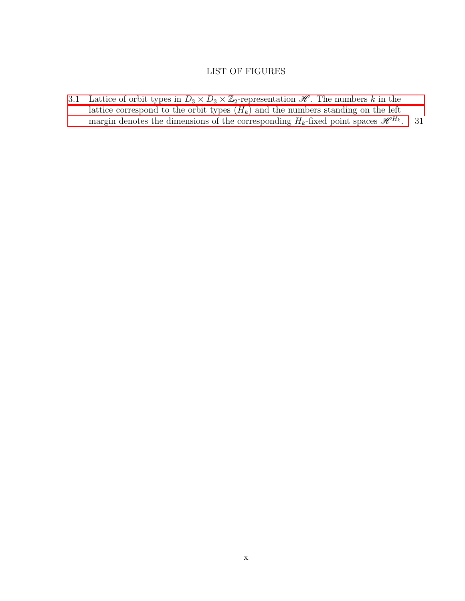# LIST OF FIGURES

<span id="page-9-0"></span>[3.1 Lattice of orbit types in](#page-40-0)  $D_3 \times D_3 \times \mathbb{Z}_2$ -representation  $\mathcal{H}$ . The numbers k in the lattice correspond to the orbit types  $(H_k)$  and the numbers standing on the left [margin denotes the dimensions of the corresponding](#page-40-0)  $H_k$ -fixed point spaces  $\mathscr{H}^{H_k}$ . 31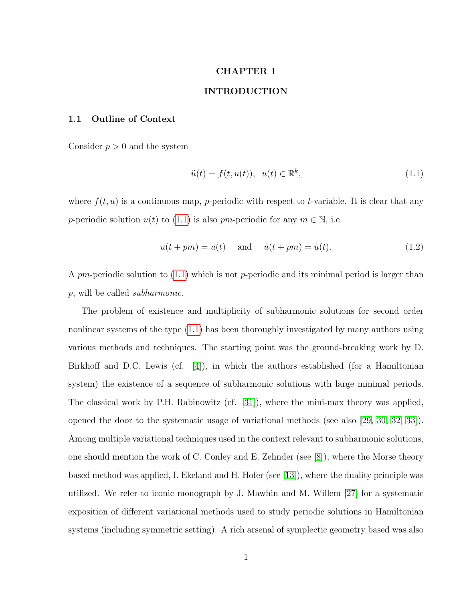## CHAPTER 1

## INTRODUCTION

## <span id="page-10-1"></span><span id="page-10-0"></span>1.1 Outline of Context

Consider  $p > 0$  and the system

<span id="page-10-2"></span>
$$
\ddot{u}(t) = f(t, u(t)), \quad u(t) \in \mathbb{R}^k,
$$
\n
$$
(1.1)
$$

where  $f(t, u)$  is a continuous map, p-periodic with respect to t-variable. It is clear that any p-periodic solution  $u(t)$  to [\(1.1\)](#page-10-2) is also pm-periodic for any  $m \in \mathbb{N}$ , i.e.

<span id="page-10-3"></span>
$$
u(t+pm) = u(t) \quad \text{and} \quad \dot{u}(t+pm) = \dot{u}(t). \tag{1.2}
$$

A pm-periodic solution to  $(1.1)$  which is not p-periodic and its minimal period is larger than p, will be called subharmonic.

The problem of existence and multiplicity of subharmonic solutions for second order nonlinear systems of the type [\(1.1\)](#page-10-2) has been thoroughly investigated by many authors using various methods and techniques. The starting point was the ground-breaking work by D. Birkhoff and D.C. Lewis (cf. [\[4\]](#page-81-1)), in which the authors established (for a Hamiltonian system) the existence of a sequence of subharmonic solutions with large minimal periods. The classical work by P.H. Rabinowitz (cf. [\[31\]](#page-83-0)), where the mini-max theory was applied, opened the door to the systematic usage of variational methods (see also [\[29,](#page-82-0) [30,](#page-83-1) [32,](#page-83-2) [33\]](#page-83-3)). Among multiple variational techniques used in the context relevant to subharmonic solutions, one should mention the work of C. Conley and E. Zehnder (see [\[8\]](#page-81-2)), where the Morse theory based method was applied, I. Ekeland and H. Hofer (see [\[13\]](#page-81-3)), where the duality principle was utilized. We refer to iconic monograph by J. Mawhin and M. Willem [\[27\]](#page-82-1) for a systematic exposition of different variational methods used to study periodic solutions in Hamiltonian systems (including symmetric setting). A rich arsenal of symplectic geometry based was also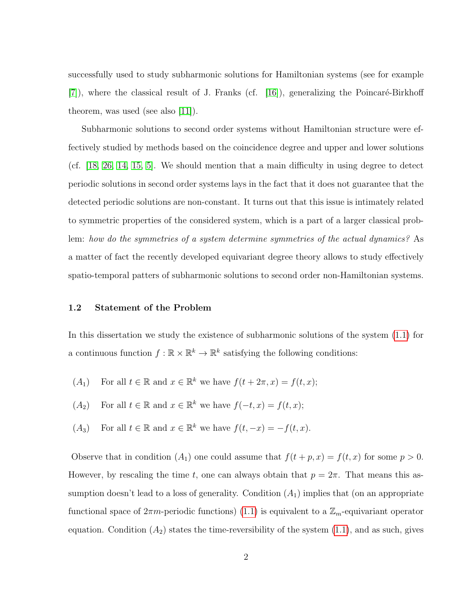successfully used to study subharmonic solutions for Hamiltonian systems (see for example  $[7]$ , where the classical result of J. Franks (cf.  $[16]$ ), generalizing the Poincaré-Birkhoff theorem, was used (see also [\[11\]](#page-81-5)).

Subharmonic solutions to second order systems without Hamiltonian structure were effectively studied by methods based on the coincidence degree and upper and lower solutions (cf. [\[18,](#page-82-3) [26,](#page-82-4) [14,](#page-81-6) [15,](#page-82-5) [5\]](#page-81-7). We should mention that a main difficulty in using degree to detect periodic solutions in second order systems lays in the fact that it does not guarantee that the detected periodic solutions are non-constant. It turns out that this issue is intimately related to symmetric properties of the considered system, which is a part of a larger classical problem: how do the symmetries of a system determine symmetries of the actual dynamics? As a matter of fact the recently developed equivariant degree theory allows to study effectively spatio-temporal patters of subharmonic solutions to second order non-Hamiltonian systems.

#### <span id="page-11-0"></span>1.2 Statement of the Problem

In this dissertation we study the existence of subharmonic solutions of the system [\(1.1\)](#page-10-2) for a continuous function  $f : \mathbb{R} \times \mathbb{R}^k \to \mathbb{R}^k$  satisfying the following conditions:

- (A<sub>1</sub>) For all  $t \in \mathbb{R}$  and  $x \in \mathbb{R}^k$  we have  $f(t + 2\pi, x) = f(t, x);$
- $(A_2)$  For all  $t \in \mathbb{R}$  and  $x \in \mathbb{R}^k$  we have  $f(-t, x) = f(t, x);$
- (A<sub>3</sub>) For all  $t \in \mathbb{R}$  and  $x \in \mathbb{R}^k$  we have  $f(t, -x) = -f(t, x)$ .

Observe that in condition  $(A_1)$  one could assume that  $f(t + p, x) = f(t, x)$  for some  $p > 0$ . However, by rescaling the time t, one can always obtain that  $p = 2\pi$ . That means this assumption doesn't lead to a loss of generality. Condition  $(A_1)$  implies that (on an appropriate functional space of  $2\pi m$ -periodic functions) [\(1.1\)](#page-10-2) is equivalent to a  $\mathbb{Z}_m$ -equivariant operator equation. Condition  $(A_2)$  states the time-reversibility of the system  $(1.1)$ , and as such, gives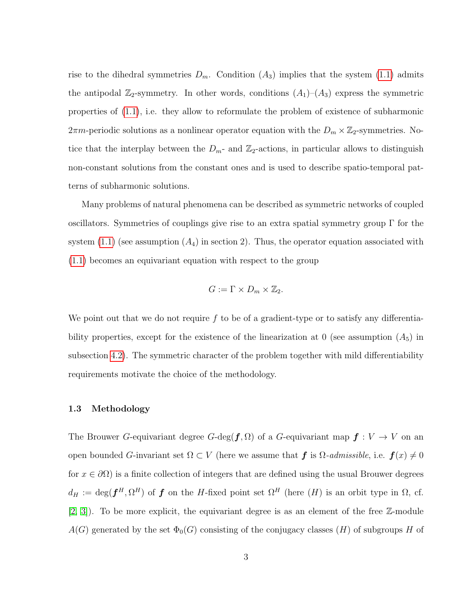rise to the dihedral symmetries  $D_m$ . Condition  $(A_3)$  implies that the system [\(1.1\)](#page-10-2) admits the antipodal  $\mathbb{Z}_2$ -symmetry. In other words, conditions  $(A_1)$ – $(A_3)$  express the symmetric properties of [\(1.1\)](#page-10-2), i.e. they allow to reformulate the problem of existence of subharmonic  $2\pi m$ -periodic solutions as a nonlinear operator equation with the  $D_m \times \mathbb{Z}_2$ -symmetries. Notice that the interplay between the  $D_{m}$ - and  $\mathbb{Z}_2$ -actions, in particular allows to distinguish non-constant solutions from the constant ones and is used to describe spatio-temporal patterns of subharmonic solutions.

Many problems of natural phenomena can be described as symmetric networks of coupled oscillators. Symmetries of couplings give rise to an extra spatial symmetry group Γ for the system  $(1.1)$  (see assumption  $(A_4)$  in section 2). Thus, the operator equation associated with [\(1.1\)](#page-10-2) becomes an equivariant equation with respect to the group

$$
G:=\Gamma\times D_m\times\mathbb{Z}_2.
$$

We point out that we do not require  $f$  to be of a gradient-type or to satisfy any differentiability properties, except for the existence of the linearization at  $0$  (see assumption  $(A_5)$ ) in subsection [4.2\)](#page-49-0). The symmetric character of the problem together with mild differentiability requirements motivate the choice of the methodology.

#### <span id="page-12-0"></span>1.3 Methodology

The Brouwer G-equivariant degree G-deg( $f, \Omega$ ) of a G-equivariant map  $f: V \to V$  on an open bounded G-invariant set  $\Omega \subset V$  (here we assume that f is  $\Omega$ -admissible, i.e.  $f(x) \neq 0$ for  $x \in \partial\Omega$ ) is a finite collection of integers that are defined using the usual Brouwer degrees  $d_H := \deg(\boldsymbol{f}^H, \Omega^H)$  of  $\boldsymbol{f}$  on the H-fixed point set  $\Omega^H$  (here  $(H)$  is an orbit type in  $\Omega$ , cf.  $[2, 3]$  $[2, 3]$ . To be more explicit, the equivariant degree is as an element of the free  $\mathbb{Z}$ -module  $A(G)$  generated by the set  $\Phi_0(G)$  consisting of the conjugacy classes  $(H)$  of subgroups H of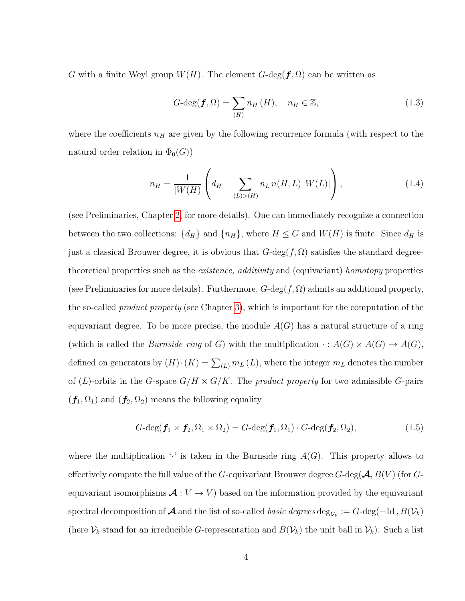G with a finite Weyl group  $W(H)$ . The element  $G$ -deg( $f, \Omega$ ) can be written as

$$
G\text{-deg}(\boldsymbol{f},\Omega) = \sum_{(H)} n_H(H), \quad n_H \in \mathbb{Z}, \tag{1.3}
$$

where the coefficients  $n_H$  are given by the following recurrence formula (with respect to the natural order relation in  $\Phi_0(G)$ 

$$
n_H = \frac{1}{|W(H)} \left( d_H - \sum_{(L) > (H)} n_L \, n(H, L) \, |W(L)| \right),\tag{1.4}
$$

(see Preliminaries, Chapter [2,](#page-16-0) for more details). One can immediately recognize a connection between the two collections:  $\{d_H\}$  and  $\{n_H\}$ , where  $H \leq G$  and  $W(H)$  is finite. Since  $d_H$  is just a classical Brouwer degree, it is obvious that  $G\text{-deg}(f, \Omega)$  satisfies the standard degreetheoretical properties such as the *existence*, *additivity* and (equivariant) homotopy properties (see Preliminaries for more details). Furthermore,  $G$ -deg $(f, \Omega)$  admits an additional property, the so-called *product property* (see Chapter [3\)](#page-27-0), which is important for the computation of the equivariant degree. To be more precise, the module  $A(G)$  has a natural structure of a ring (which is called the *Burnside ring* of G) with the multiplication  $\cdot : A(G) \times A(G) \rightarrow A(G)$ , defined on generators by  $(H) \cdot (K) = \sum_{(L)} m_L (L)$ , where the integer  $m_L$  denotes the number of (L)-orbits in the G-space  $G/H \times G/K$ . The product property for two admissible G-pairs  $(f_1, \Omega_1)$  and  $(f_2, \Omega_2)$  means the following equality

$$
G-\deg(\boldsymbol{f}_1\times\boldsymbol{f}_2,\Omega_1\times\Omega_2)=G-\deg(\boldsymbol{f}_1,\Omega_1)\cdot G-\deg(\boldsymbol{f}_2,\Omega_2),\tag{1.5}
$$

where the multiplication  $\cdot$  is taken in the Burnside ring  $A(G)$ . This property allows to effectively compute the full value of the G-equivariant Brouwer degree G-deg( $\mathcal{A}, B(V)$  (for Gequivariant isomorphisms  $\mathcal{A}: V \to V$  based on the information provided by the equivariant spectral decomposition of  $\bm{\mathcal{A}}$  and the list of so-called *basic degrees* deg $_{\mathcal{V}_k}:=G\text{-}\mathrm{deg}(\text{--Id}\,,B(\mathcal{V}_k))$ (here  $\mathcal{V}_k$  stand for an irreducible G-representation and  $B(\mathcal{V}_k)$  the unit ball in  $\mathcal{V}_k$ ). Such a list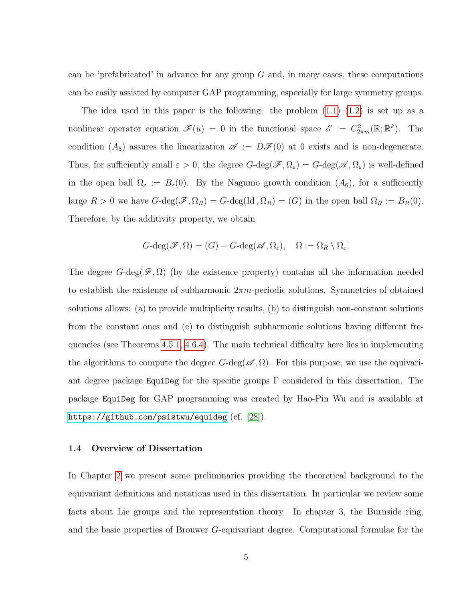can be 'prefabricated' in advance for any group  $G$  and, in many cases, these computations can be easily assisted by computer GAP programming, especially for large symmetry groups.

The idea used in this paper is the following: the problem  $(1.1)$ – $(1.2)$  is set up as a nonlinear operator equation  $\mathscr{F}(u) = 0$  in the functional space  $\mathscr{E} := C^2_{2\pi m}(\mathbb{R}; \mathbb{R}^k)$ . The condition  $(A_5)$  assures the linearization  $\mathscr{A} := D\mathscr{F}(0)$  at 0 exists and is non-degenerate. Thus, for sufficiently small  $\varepsilon > 0$ , the degree  $G$ -deg $(\mathscr{F}, \Omega_{\varepsilon}) = G$ -deg $(\mathscr{A}, \Omega_{\varepsilon})$  is well-defined in the open ball  $\Omega_{\varepsilon} := B_{\varepsilon}(0)$ . By the Nagumo growth condition  $(A_6)$ , for a sufficiently large  $R > 0$  we have  $G$ -deg $(\mathscr{F}, \Omega_R) = G$ -deg $(\mathrm{Id}, \Omega_R) = (G)$  in the open ball  $\Omega_R := B_R(0)$ . Therefore, by the additivity property, we obtain

$$
G\text{-}\mathrm{deg}(\mathscr{F},\Omega)=(G)-G\text{-}\mathrm{deg}(\mathscr{A},\Omega_{\varepsilon}),\quad \Omega:=\Omega_R\setminus\overline{\Omega_{\varepsilon}}.
$$

The degree  $G$ -deg $(\mathscr{F}, \Omega)$  (by the existence property) contains all the information needed to establish the existence of subharmonic  $2\pi m$ -periodic solutions. Symmetries of obtained solutions allows: (a) to provide multiplicity results, (b) to distinguish non-constant solutions from the constant ones and (c) to distinguish subharmonic solutions having different frequencies (see Theorems [4.5.1,](#page-56-0) [4.6.4\)](#page-61-0). The main technical difficulty here lies in implementing the algorithms to compute the degree  $G$ -deg( $\mathscr{A}, \Omega$ ). For this purpose, we use the equivariant degree package EquiDeg for the specific groups  $\Gamma$  considered in this dissertation. The package EquiDeg for GAP programming was created by Hao-Pin Wu and is available at <https://github.com/psistwu/equideg> (cf. [\[28\]](#page-82-6)).

#### <span id="page-14-0"></span>1.4 Overview of Dissertation

In Chapter [2](#page-16-0) we present some preliminaries providing the theoretical background to the equivariant definitions and notations used in this dissertation. In particular we review some facts about Lie groups and the representation theory. In chapter 3, the Burnside ring, and the basic properties of Brouwer G-equivariant degree. Computational formulae for the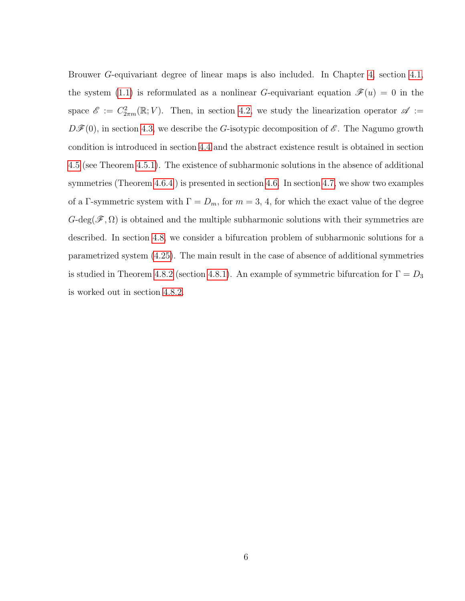Brouwer G-equivariant degree of linear maps is also included. In Chapter [4,](#page-47-0) section [4.1,](#page-47-1) the system [\(1.1\)](#page-10-2) is reformulated as a nonlinear G-equivariant equation  $\mathscr{F}(u) = 0$  in the space  $\mathscr{E} := C^2_{2\pi m}(\mathbb{R}; V)$ . Then, in section [4.2,](#page-49-0) we study the linearization operator  $\mathscr{A} :=$  $D\mathscr{F}(0)$ , in section [4.3,](#page-50-0) we describe the G-isotypic decomposition of  $\mathscr{E}$ . The Nagumo growth condition is introduced in section [4.4](#page-53-0) and the abstract existence result is obtained in section [4.5](#page-55-0) (see Theorem [4.5.1\)](#page-56-0). The existence of subharmonic solutions in the absence of additional symmetries (Theorem [4.6.4](#page-61-0) ) is presented in section [4.6.](#page-57-0) In section [4.7,](#page-65-0) we show two examples of a Γ-symmetric system with  $\Gamma = D_m$ , for  $m = 3, 4$ , for which the exact value of the degree  $G-\text{deg}(\mathscr{F},\Omega)$  is obtained and the multiple subharmonic solutions with their symmetries are described. In section [4.8,](#page-75-0) we consider a bifurcation problem of subharmonic solutions for a parametrized system [\(4.25\)](#page-75-1). The main result in the case of absence of additional symmetries is studied in Theorem [4.8.2](#page-77-0) (section [4.8.1\)](#page-76-0). An example of symmetric bifurcation for  $\Gamma = D_3$ is worked out in section [4.8.2.](#page-78-0)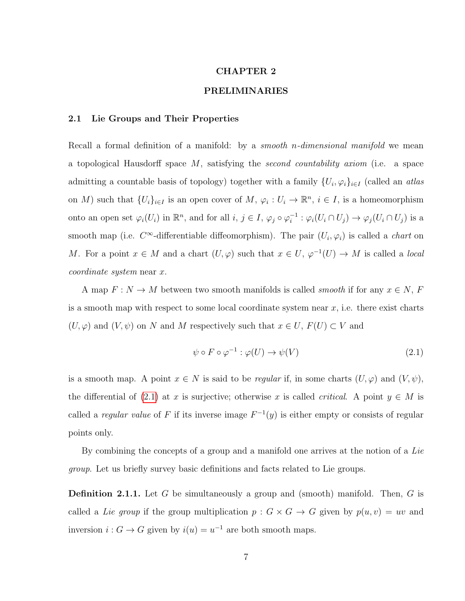#### CHAPTER 2

#### PRELIMINARIES

#### <span id="page-16-1"></span><span id="page-16-0"></span>2.1 Lie Groups and Their Properties

Recall a formal definition of a manifold: by a *smooth n-dimensional manifold* we mean a topological Hausdorff space  $M$ , satisfying the second countability axiom (i.e. a space admitting a countable basis of topology) together with a family  $\{U_i, \varphi_i\}_{i\in I}$  (called an *atlas* on M) such that  $\{U_i\}_{i\in I}$  is an open cover of  $M, \varphi_i: U_i \to \mathbb{R}^n, i \in I$ , is a homeomorphism onto an open set  $\varphi_i(U_i)$  in  $\mathbb{R}^n$ , and for all  $i, j \in I$ ,  $\varphi_j \circ \varphi_i^{-1}$  $i_i^{-1}$ :  $\varphi_i(U_i \cap U_j) \to \varphi_j(U_i \cap U_j)$  is a smooth map (i.e.  $C^{\infty}$ -differentiable diffeomorphism). The pair  $(U_i, \varphi_i)$  is called a *chart* on M. For a point  $x \in M$  and a chart  $(U, \varphi)$  such that  $x \in U$ ,  $\varphi^{-1}(U) \to M$  is called a *local* coordinate system near x.

A map  $F: N \to M$  between two smooth manifolds is called *smooth* if for any  $x \in N$ , F is a smooth map with respect to some local coordinate system near  $x$ , i.e. there exist charts  $(U, \varphi)$  and  $(V, \psi)$  on N and M respectively such that  $x \in U$ ,  $F(U) \subset V$  and

<span id="page-16-2"></span>
$$
\psi \circ F \circ \varphi^{-1} : \varphi(U) \to \psi(V) \tag{2.1}
$$

is a smooth map. A point  $x \in N$  is said to be *regular* if, in some charts  $(U, \varphi)$  and  $(V, \psi)$ , the differential of [\(2.1\)](#page-16-2) at x is surjective; otherwise x is called *critical*. A point  $y \in M$  is called a regular value of F if its inverse image  $F^{-1}(y)$  is either empty or consists of regular points only.

By combining the concepts of a group and a manifold one arrives at the notion of a Lie group. Let us briefly survey basic definitions and facts related to Lie groups.

**Definition 2.1.1.** Let G be simultaneously a group and (smooth) manifold. Then, G is called a Lie group if the group multiplication  $p : G \times G \to G$  given by  $p(u, v) = uv$  and inversion  $i: G \to G$  given by  $i(u) = u^{-1}$  are both smooth maps.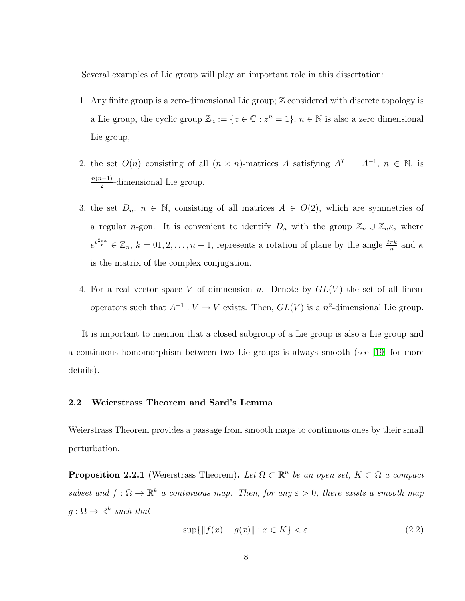Several examples of Lie group will play an important role in this dissertation:

- 1. Any finite group is a zero-dimensional Lie group;  $\mathbb Z$  considered with discrete topology is a Lie group, the cyclic group  $\mathbb{Z}_n := \{z \in \mathbb{C} : z^n = 1\}$ ,  $n \in \mathbb{N}$  is also a zero dimensional Lie group,
- 2. the set  $O(n)$  consisting of all  $(n \times n)$ -matrices A satisfying  $A^T = A^{-1}$ ,  $n \in \mathbb{N}$ , is  $n(n-1)$  $\frac{1}{2}$ -dimensional Lie group.
- 3. the set  $D_n$ ,  $n \in \mathbb{N}$ , consisting of all matrices  $A \in O(2)$ , which are symmetries of a regular n-gon. It is convenient to identify  $D_n$  with the group  $\mathbb{Z}_n \cup \mathbb{Z}_n \kappa$ , where  $e^{i\frac{2\pi k}{n}} \in \mathbb{Z}_n$ ,  $k = 0, 2, ..., n-1$ , represents a rotation of plane by the angle  $\frac{2\pi k}{n}$  and  $\kappa$ is the matrix of the complex conjugation.
- 4. For a real vector space V of dimnension n. Denote by  $GL(V)$  the set of all linear operators such that  $A^{-1}: V \to V$  exists. Then,  $GL(V)$  is a  $n^2$ -dimensional Lie group.

It is important to mention that a closed subgroup of a Lie group is also a Lie group and a continuous homomorphism between two Lie groups is always smooth (see [\[19\]](#page-82-7) for more details).

### <span id="page-17-0"></span>2.2 Weierstrass Theorem and Sard's Lemma

Weierstrass Theorem provides a passage from smooth maps to continuous ones by their small perturbation.

**Proposition 2.2.1** (Weierstrass Theorem). Let  $\Omega \subset \mathbb{R}^n$  be an open set,  $K \subset \Omega$  a compact subset and  $f: \Omega \to \mathbb{R}^k$  a continuous map. Then, for any  $\varepsilon > 0$ , there exists a smooth map  $g: \Omega \to \mathbb{R}^k$  such that

$$
\sup\{\|f(x) - g(x)\| : x \in K\} < \varepsilon. \tag{2.2}
$$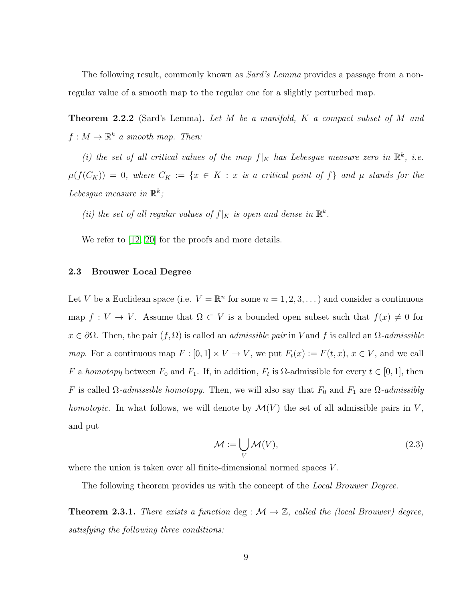The following result, commonly known as *Sard's Lemma* provides a passage from a nonregular value of a smooth map to the regular one for a slightly perturbed map.

**Theorem 2.2.2** (Sard's Lemma). Let M be a manifold, K a compact subset of M and  $f: M \to \mathbb{R}^k$  a smooth map. Then:

(i) the set of all critical values of the map  $f|_K$  has Lebesgue measure zero in  $\mathbb{R}^k$ , i.e.  $\mu(f(C_K)) = 0$ , where  $C_K := \{x \in K : x \text{ is a critical point of } f\}$  and  $\mu$  stands for the Lebesgue measure in  $\mathbb{R}^k$ ;

(ii) the set of all regular values of  $f|_K$  is open and dense in  $\mathbb{R}^k$ .

We refer to [\[12,](#page-81-10) [20\]](#page-82-8) for the proofs and more details.

#### <span id="page-18-0"></span>2.3 Brouwer Local Degree

Let V be a Euclidean space (i.e.  $V = \mathbb{R}^n$  for some  $n = 1, 2, 3, ...$ ) and consider a continuous map  $f: V \to V$ . Assume that  $\Omega \subset V$  is a bounded open subset such that  $f(x) \neq 0$  for  $x \in \partial\Omega$ . Then, the pair  $(f, \Omega)$  is called an *admissible pair* in V and f is called an  $\Omega$ -*admissible map*. For a continuous map  $F : [0, 1] \times V \to V$ , we put  $F_t(x) := F(t, x)$ ,  $x \in V$ , and we call F a homotopy between  $F_0$  and  $F_1$ . If, in addition,  $F_t$  is  $\Omega$ -admissible for every  $t \in [0,1]$ , then F is called  $\Omega$ -admissible homotopy. Then, we will also say that  $F_0$  and  $F_1$  are  $\Omega$ -admissibly homotopic. In what follows, we will denote by  $\mathcal{M}(V)$  the set of all admissible pairs in V, and put

$$
\mathcal{M} := \bigcup_{V} \mathcal{M}(V),\tag{2.3}
$$

where the union is taken over all finite-dimensional normed spaces V.

The following theorem provides us with the concept of the *Local Brouwer Degree*.

**Theorem 2.3.1.** There exists a function deg :  $\mathcal{M} \to \mathbb{Z}$ , called the (local Brouwer) degree, satisfying the following three conditions: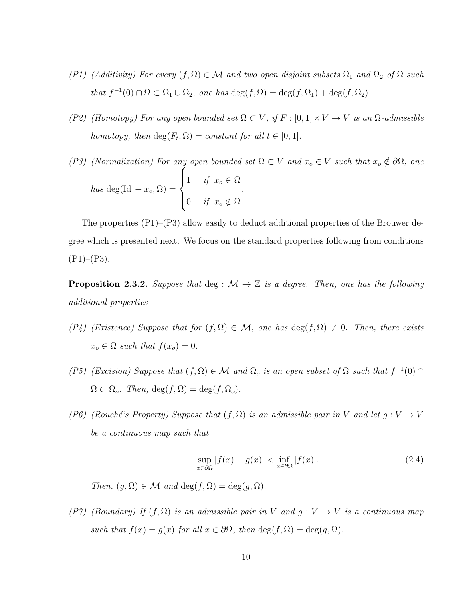- (P1) (Additivity) For every  $(f, \Omega) \in \mathcal{M}$  and two open disjoint subsets  $\Omega_1$  and  $\Omega_2$  of  $\Omega$  such that  $f^{-1}(0) \cap \Omega \subset \Omega_1 \cup \Omega_2$ , one has  $\deg(f, \Omega) = \deg(f, \Omega_1) + \deg(f, \Omega_2)$ .
- (P2) (Homotopy) For any open bounded set  $\Omega \subset V$ , if  $F : [0,1] \times V \to V$  is an  $\Omega$ -admissible homotopy, then  $\deg(F_t, \Omega) = constant$  for all  $t \in [0, 1]$ .
- (P3) (Normalization) For any open bounded set  $\Omega \subset V$  and  $x_o \in V$  such that  $x_o \notin \partial \Omega$ , one has deg(Id  $-x_o, \Omega$ ) =  $\sqrt{ }$  $\int$  $\overline{\mathcal{L}}$ 1 if  $x_o \in \Omega$ 0 if  $x_o \notin \Omega$ .

The properties (P1)–(P3) allow easily to deduct additional properties of the Brouwer degree which is presented next. We focus on the standard properties following from conditions  $(P1)–(P3)$ .

**Proposition 2.3.2.** Suppose that deg :  $M \to \mathbb{Z}$  is a degree. Then, one has the following additional properties

- $(P_4)$  (Existence) Suppose that for  $(f, \Omega) \in \mathcal{M}$ , one has  $\deg(f, \Omega) \neq 0$ . Then, there exists  $x_o \in \Omega$  such that  $f(x_o) = 0$ .
- (P5) (Excision) Suppose that  $(f, \Omega) \in \mathcal{M}$  and  $\Omega_o$  is an open subset of  $\Omega$  such that  $f^{-1}(0) \cap$  $\Omega \subset \Omega_o$ . Then,  $\deg(f, \Omega) = \deg(f, \Omega_o)$ .
- (P6) (Rouché's Property) Suppose that  $(f, \Omega)$  is an admissible pair in V and let  $g: V \to V$ be a continuous map such that

$$
\sup_{x \in \partial \Omega} |f(x) - g(x)| < \inf_{x \in \partial \Omega} |f(x)|. \tag{2.4}
$$

Then,  $(q, \Omega) \in \mathcal{M}$  and  $\deg(f, \Omega) = \deg(q, \Omega)$ .

(P7) (Boundary) If  $(f, \Omega)$  is an admissible pair in V and  $g: V \to V$  is a continuous map such that  $f(x) = g(x)$  for all  $x \in \partial\Omega$ , then  $\deg(f, \Omega) = \deg(g, \Omega)$ .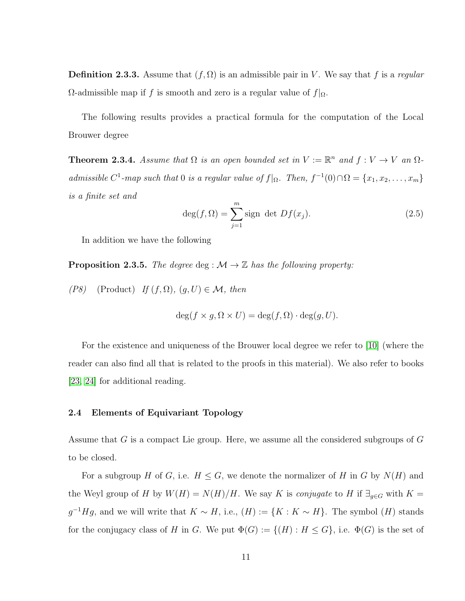**Definition 2.3.3.** Assume that  $(f, \Omega)$  is an admissible pair in V. We say that f is a regular  $\Omega$ -admissible map if f is smooth and zero is a regular value of  $f|_{\Omega}$ .

The following results provides a practical formula for the computation of the Local Brouwer degree

**Theorem 2.3.4.** Assume that  $\Omega$  is an open bounded set in  $V := \mathbb{R}^n$  and  $f : V \to V$  an  $\Omega$ admissible  $C^1$ -map such that 0 is a regular value of  $f|_{\Omega}$ . Then,  $f^{-1}(0) \cap \Omega = \{x_1, x_2, \ldots, x_m\}$ is a finite set and

$$
\deg(f, \Omega) = \sum_{j=1}^{m} \text{sign det } Df(x_j). \tag{2.5}
$$

In addition we have the following

**Proposition 2.3.5.** The degree deg :  $\mathcal{M} \rightarrow \mathbb{Z}$  has the following property:

(P8) (Product) If  $(f, \Omega)$ ,  $(g, U) \in \mathcal{M}$ , then

$$
\deg(f \times g, \Omega \times U) = \deg(f, \Omega) \cdot \deg(g, U).
$$

For the existence and uniqueness of the Brouwer local degree we refer to [\[10\]](#page-81-11) (where the reader can also find all that is related to the proofs in this material). We also refer to books [\[23,](#page-82-9) [24\]](#page-82-10) for additional reading.

#### <span id="page-20-0"></span>2.4 Elements of Equivariant Topology

Assume that G is a compact Lie group. Here, we assume all the considered subgroups of G to be closed.

For a subgroup H of G, i.e.  $H \leq G$ , we denote the normalizer of H in G by  $N(H)$  and the Weyl group of H by  $W(H) = N(H)/H$ . We say K is conjugate to H if  $\exists_{g \in G}$  with  $K =$  $g^{-1}Hg$ , and we will write that  $K \sim H$ , i.e.,  $(H) := \{K : K \sim H\}$ . The symbol  $(H)$  stands for the conjugacy class of H in G. We put  $\Phi(G) := \{ (H) : H \leq G \}$ , i.e.  $\Phi(G)$  is the set of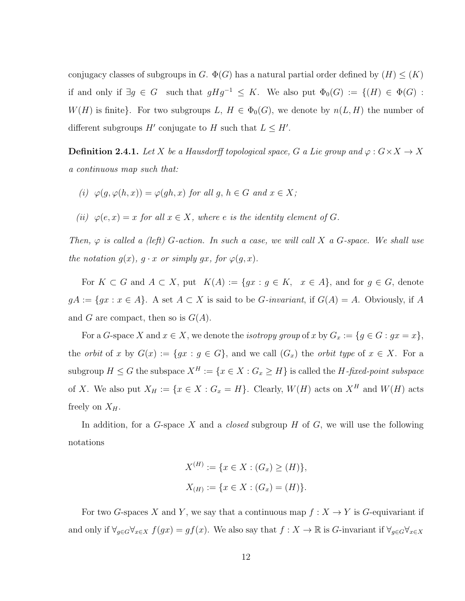conjugacy classes of subgroups in G.  $\Phi(G)$  has a natural partial order defined by  $(H) \leq (K)$ if and only if  $\exists g \in G$  such that  $gHg^{-1} \leq K$ . We also put  $\Phi_0(G) := \{(H) \in \Phi(G)$ :  $W(H)$  is finite}. For two subgroups  $L, H \in \Phi_0(G)$ , we denote by  $n(L, H)$  the number of different subgroups  $H'$  conjugate to H such that  $L \leq H'$ .

**Definition 2.4.1.** Let X be a Hausdorff topological space, G a Lie group and  $\varphi$  :  $G \times X \to X$ a continuous map such that:

- (i)  $\varphi(q, \varphi(h, x)) = \varphi(qh, x)$  for all q,  $h \in G$  and  $x \in X$ ;
- (ii)  $\varphi(e, x) = x$  for all  $x \in X$ , where e is the identity element of G.

Then,  $\varphi$  is called a (left) G-action. In such a case, we will call X a G-space. We shall use the notation  $g(x)$ ,  $g \cdot x$  or simply gx, for  $\varphi(g, x)$ .

For  $K \subset G$  and  $A \subset X$ , put  $K(A) := \{gx : g \in K, x \in A\}$ , and for  $g \in G$ , denote  $gA := \{gx : x \in A\}$ . A set  $A \subset X$  is said to be *G*-invariant, if  $G(A) = A$ . Obviously, if A and G are compact, then so is  $G(A)$ .

For a G-space X and  $x \in X$ , we denote the *isotropy group* of x by  $G_x := \{g \in G : gx = x\}$ , the *orbit* of x by  $G(x) := \{gx : g \in G\}$ , and we call  $(G_x)$  the *orbit type* of  $x \in X$ . For a subgroup  $H \leq G$  the subspace  $X^H := \{x \in X : G_x \geq H\}$  is called the  $H$ -fixed-point subspace of X. We also put  $X_H := \{x \in X : G_x = H\}$ . Clearly,  $W(H)$  acts on  $X^H$  and  $W(H)$  acts freely on  $X_H$ .

In addition, for a  $G$ -space X and a *closed* subgroup  $H$  of  $G$ , we will use the following notations

$$
X^{(H)} := \{ x \in X : (G_x) \ge (H) \},
$$
  

$$
X_{(H)} := \{ x \in X : (G_x) = (H) \}.
$$

For two G-spaces X and Y, we say that a continuous map  $f: X \to Y$  is G-equivariant if and only if  $\forall_{g \in G} \forall_{x \in X} f(gx) = gf(x)$ . We also say that  $f : X \to \mathbb{R}$  is G-invariant if  $\forall_{g \in G} \forall_{x \in X} f(gx) = gf(x)$ .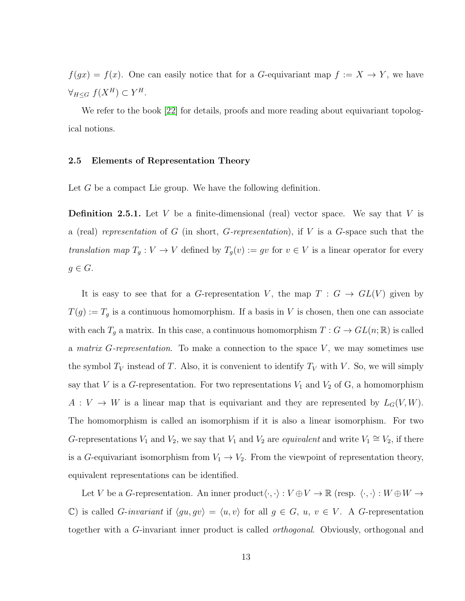$f(gx) = f(x)$ . One can easily notice that for a G-equivariant map  $f := X \rightarrow Y$ , we have  $\forall_{H\leq G}\ f(X^H)\subset Y^H.$ 

We refer to the book [\[22\]](#page-82-11) for details, proofs and more reading about equivariant topological notions.

#### <span id="page-22-0"></span>2.5 Elements of Representation Theory

Let G be a compact Lie group. We have the following definition.

**Definition 2.5.1.** Let V be a finite-dimensional (real) vector space. We say that V is a (real) representation of G (in short, G-representation), if V is a G-space such that the translation map  $T_g: V \to V$  defined by  $T_g(v) := gv$  for  $v \in V$  is a linear operator for every  $g \in G$ .

It is easy to see that for a G-representation V, the map  $T : G \to GL(V)$  given by  $T(g) := T_g$  is a continuous homomorphism. If a basis in V is chosen, then one can associate with each  $T_g$  a matrix. In this case, a continuous homomorphism  $T: G \to GL(n;\mathbb{R})$  is called a *matrix G-representation*. To make a connection to the space  $V$ , we may sometimes use the symbol  $T_V$  instead of T. Also, it is convenient to identify  $T_V$  with V. So, we will simply say that V is a G-representation. For two representations  $V_1$  and  $V_2$  of G, a homomorphism  $A: V \to W$  is a linear map that is equivariant and they are represented by  $L_G(V, W)$ . The homomorphism is called an isomorphism if it is also a linear isomorphism. For two G-representations  $V_1$  and  $V_2$ , we say that  $V_1$  and  $V_2$  are *equivalent* and write  $V_1 \cong V_2$ , if there is a G-equivariant isomorphism from  $V_1 \rightarrow V_2$ . From the viewpoint of representation theory, equivalent representations can be identified.

Let V be a G-representation. An inner product $\langle\cdot,\cdot\rangle:V\oplus V\to\mathbb{R}$  (resp.  $\langle\cdot,\cdot\rangle:W\oplus W\to W$ C) is called G-invariant if  $\langle gu, gv \rangle = \langle u, v \rangle$  for all  $g \in G$ ,  $u, v \in V$ . A G-representation together with a G-invariant inner product is called orthogonal. Obviously, orthogonal and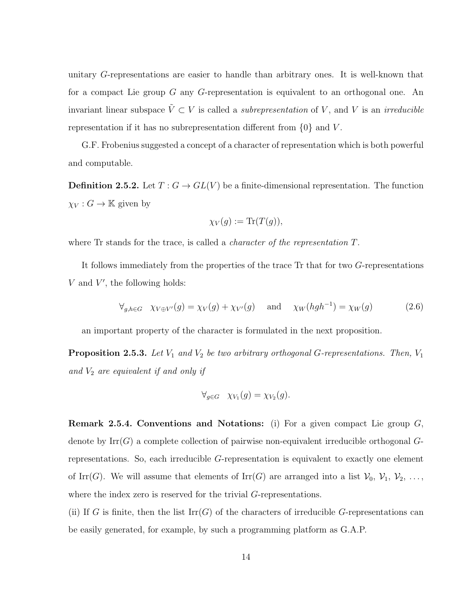unitary G-representations are easier to handle than arbitrary ones. It is well-known that for a compact Lie group G any G-representation is equivalent to an orthogonal one. An invariant linear subspace  $\tilde{V} \subset V$  is called a *subrepresentation* of V, and V is an *irreducible* representation if it has no subrepresentation different from  $\{0\}$  and V.

G.F. Frobenius suggested a concept of a character of representation which is both powerful and computable.

**Definition 2.5.2.** Let  $T: G \to GL(V)$  be a finite-dimensional representation. The function  $\chi_V : G \to \mathbb{K}$  given by

$$
\chi_V(g) := \text{Tr}(T(g)),
$$

where Tr stands for the trace, is called a *character of the representation T*.

It follows immediately from the properties of the trace Tr that for two G-representations  $V$  and  $V'$ , the following holds:

$$
\forall_{g,h \in G} \quad \chi_{V \oplus V'}(g) = \chi_V(g) + \chi_{V'}(g) \quad \text{and} \quad \chi_W(hgh^{-1}) = \chi_W(g) \tag{2.6}
$$

an important property of the character is formulated in the next proposition.

**Proposition 2.5.3.** Let  $V_1$  and  $V_2$  be two arbitrary orthogonal G-representations. Then,  $V_1$ and  $V_2$  are equivalent if and only if

$$
\forall_{g \in G} \quad \chi_{V_1}(g) = \chi_{V_2}(g).
$$

<span id="page-23-0"></span>**Remark 2.5.4. Conventions and Notations:** (i) For a given compact Lie group  $G$ , denote by  $\mathrm{Irr}(G)$  a complete collection of pairwise non-equivalent irreducible orthogonal  $G$ representations. So, each irreducible G-representation is equivalent to exactly one element of Irr(G). We will assume that elements of Irr(G) are arranged into a list  $V_0$ ,  $V_1$ ,  $V_2$ , ..., where the index zero is reserved for the trivial G-representations.

(ii) If G is finite, then the list  $\mathrm{Irr}(G)$  of the characters of irreducible G-representations can be easily generated, for example, by such a programming platform as G.A.P.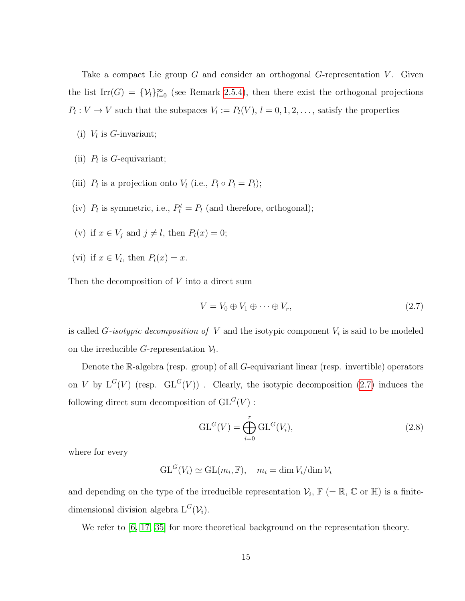Take a compact Lie group  $G$  and consider an orthogonal  $G$ -representation  $V$ . Given the list Irr(G) =  $\{V_l\}_{l=0}^{\infty}$  (see Remark [2.5.4\)](#page-23-0), then there exist the orthogonal projections  $P_l: V \to V$  such that the subspaces  $V_l := P_l(V)$ ,  $l = 0, 1, 2, \ldots$ , satisfy the properties

- (i)  $V_l$  is *G*-invariant;
- (ii)  $P_l$  is G-equivariant;
- (iii)  $P_l$  is a projection onto  $V_l$  (i.e.,  $P_l \circ P_l = P_l$ );
- (iv)  $P_l$  is symmetric, i.e.,  $P_l^t = P_l$  (and therefore, orthogonal);
- (v) if  $x \in V_j$  and  $j \neq l$ , then  $P_l(x) = 0$ ;
- (vi) if  $x \in V_l$ , then  $P_l(x) = x$ .

Then the decomposition of V into a direct sum

<span id="page-24-0"></span>
$$
V = V_0 \oplus V_1 \oplus \cdots \oplus V_r,\tag{2.7}
$$

is called G-isotypic decomposition of V and the isotypic component  $V_i$  is said to be modeled on the irreducible *G*-representation  $V_l$ .

Denote the R-algebra (resp. group) of all G-equivariant linear (resp. invertible) operators on V by  $L^G(V)$  (resp.  $GL^G(V)$ ). Clearly, the isotypic decomposition [\(2.7\)](#page-24-0) induces the following direct sum decomposition of  $GL<sup>G</sup>(V)$ :

$$
GLG(V) = \bigoplus_{i=0}^{r} GLG(V_i),
$$
\n(2.8)

where for every

$$
\mathrm{GL}^G(V_i) \simeq \mathrm{GL}(m_i, \mathbb{F}), \quad m_i = \dim V_i / \dim \mathcal{V}_i
$$

and depending on the type of the irreducible representation  $\mathcal{V}_i$ ,  $\mathbb{F}$  (= R, C or H) is a finitedimensional division algebra  $L^G(V_i)$ .

We refer to  $[6, 17, 35]$  $[6, 17, 35]$  $[6, 17, 35]$  for more theoretical background on the representation theory.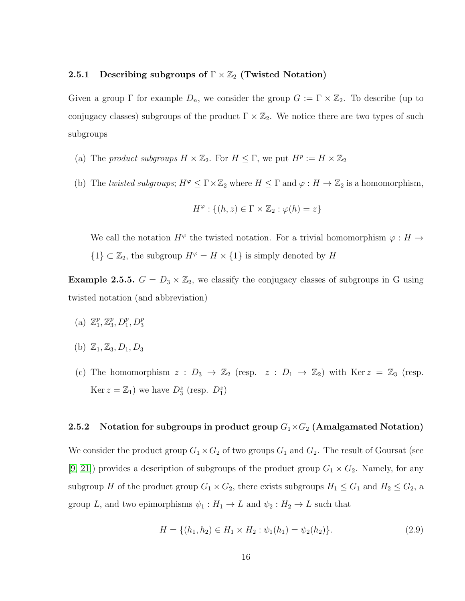## <span id="page-25-0"></span>2.5.1 Describing subgroups of  $\Gamma \times \mathbb{Z}_2$  (Twisted Notation)

Given a group  $\Gamma$  for example  $D_n$ , we consider the group  $G := \Gamma \times \mathbb{Z}_2$ . To describe (up to conjugacy classes) subgroups of the product  $\Gamma \times \mathbb{Z}_2$ . We notice there are two types of such subgroups

- (a) The product subgroups  $H \times \mathbb{Z}_2$ . For  $H \leq \Gamma$ , we put  $H^p := H \times \mathbb{Z}_2$
- (b) The twisted subgroups;  $H^{\varphi} \leq \Gamma \times \mathbb{Z}_2$  where  $H \leq \Gamma$  and  $\varphi : H \to \mathbb{Z}_2$  is a homomorphism,

$$
H^{\varphi} : \{(h, z) \in \Gamma \times \mathbb{Z}_2 : \varphi(h) = z\}
$$

We call the notation  $H^{\varphi}$  the twisted notation. For a trivial homomorphism  $\varphi : H \to$ 

 ${1} < \mathbb{Z}_2$ , the subgroup  $H^{\varphi} = H \times {1}$  is simply denoted by  $H$ 

**Example 2.5.5.**  $G = D_3 \times \mathbb{Z}_2$ , we classify the conjugacy classes of subgroups in G using twisted notation (and abbreviation)

- (a)  $\mathbb{Z}_1^p$  $_1^p, \mathbb{Z}_3^p$  $_{3}^{p}, D_{1}^{p}, D_{3}^{p}$
- (b)  $\mathbb{Z}_1, \mathbb{Z}_3, D_1, D_3$
- (c) The homomorphism  $z : D_3 \to \mathbb{Z}_2$  (resp.  $z : D_1 \to \mathbb{Z}_2$ ) with Ker  $z = \mathbb{Z}_3$  (resp. Ker  $z = \mathbb{Z}_1$ ) we have  $D_3^z$  (resp.  $D_1^z$ )

# <span id="page-25-1"></span>2.5.2 Notation for subgroups in product group  $G_1\times G_2$  (Amalgamated Notation)

We consider the product group  $G_1 \times G_2$  of two groups  $G_1$  and  $G_2$ . The result of Goursat (see [\[9,](#page-81-13) [21\]](#page-82-13)) provides a description of subgroups of the product group  $G_1 \times G_2$ . Namely, for any subgroup H of the product group  $G_1 \times G_2$ , there exists subgroups  $H_1 \leq G_1$  and  $H_2 \leq G_2$ , a group L, and two epimorphisms  $\psi_1 : H_1 \to L$  and  $\psi_2 : H_2 \to L$  such that

$$
H = \{(h_1, h_2) \in H_1 \times H_2 : \psi_1(h_1) = \psi_2(h_2)\}.
$$
\n(2.9)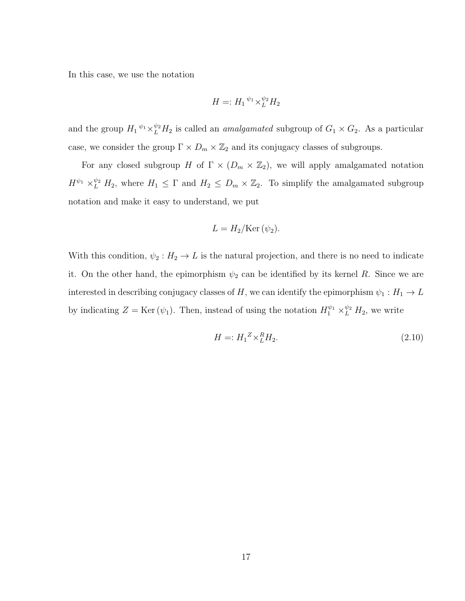In this case, we use the notation

$$
H =: H_1^{\psi_1} \times_L^{\psi_2} H_2
$$

and the group  $H_1 \psi_1 \times_L^{\psi_2} H_2$  is called an *amalgamated* subgroup of  $G_1 \times G_2$ . As a particular case, we consider the group  $\Gamma \times D_m \times \mathbb{Z}_2$  and its conjugacy classes of subgroups.

For any closed subgroup H of  $\Gamma \times (D_m \times \mathbb{Z}_2)$ , we will apply amalgamated notation  $H^{\psi_1} \times_L^{\psi_2} H_2$ , where  $H_1 \leq \Gamma$  and  $H_2 \leq D_m \times \mathbb{Z}_2$ . To simplify the amalgamated subgroup notation and make it easy to understand, we put

$$
L = H_2/\text{Ker}(\psi_2).
$$

With this condition,  $\psi_2 : H_2 \to L$  is the natural projection, and there is no need to indicate it. On the other hand, the epimorphism  $\psi_2$  can be identified by its kernel R. Since we are interested in describing conjugacy classes of H, we can identify the epimorphism  $\psi_1 : H_1 \to L$ by indicating  $Z = \text{Ker}(\psi_1)$ . Then, instead of using the notation  $H_1^{\psi_1} \times_L^{\psi_2} H_2$ , we write

$$
H =: H_1^Z \times_L^R H_2. \tag{2.10}
$$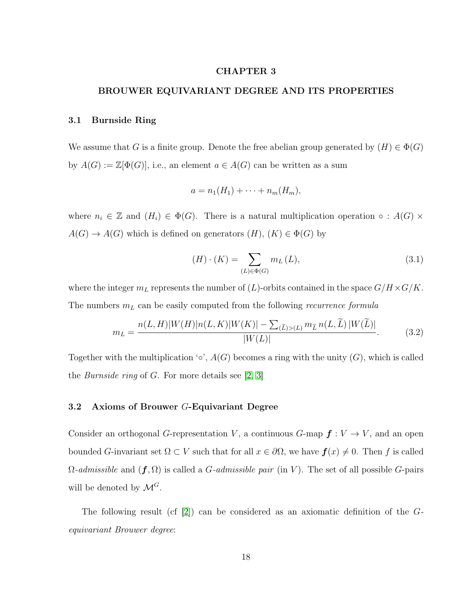#### CHAPTER 3

## <span id="page-27-0"></span>BROUWER EQUIVARIANT DEGREE AND ITS PROPERTIES

## <span id="page-27-1"></span>3.1 Burnside Ring

We assume that G is a finite group. Denote the free abelian group generated by  $(H) \in \Phi(G)$ by  $A(G) := \mathbb{Z}[\Phi(G)]$ , i.e., an element  $a \in A(G)$  can be written as a sum

$$
a = n_1(H_1) + \cdots + n_m(H_m),
$$

where  $n_i \in \mathbb{Z}$  and  $(H_i) \in \Phi(G)$ . There is a natural multiplication operation  $\circ : A(G) \times$  $A(G) \to A(G)$  which is defined on generators  $(H)$ ,  $(K) \in \Phi(G)$  by

$$
(H) \cdot (K) = \sum_{(L) \in \Phi(G)} m_L(L), \qquad (3.1)
$$

where the integer  $m<sub>L</sub>$  represents the number of  $(L)$ -orbits contained in the space  $G/H \times G/K$ . The numbers  $m<sub>L</sub>$  can be easily computed from the following *recurrence formula* 

$$
m_L = \frac{n(L, H)|W(H)|n(L, K)|W(K)| - \sum_{(\tilde{L}) > (L)} m_{\tilde{L}} n(L, \tilde{L}) |W(\tilde{L})|}{|W(L)|}.\tag{3.2}
$$

Together with the multiplication  $\circ$ ,  $A(G)$  becomes a ring with the unity  $(G)$ , which is called the *Burnside ring* of  $G$ . For more details see [\[2,](#page-81-8) [3\]](#page-81-9)

#### <span id="page-27-2"></span>3.2 Axioms of Brouwer G-Equivariant Degree

Consider an orthogonal G-representation V, a continuous G-map  $f: V \to V$ , and an open bounded G-invariant set  $\Omega \subset V$  such that for all  $x \in \partial \Omega$ , we have  $f(x) \neq 0$ . Then f is called  $\Omega$ -admissible and  $(f, \Omega)$  is called a *G*-admissible pair (in V). The set of all possible *G*-pairs will be denoted by  $\mathcal{M}^G$ .

The following result (cf  $|2|$ ) can be considered as an axiomatic definition of the Gequivariant Brouwer degree: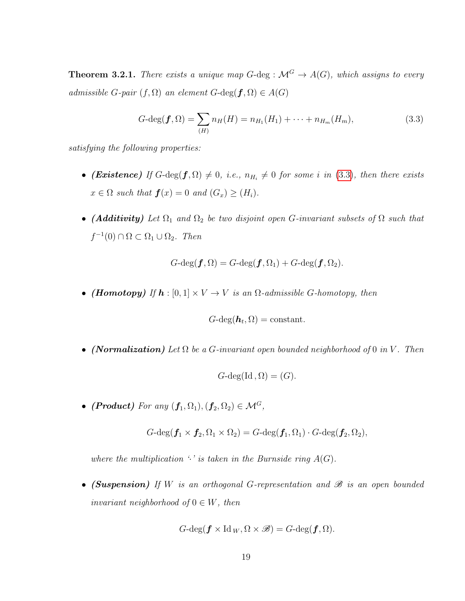**Theorem 3.2.1.** There exists a unique map  $G$ -deg :  $\mathcal{M}^G \to A(G)$ , which assigns to every admissible G-pair  $(f, \Omega)$  an element  $G$ -deg $(f, \Omega) \in A(G)$ 

<span id="page-28-0"></span>
$$
G\text{-deg}(\boldsymbol{f},\Omega) = \sum_{(H)} n_H(H) = n_{H_1}(H_1) + \dots + n_{H_m}(H_m),
$$
\n(3.3)

satisfying the following properties:

- (Existence) If  $G$ -deg $(f, \Omega) \neq 0$ , i.e.,  $n_{H_i} \neq 0$  for some i in [\(3.3\)](#page-28-0), then there exists  $x \in \Omega$  such that  $\mathbf{f}(x) = 0$  and  $(G_x) \geq (H_i)$ .
- (Additivity) Let  $\Omega_1$  and  $\Omega_2$  be two disjoint open G-invariant subsets of  $\Omega$  such that  $f^{-1}(0) \cap \Omega \subset \Omega_1 \cup \Omega_2$ . Then

$$
G\text{-}\mathrm{deg}(\boldsymbol{f},\Omega)=G\text{-}\mathrm{deg}(\boldsymbol{f},\Omega_1)+G\text{-}\mathrm{deg}(\boldsymbol{f},\Omega_2).
$$

• (Homotopy) If  $h : [0, 1] \times V \rightarrow V$  is an  $\Omega$ -admissible G-homotopy, then

$$
G\text{-}\deg(\boldsymbol{h}_t,\Omega)=\text{constant}.
$$

• (Normalization) Let  $\Omega$  be a G-invariant open bounded neighborhood of 0 in V. Then

$$
G\text{-}\deg(\mathrm{Id}\, , \Omega) = (G).
$$

• (Product) For any  $(f_1, \Omega_1), (f_2, \Omega_2) \in \mathcal{M}^G$ ,

$$
G\text{-}\mathrm{deg}(\boldsymbol{f}_1\times\boldsymbol{f}_2,\Omega_1\times\Omega_2)=G\text{-}\mathrm{deg}(\boldsymbol{f}_1,\Omega_1)\cdot G\text{-}\mathrm{deg}(\boldsymbol{f}_2,\Omega_2),
$$

where the multiplication  $\cdot$  is taken in the Burnside ring  $A(G)$ .

• (Suspension) If W is an orthogonal G-representation and  $\mathscr B$  is an open bounded invariant neighborhood of  $0 \in W$ , then

$$
G\text{-}\mathrm{deg}(\boldsymbol{f} \times \mathrm{Id}_{W}, \Omega \times \mathscr{B}) = G\text{-}\mathrm{deg}(\boldsymbol{f}, \Omega).
$$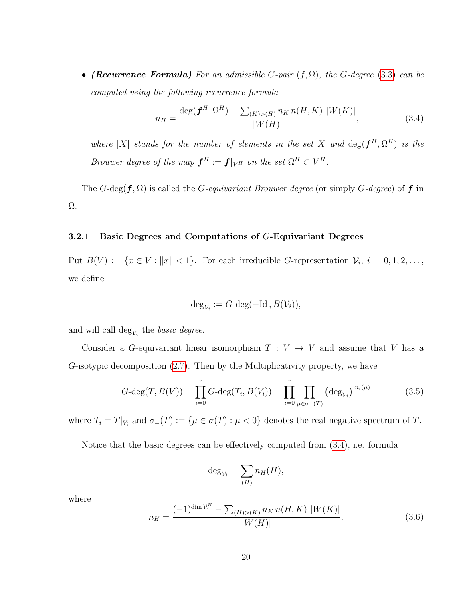• (Recurrence Formula) For an admissible G-pair  $(f, \Omega)$ , the G-degree [\(3.3\)](#page-28-0) can be computed using the following recurrence formula

<span id="page-29-1"></span>
$$
n_H = \frac{\deg(\boldsymbol{f}^H, \Omega^H) - \sum_{(K) > (H)} n_K n(H, K) |W(K)|}{|W(H)|},\tag{3.4}
$$

where |X| stands for the number of elements in the set X and  $\deg(\boldsymbol{f}^H, \Omega^H)$  is the Brouwer degree of the map  $\boldsymbol{f}^H := \boldsymbol{f}|_{V^H}$  on the set  $\Omega^H \subset V^H$ .

The G-deg( $f, \Omega$ ) is called the G-equivariant Brouwer degree (or simply G-degree) of f in Ω.

#### <span id="page-29-0"></span>3.2.1 Basic Degrees and Computations of G-Equivariant Degrees

Put  $B(V) := \{x \in V : ||x|| < 1\}$ . For each irreducible G-representation  $\mathcal{V}_i$ ,  $i = 0, 1, 2, \ldots$ , we define

$$
\deg_{\mathcal{V}_i} := G\text{-deg}(-\mathrm{Id}\,,B(\mathcal{V}_i)),
$$

and will call  $\deg_{\mathcal{V}_i}$  the *basic degree*.

Consider a G-equivariant linear isomorphism  $T: V \rightarrow V$  and assume that V has a G-isotypic decomposition [\(2.7\)](#page-24-0). Then by the Multiplicativity property, we have

$$
G\text{-deg}(T, B(V)) = \prod_{i=0}^{r} G\text{-deg}(T_i, B(V_i)) = \prod_{i=0}^{r} \prod_{\mu \in \sigma_{-}(T)} (\deg_{\mathcal{V}_i})^{m_i(\mu)}
$$
(3.5)

where  $T_i = T|_{V_i}$  and  $\sigma_-(T) := \{\mu \in \sigma(T) : \mu < 0\}$  denotes the real negative spectrum of T.

Notice that the basic degrees can be effectively computed from [\(3.4\)](#page-29-1), i.e. formula

$$
\deg_{\mathcal{V}_i} = \sum_{(H)} n_H(H),
$$

where

$$
n_H = \frac{(-1)^{\dim \mathcal{V}_i^H} - \sum_{(H) > (K)} n_K n(H, K) |W(K)|}{|W(H)|}.\tag{3.6}
$$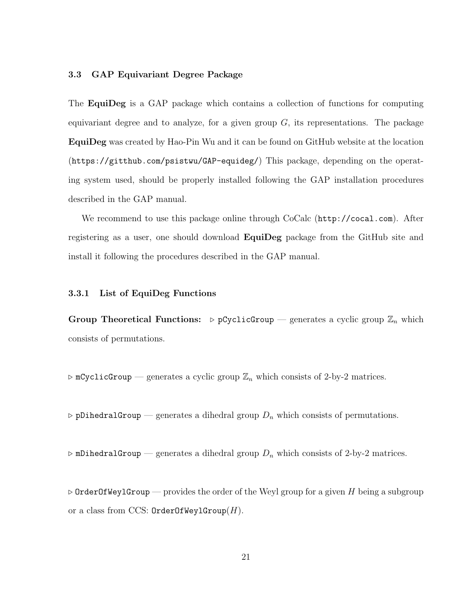# <span id="page-30-0"></span>3.3 GAP Equivariant Degree Package

The EquiDeg is a GAP package which contains a collection of functions for computing equivariant degree and to analyze, for a given group  $G$ , its representations. The package EquiDeg was created by Hao-Pin Wu and it can be found on GitHub website at the location (https://gitthub.com/psistwu/GAP-equideg/) This package, depending on the operating system used, should be properly installed following the GAP installation procedures described in the GAP manual.

We recommend to use this package online through CoCalc (http://cocal.com). After registering as a user, one should download **EquiDeg** package from the GitHub site and install it following the procedures described in the GAP manual.

#### <span id="page-30-1"></span>3.3.1 List of EquiDeg Functions

Group Theoretical Functions:  $\triangleright$  pCyclicGroup — generates a cyclic group  $\mathbb{Z}_n$  which consists of permutations.

 $\triangleright$  mCyclicGroup — generates a cyclic group  $\mathbb{Z}_n$  which consists of 2-by-2 matrices.

 $\triangleright$  pDihedralGroup — generates a dihedral group  $D_n$  which consists of permutations.

 $\triangleright$  mDihedralGroup — generates a dihedral group  $D_n$  which consists of 2-by-2 matrices.

 $\triangleright$  OrderOfWeylGroup — provides the order of the Weyl group for a given H being a subgroup or a class from CCS:  $OrderOfWeylGroup(H)$ .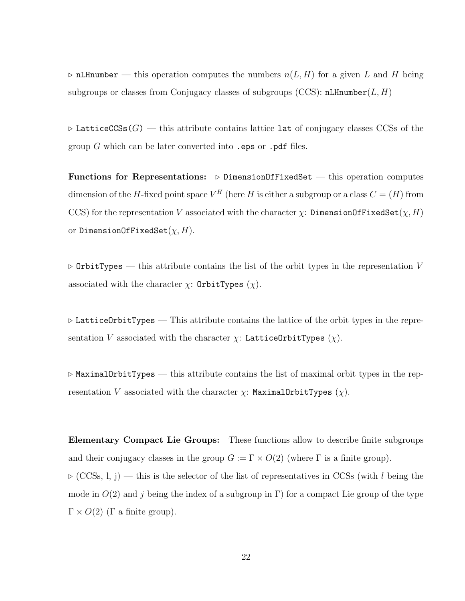$\triangleright$  nLHnumber — this operation computes the numbers  $n(L, H)$  for a given L and H being subgroups or classes from Conjugacy classes of subgroups (CCS):  $nL$ Hnumber(L, H)

 $\triangleright$  LatticeCCSs(G) — this attribute contains lattice lat of conjugacy classes CCSs of the group  $G$  which can be later converted into . eps or . pdf files.

Functions for Representations:  $\triangleright$  DimensionOfFixedSet — this operation computes dimension of the H-fixed point space  $V^H$  (here H is either a subgroup or a class  $C = (H)$  from CCS) for the representation V associated with the character  $\chi$ : DimensionOfFixedSet $(\chi, H)$ or DimensionOfFixedSet $(\chi, H)$ .

 $\triangleright$  OrbitTypes — this attribute contains the list of the orbit types in the representation V associated with the character  $\chi$ : OrbitTypes  $(\chi)$ .

 $\triangleright$  LatticeOrbitTypes — This attribute contains the lattice of the orbit types in the representation V associated with the character  $\chi$ : LatticeOrbitTypes  $(\chi)$ .

 $\triangleright$  MaximalOrbitTypes — this attribute contains the list of maximal orbit types in the representation V associated with the character  $\chi$ : MaximalOrbitTypes  $(\chi)$ .

Elementary Compact Lie Groups: These functions allow to describe finite subgroups and their conjugacy classes in the group  $G := \Gamma \times O(2)$  (where  $\Gamma$  is a finite group).  $\triangleright$  (CCSs, l, j) — this is the selector of the list of representatives in CCSs (with l being the mode in  $O(2)$  and j being the index of a subgroup in Γ) for a compact Lie group of the type  $\Gamma \times O(2)$  (Γ a finite group).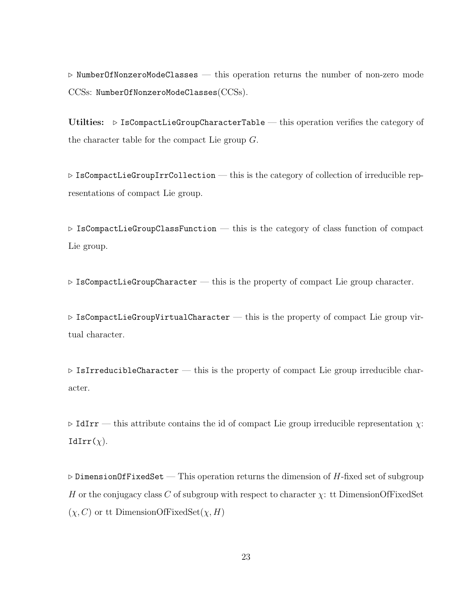$\triangleright$  NumberOfNonzeroModeClasses — this operation returns the number of non-zero mode CCSs: NumberOfNonzeroModeClasses(CCSs).

Utilties:  $\triangleright$  IsCompactLieGroupCharacterTable — this operation verifies the category of the character table for the compact Lie group G.

 $\triangleright$  IsCompactLieGroupIrrCollection — this is the category of collection of irreducible representations of compact Lie group.

 $\triangleright$  IsCompactLieGroupClassFunction — this is the category of class function of compact Lie group.

 $\triangleright$  IsCompactLieGroupCharacter — this is the property of compact Lie group character.

 $\triangleright$  IsCompactLieGroupVirtualCharacter — this is the property of compact Lie group virtual character.

 $\triangleright$  IsIrreducibleCharacter — this is the property of compact Lie group irreducible character.

 $\triangleright$  IdIrr — this attribute contains the id of compact Lie group irreducible representation  $\chi$ : IdIrr $(y)$ .

 $\triangleright$  DimensionOfFixedSet — This operation returns the dimension of H-fixed set of subgroup H or the conjugacy class C of subgroup with respect to character  $\chi$ : tt DimensionOfFixedSet  $(\chi, C)$  or tt DimensionOfFixedSet $(\chi, H)$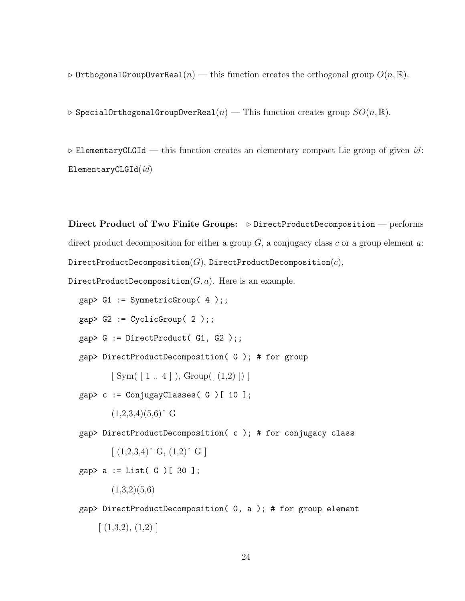$\triangleright$  OrthogonalGroupOverReal(n) — this function creates the orthogonal group  $O(n,\mathbb{R})$ .

 $\triangleright$  SpecialOrthogonalGroupOverReal(n) — This function creates group  $SO(n,\mathbb{R})$ .

 $\triangleright$  ElementaryCLGId — this function creates an elementary compact Lie group of given id:  $ElementaryCLGId(id)$ 

Direct Product of Two Finite Groups:  $\triangleright$  DirectProductDecomposition — performs direct product decomposition for either a group  $G$ , a conjugacy class c or a group element a: DirectProductDecomposition $(G)$ , DirectProductDecomposition $(c)$ ,

DirectProductDecomposition $(G, a)$ . Here is an example.

 $gap > G1 := SymmetricGroup(4)$ ;

 $gap > G2 := CyclicGroup(2);;$ 

 $gap > G := DirectProduct(G1, G2);$ 

gap> DirectProductDecomposition( G ); # for group

 $[ Sym( [ 1.. 4 ],] Group( [ (1,2) ] ) ]$ 

gap> c := ConjugayClasses( G )[ 10 ];

 $(1,2,3,4)(5,6)$ <sup>^</sup> G

gap> DirectProductDecomposition( c ); # for conjugacy class

 $[(1,2,3,4)^\circ \text{ G}, (1,2)^\circ \text{ G}]$ 

 $gap > a := List(G) [ 30 ];$ 

 $(1,3,2)(5,6)$ 

gap> DirectProductDecomposition( G, a ); # for group element  $\lceil$  (1,3,2), (1,2) ]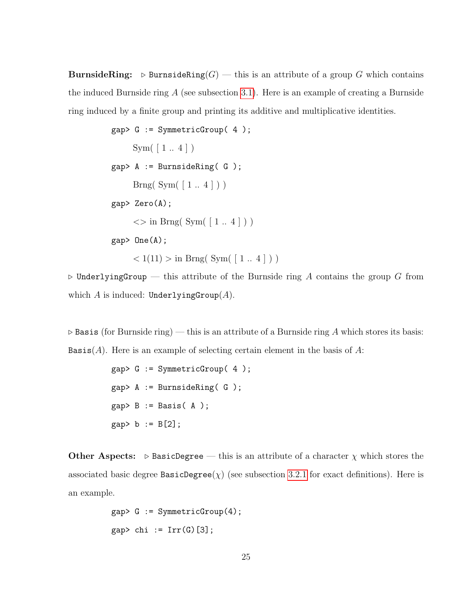**BurnsideRing:**  $\triangleright$  BurnsideRing(G) — this is an attribute of a group G which contains the induced Burnside ring  $A$  (see subsection [3.1\)](#page-27-1). Here is an example of creating a Burnside ring induced by a finite group and printing its additive and multiplicative identities.

```
gap> G := SymmetricGroup( 4 );
      Sym([\ 1\mathrel{{.}\,{.}}\nobreak\hspace{.18em}\nobreak 4\ ])<br>
gap> A := BurnsideRing( G );
       Brng(Sym( [ 1.. 4 ] ) )gap> Zero(A);
       \langle \rangle in Brng( Sym( [1..4]))
gap> One(A);
       < 1(11) > \text{in Brng}(\text{Sym}(\lceil 1..4 \rceil))
```
 $\triangleright$  UnderlyingGroup — this attribute of the Burnside ring A contains the group G from which A is induced: UnderlyingGroup $(A)$ .

 $\triangleright$  Basis (for Burnside ring) — this is an attribute of a Burnside ring A which stores its basis: Basis(A). Here is an example of selecting certain element in the basis of  $A$ :

```
gap> G := SymmetricGroup( 4 );
gap> A := BurnsideRing( G );
gap > B := Basis(A);
gap > b := B[2];
```
**Other Aspects:**  $\triangleright$  BasicDegree — this is an attribute of a character  $\chi$  which stores the associated basic degree BasicDegree( $\chi$ ) (see subsection [3.2.1](#page-29-0) for exact definitions). Here is an example.

```
gap > G := SymmetricGroup(4);gap> chi := Irr(G)[3];
```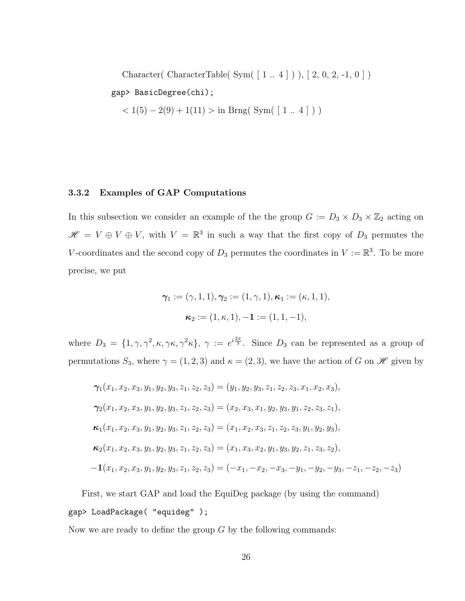Character( CharacterTable( Sym( [ 1 .. 4 ] ) ), [ 2, 0, 2, -1, 0 ] )

# gap> BasicDegree(chi);

 $< 1(5) - 2(9) + 1(11) > \text{in } \text{Brag}(\text{Sym}([1.. 4]))$ 

### <span id="page-35-0"></span>3.3.2 Examples of GAP Computations

In this subsection we consider an example of the the group  $G := D_3 \times D_3 \times \mathbb{Z}_2$  acting on  $\mathscr{H} = V \oplus V \oplus V$ , with  $V = \mathbb{R}^3$  in such a way that the first copy of  $D_3$  permutes the V-coordinates and the second copy of  $D_3$  permutes the coordinates in  $V := \mathbb{R}^3$ . To be more precise, we put

$$
\gamma_1 := (\gamma, 1, 1), \gamma_2 := (1, \gamma, 1), \kappa_1 := (\kappa, 1, 1),
$$
  
 $\kappa_2 := (1, \kappa, 1), -1 := (1, 1, -1),$ 

where  $D_3 = \{1, \gamma, \gamma^2, \kappa, \gamma \kappa, \gamma^2 \kappa\}, \gamma := e^{i\frac{2\pi}{3}}$ . Since  $D_3$  can be represented as a group of permutations  $S_3$ , where  $\gamma = (1, 2, 3)$  and  $\kappa = (2, 3)$ , we have the action of G on  $\mathscr H$  given by

$$
\gamma_1(x_1, x_2, x_3, y_1, y_2, y_3, z_1, z_2, z_3) = (y_1, y_2, y_3, z_1, z_2, z_3, x_1, x_2, x_3),
$$
  
\n
$$
\gamma_2(x_1, x_2, x_3, y_1, y_2, y_3, z_1, z_2, z_3) = (x_2, x_3, x_1, y_2, y_3, y_1, z_2, z_3, z_1),
$$
  
\n
$$
\kappa_1(x_1, x_2, x_3, y_1, y_2, y_3, z_1, z_2, z_3) = (x_1, x_2, x_3, z_1, z_2, z_3, y_1, y_2, y_3),
$$
  
\n
$$
\kappa_2(x_1, x_2, x_3, y_1, y_2, y_3, z_1, z_2, z_3) = (x_1, x_3, x_2, y_1, y_3, y_2, z_1, z_3, z_2),
$$
  
\n
$$
-1(x_1, x_2, x_3, y_1, y_2, y_3, z_1, z_2, z_3) = (-x_1, -x_2, -x_3, -y_1, -y_2, -y_3, -z_1, -z_2, -z_3)
$$

First, we start GAP and load the EquiDeg package (by using the command) gap> LoadPackage( "equideg" );

Now we are ready to define the group  $G$  by the following commands: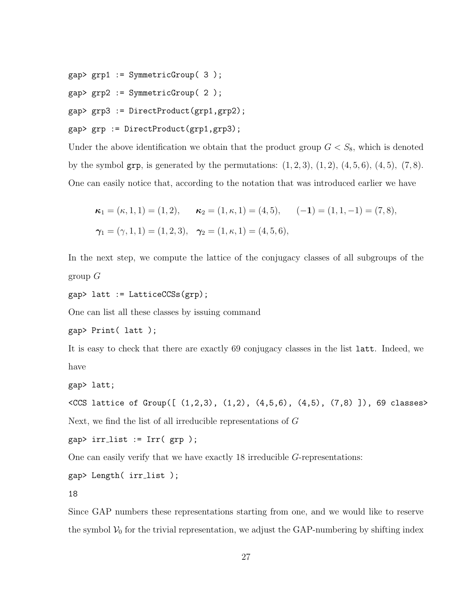gap> grp1 := SymmetricGroup( 3 );

gap> grp2 := SymmetricGroup( 2 );

gap> grp3 := DirectProduct(grp1,grp2);

gap> grp := DirectProduct(grp1,grp3);

Under the above identification we obtain that the product group  $G < S_8$ , which is denoted by the symbol grp, is generated by the permutations:  $(1, 2, 3)$ ,  $(1, 2)$ ,  $(4, 5, 6)$ ,  $(4, 5)$ ,  $(7, 8)$ . One can easily notice that, according to the notation that was introduced earlier we have

$$
\kappa_1 = (\kappa, 1, 1) = (1, 2), \qquad \kappa_2 = (1, \kappa, 1) = (4, 5), \qquad (-1) = (1, 1, -1) = (7, 8),
$$
  

$$
\gamma_1 = (\gamma, 1, 1) = (1, 2, 3), \quad \gamma_2 = (1, \kappa, 1) = (4, 5, 6),
$$

In the next step, we compute the lattice of the conjugacy classes of all subgroups of the group  $G$ 

gap> latt := LatticeCCSs(grp);

One can list all these classes by issuing command

```
gap> Print( latt );
```
It is easy to check that there are exactly 69 conjugacy classes in the list latt. Indeed, we have

gap> latt;

```
<CCS lattice of Group([ (1,2,3), (1,2), (4,5,6), (4,5), (7,8) ]), 69 classes>
Next, we find the list of all irreducible representations of G
```
 $gap$ > irr\_list := Irr(  $grp$ );

One can easily verify that we have exactly 18 irreducible G-representations:

gap> Length( irr list );

18

Since GAP numbers these representations starting from one, and we would like to reserve the symbol  $V_0$  for the trivial representation, we adjust the GAP-numbering by shifting index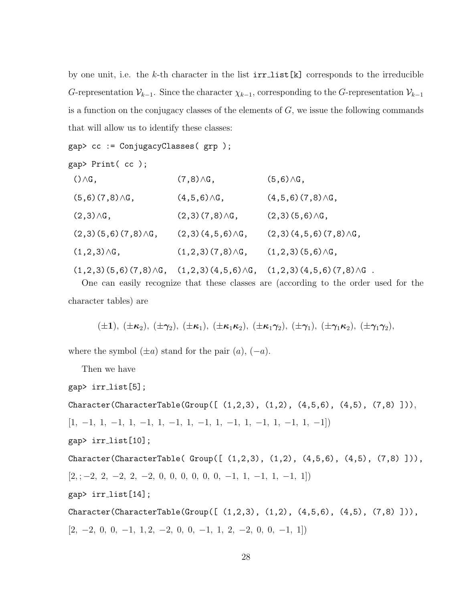by one unit, i.e. the k-th character in the list  $irr\_list[k]$  corresponds to the irreducible G-representation  $\mathcal{V}_{k-1}$ . Since the character  $\chi_{k-1}$ , corresponding to the G-representation  $\mathcal{V}_{k-1}$ is a function on the conjugacy classes of the elements of  $G$ , we issue the following commands that will allow us to identify these classes:

```
gap> cc := ConjugacyClasses( grp );
```

```
gap> Print( cc );
```

| $() \wedge G$ ,            | $(7,8)\wedge G$ ,        | $(5,6)\wedge G$ ,                                                                        |
|----------------------------|--------------------------|------------------------------------------------------------------------------------------|
| $(5,6)(7,8)\wedge G,$      | $(4,5,6)\wedge G$ ,      | $(4,5,6)$ $(7,8)$ $\wedge$ G,                                                            |
| $(2,3)\wedge G$ ,          | $(2,3)(7,8)\wedge G$ ,   | $(2,3)(5,6)\wedge G,$                                                                    |
| $(2,3)(5,6)(7,8)\wedge G,$ | $(2,3)(4,5,6)\wedge G$ , | $(2,3)(4,5,6)(7,8)\triangle G,$                                                          |
| $(1,2,3)\wedge G$ ,        | $(1,2,3)(7,8)\wedge G$ , | $(1,2,3)(5,6)\wedge G$ ,                                                                 |
|                            |                          | $(1,2,3)(5,6)(7,8)\wedge G$ , $(1,2,3)(4,5,6)\wedge G$ , $(1,2,3)(4,5,6)(7,8)\wedge G$ . |

One can easily recognize that these classes are (according to the order used for the character tables) are

$$
(\pm 1), (\pm \kappa_2), (\pm \gamma_2), (\pm \kappa_1), (\pm \kappa_1 \kappa_2), (\pm \kappa_1 \gamma_2), (\pm \gamma_1), (\pm \gamma_1 \kappa_2), (\pm \gamma_1 \gamma_2),
$$

where the symbol  $(\pm a)$  stand for the pair  $(a)$ ,  $(-a)$ .

Then we have

```
gap> irr list[5];
```
 $Character(CharacterTable (Group([ (1,2,3), (1,2), (4,5,6), (4,5), (7,8) ])),$ 

 $[1, -1, 1, -1, 1, -1, 1, -1, 1, -1, 1, -1, 1, -1, 1, -1, 1, -1]$ 

gap> irr list[10];

```
Character(CharacterTable( Group([ (1, 2, 3), (1, 2), (4, 5, 6), (4, 5), (7, 8) ])),[2, -2, 2, -2, 2, -2, 0, 0, 0, 0, 0, -1, 1, -1, 1, -1, 1]gap irr_list[14];
```
Character(CharacterTable(Group( $[ (1,2,3), (1,2), (4,5,6), (4,5), (7,8) ]$ ),  $[2, -2, 0, 0, -1, 1, 2, -2, 0, 0, -1, 1, 2, -2, 0, 0, -1, 1]$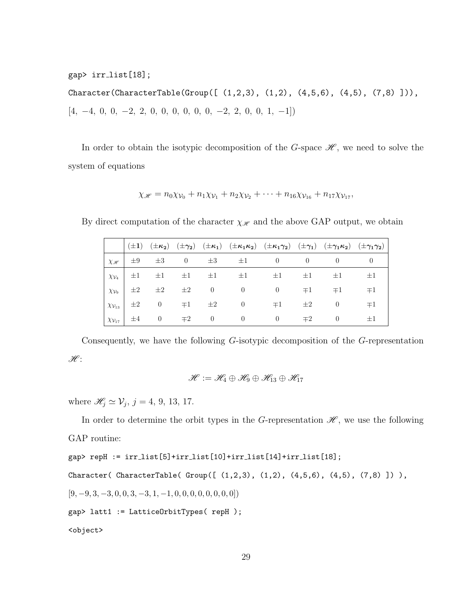gap> irr list[18];

 $Character(CharacterTable(Group([ (1, 2, 3), (1, 2), (4, 5, 6), (4, 5), (7, 8) ])),$  $[4, \ -4, \ 0, \ 0, \ -2, \ 2, \ 0, \ 0, \ 0, \ 0, \ 0, \ -2, \ 2, \ 0, \ 0, \ 1, \ -1])$ 

In order to obtain the isotypic decomposition of the G-space  $\mathscr{H}$ , we need to solve the system of equations

$$
\chi_{\mathscr{H}} = n_0 \chi_{\mathcal{V}_0} + n_1 \chi_{\mathcal{V}_1} + n_2 \chi_{\mathcal{V}_2} + \cdots + n_{16} \chi_{\mathcal{V}_{16}} + n_{17} \chi_{\mathcal{V}_{17}},
$$

By direct computation of the character  $\chi_{\mathscr{H}}$  and the above GAP output, we obtain

|                           |         |                |                   |                 | (±1) $(\pm \kappa_2)$ $(\pm \kappa_2)$ $(\pm \kappa_1)$ $(\pm \kappa_1 \kappa_2)$ $(\pm \kappa_1 \gamma_2)$ $(\pm \gamma_1)$ $(\pm \gamma_1 \kappa_2)$ $(\pm \gamma_1 \gamma_2)$ |                |         |          |         |
|---------------------------|---------|----------------|-------------------|-----------------|----------------------------------------------------------------------------------------------------------------------------------------------------------------------------------|----------------|---------|----------|---------|
| $\chi_{\mathscr{H}}$      | $\pm 9$ | $\pm 3$        |                   | 0 $\pm 3$       | $\pm 1$                                                                                                                                                                          | $\theta$       |         |          |         |
| $\chi_{\mathcal{V}_4}$    | $\pm 1$ | $\pm 1$        | $\pm 1$ $\pm 1$   |                 | $\pm 1$                                                                                                                                                                          | $\pm 1$        | $\pm 1$ | $\pm 1$  | $\pm 1$ |
| $\chi_{\mathcal{V}_9}$    | $\pm 2$ |                | $\pm 2$ $\pm 2$ 0 |                 | $\overline{0}$                                                                                                                                                                   | $\overline{0}$ | $\mp 1$ | $\mp 1$  | $\mp 1$ |
| $\chi_{\mathcal{V}_{13}}$ | $\pm 2$ | $\theta$       |                   | $\mp 1$ $\pm 2$ | $\overline{0}$                                                                                                                                                                   | $\mp 1$        | $\pm 2$ | $\theta$ | $\mp 1$ |
| $\chi_{\mathcal{V}_{17}}$ | $\pm 4$ | $\overline{0}$ | $\mp 2$           | $\overline{0}$  | $\overline{0}$                                                                                                                                                                   | $\overline{0}$ | $\mp 2$ | $\theta$ | $\pm 1$ |

Consequently, we have the following G-isotypic decomposition of the G-representation  $\mathscr{H}$ :

$$
\mathscr{H}:=\mathscr{H}_4\oplus\mathscr{H}_9\oplus\mathscr{H}_{13}\oplus\mathscr{H}_{17}
$$

where  $\mathscr{H}_j \simeq \mathcal{V}_j$ ,  $j = 4, 9, 13, 17$ .

In order to determine the orbit types in the G-representation  $\mathscr{H}$ , we use the following GAP routine:

```
gap> repH := irr list[5]+irr list[10]+irr list[14]+irr list[18];
Character( CharacterTable( Group([ (1,2,3), (1,2), (4,5,6), (4,5), (7,8) ]) ),
[9, -9, 3, -3, 0, 0, 3, -3, 1, -1, 0, 0, 0, 0, 0, 0, 0, 0]gap> latt1 := LatticeOrbitTypes( repH );
<object>
```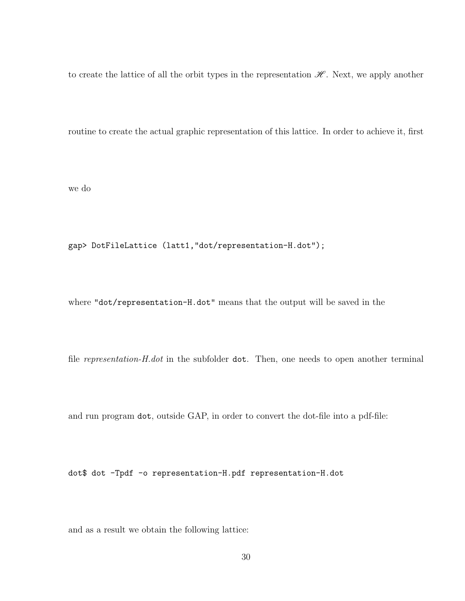to create the lattice of all the orbit types in the representation  $\mathscr{H}$ . Next, we apply another

routine to create the actual graphic representation of this lattice. In order to achieve it, first

we do

gap> DotFileLattice (latt1,"dot/representation-H.dot");

where "dot/representation-H.dot" means that the output will be saved in the

file *representation-H.dot* in the subfolder dot. Then, one needs to open another terminal

and run program dot, outside GAP, in order to convert the dot-file into a pdf-file:

dot\$ dot -Tpdf -o representation-H.pdf representation-H.dot

and as a result we obtain the following lattice: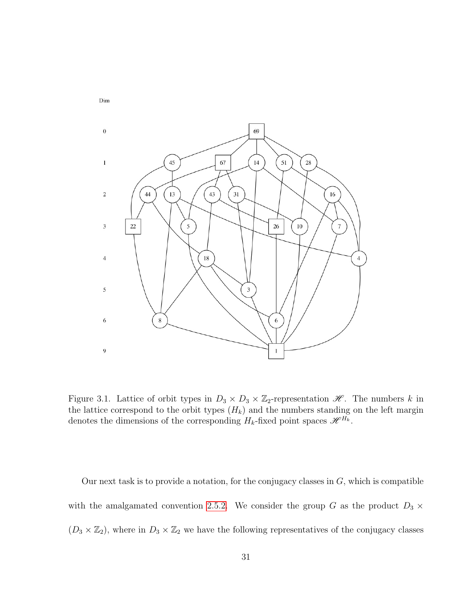

Figure 3.1. Lattice of orbit types in  $D_3 \times D_3 \times \mathbb{Z}_2$ -representation  $\mathcal{H}$ . The numbers k in the lattice correspond to the orbit types  $(H_k)$  and the numbers standing on the left margin denotes the dimensions of the corresponding  $H_k$ -fixed point spaces  $\mathscr{H}^{H_k}$ .

Our next task is to provide a notation, for the conjugacy classes in  $G$ , which is compatible with the amalgamated convention [2.5.2.](#page-25-0) We consider the group G as the product  $D_3 \times$  $(D_3 \times \mathbb{Z}_2)$ , where in  $D_3 \times \mathbb{Z}_2$  we have the following representatives of the conjugacy classes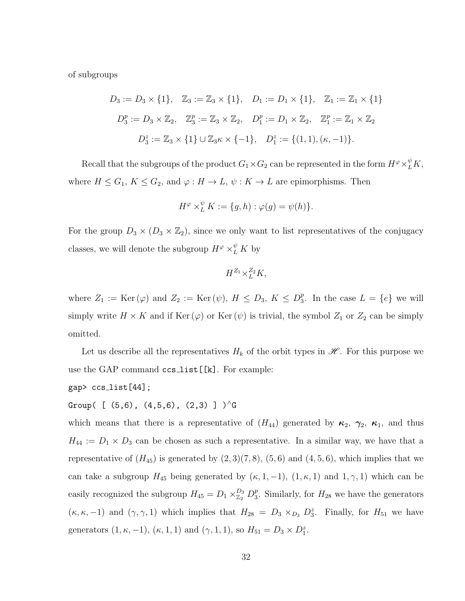of subgroups

$$
D_3 := D_3 \times \{1\}, \quad Z_3 := Z_3 \times \{1\}, \quad D_1 := D_1 \times \{1\}, \quad Z_1 := Z_1 \times \{1\}
$$
\n
$$
D_3^p := D_3 \times Z_2, \quad Z_3^p := Z_3 \times Z_2, \quad D_1^p := D_1 \times Z_2, \quad Z_1^p := Z_1 \times Z_2
$$
\n
$$
D_3^z := Z_3 \times \{1\} \cup Z_3 \kappa \times \{-1\}, \quad D_1^z := \{(1, 1), (\kappa, -1)\}.
$$

Recall that the subgroups of the product  $G_1 \times G_2$  can be represented in the form  $H^{\varphi} \times_L^{\psi} K$ , where  $H \leq G_1$ ,  $K \leq G_2$ , and  $\varphi : H \to L$ ,  $\psi : K \to L$  are epimorphisms. Then

$$
H^{\varphi} \times_L^{\psi} K := \{ g, h) : \varphi(g) = \psi(h) \}.
$$

For the group  $D_3 \times (D_3 \times \mathbb{Z}_2)$ , since we only want to list representatives of the conjugacy classes, we will denote the subgroup  $H^{\varphi} \times^{\psi}_L K$  by

$$
H^{Z_1} \times_L^{Z_2} K,
$$

where  $Z_1 := \text{Ker}(\varphi)$  and  $Z_2 := \text{Ker}(\psi)$ ,  $H \leq D_3$ ,  $K \leq D_3^p$  $_3^p$ . In the case  $L = \{e\}$  we will simply write  $H \times K$  and if Ker  $(\varphi)$  or Ker  $(\psi)$  is trivial, the symbol  $Z_1$  or  $Z_2$  can be simply omitted.

Let us describe all the representatives  $H_k$  of the orbit types in  $\mathscr{H}$ . For this purpose we use the GAP command ccs list[[k]. For example:

$$
gap
$$
  $ccs_list[44]$ ;

Group( [  $(5,6)$ ,  $(4,5,6)$ ,  $(2,3)$  ]  $)^{A}G$ 

which means that there is a representative of  $(H_{44})$  generated by  $\kappa_2$ ,  $\kappa_1$ , and thus  $H_{44} := D_1 \times D_3$  can be chosen as such a representative. In a similar way, we have that a representative of  $(H_{45})$  is generated by  $(2,3)(7,8)$ ,  $(5,6)$  and  $(4,5,6)$ , which implies that we can take a subgroup  $H_{45}$  being generated by  $(\kappa, 1, -1)$ ,  $(1, \kappa, 1)$  and  $(1, \gamma, 1)$  which can be easily recognized the subgroup  $H_{45} = D_1 \times_{\mathbb{Z}_2}^{D_3} D_3^p$  $_3^p$ . Similarly, for  $H_{28}$  we have the generators  $(\kappa, \kappa, -1)$  and  $(\gamma, \gamma, 1)$  which implies that  $H_{28} = D_3 \times_{D_3} D_3^z$ . Finally, for  $H_{51}$  we have generators  $(1, \kappa, -1)$ ,  $(\kappa, 1, 1)$  and  $(\gamma, 1, 1)$ , so  $H_{51} = D_3 \times D_1^z$ .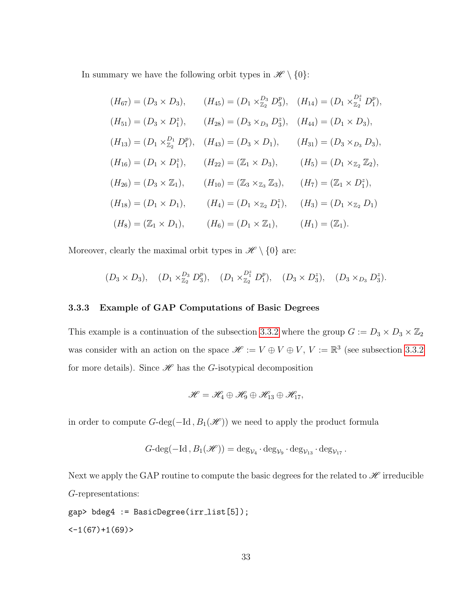In summary we have the following orbit types in  $\mathscr{H} \setminus \{0\}$ :

$$
(H_{67}) = (D_3 \times D_3), \qquad (H_{45}) = (D_1 \times \mathbb{Z}_2^3 D_3^p), \quad (H_{14}) = (D_1 \times \mathbb{Z}_2^7 D_1^p),
$$
  
\n
$$
(H_{51}) = (D_3 \times D_1^z), \qquad (H_{28}) = (D_3 \times D_3 D_3^z), \quad (H_{44}) = (D_1 \times D_3),
$$
  
\n
$$
(H_{13}) = (D_1 \times \mathbb{Z}_2^D D_1^p), \quad (H_{43}) = (D_3 \times D_1), \qquad (H_{31}) = (D_3 \times D_3 D_3),
$$
  
\n
$$
(H_{16}) = (D_1 \times D_1^z), \qquad (H_{22}) = (\mathbb{Z}_1 \times D_3), \qquad (H_5) = (D_1 \times \mathbb{Z}_2 \mathbb{Z}_2),
$$
  
\n
$$
(H_{26}) = (D_3 \times \mathbb{Z}_1), \qquad (H_{10}) = (\mathbb{Z}_3 \times \mathbb{Z}_3 \mathbb{Z}_3), \qquad (H_7) = (\mathbb{Z}_1 \times D_1^z),
$$
  
\n
$$
(H_{18}) = (D_1 \times D_1), \qquad (H_4) = (D_1 \times \mathbb{Z}_2 D_1^z), \qquad (H_3) = (D_1 \times \mathbb{Z}_2 D_1)
$$
  
\n
$$
(H_8) = (\mathbb{Z}_1 \times D_1), \qquad (H_6) = (D_1 \times \mathbb{Z}_1), \qquad (H_1) = (\mathbb{Z}_1).
$$

Moreover, clearly the maximal orbit types in  $\mathscr{H} \setminus \{0\}$  are:

$$
(D_3 \times D_3), \quad (D_1 \times \mathbb{Z}_2^D D_3^p), \quad (D_1 \times \mathbb{Z}_2^P D_1^p), \quad (D_3 \times D_3^z), \quad (D_3 \times D_3 D_3^z).
$$

## 3.3.3 Example of GAP Computations of Basic Degrees

This example is a continuation of the subsection [3.3.2](#page-35-0) where the group  $G := D_3 \times D_3 \times \mathbb{Z}_2$ was consider with an action on the space  $\mathscr{H} := V \oplus V \oplus V$ ,  $V := \mathbb{R}^3$  (see subsection [3.3.2](#page-35-0)) for more details). Since  $\mathscr H$  has the G-isotypical decomposition

$$
\mathscr{H}=\mathscr{H}_4\oplus\mathscr{H}_9\oplus\mathscr{H}_{13}\oplus\mathscr{H}_{17},
$$

in order to compute  $G$ -deg( $-\text{Id}$ ,  $B_1(\mathscr{H})$ ) we need to apply the product formula

$$
G\text{-}\mathrm{deg}(-\mathrm{Id}\,,B_1(\mathscr{H}))=\mathrm{deg}_{\mathcal{V}_4}\cdot \mathrm{deg}_{\mathcal{V}_9}\cdot \mathrm{deg}_{\mathcal{V}_{13}}\cdot \mathrm{deg}_{\mathcal{V}_{17}}.
$$

Next we apply the GAP routine to compute the basic degrees for the related to  $\mathscr H$  irreducible G-representations:

gap> bdeg4 := BasicDegree(irr list[5]);  $<-1(67)+1(69)$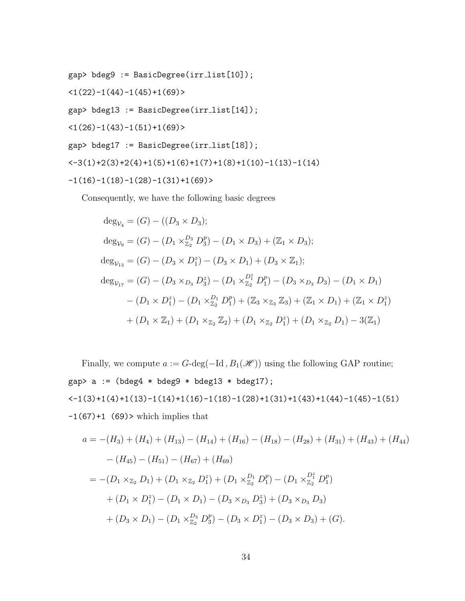gap> bdeg9 := BasicDegree(irr list[10]);

 $\langle 1(22)-1(44)-1(45)+1(69)\rangle$ 

gap> bdeg13 := BasicDegree(irr list[14]);

 $(1(26)-1(43)-1(51)+1(69)$ 

$$
\texttt{gap> bdeg17} := \texttt{BasicDegree}(irr_list[18]);
$$

 $<-3(1)+2(3)+2(4)+1(5)+1(6)+1(7)+1(8)+1(10)-1(13)-1(14)$ 

$$
-1(16)-1(18)-1(28)-1(31)+1(69)>
$$

Consequently, we have the following basic degrees

$$
deg_{\mathcal{V}_4} = (G) - ((D_3 \times D_3);
$$
  
\n
$$
deg_{\mathcal{V}_9} = (G) - (D_1 \times \frac{D_3}{\mathbb{Z}_2} D_3^p) - (D_1 \times D_3) + (\mathbb{Z}_1 \times D_3);
$$
  
\n
$$
deg_{\mathcal{V}_{13}} = (G) - (D_3 \times D_1^z) - (D_3 \times D_1) + (D_3 \times \mathbb{Z}_1);
$$
  
\n
$$
deg_{\mathcal{V}_{17}} = (G) - (D_3 \times_{D_3} D_3^z) - (D_1 \times \frac{D_1^z}{\mathbb{Z}_2} D_1^p) - (D_3 \times_{D_3} D_3) - (D_1 \times D_1) - (D_1 \times D_1^z) - (D_1 \times \frac{D_1}{\mathbb{Z}_2} D_1^p) + (\mathbb{Z}_3 \times_{\mathbb{Z}_3} \mathbb{Z}_3) + (\mathbb{Z}_1 \times D_1) + (\mathbb{Z}_1 \times D_1^z) + (D_1 \times \mathbb{Z}_1) + (D_1 \times \mathbb{Z}_2 \mathbb{Z}_2) + (D_1 \times \mathbb{Z}_2 D_1^z) + (D_1 \times \mathbb{Z}_2 D_1) - 3(\mathbb{Z}_1)
$$

Finally, we compute  $a := G$ -deg(−Id,  $B_1(\mathcal{H})$ ) using the following GAP routine; gap> a :=  $(bdeg4 * bdeg9 * bdeg13 * bdeg17);$  $\left(-1(3)+1(4)+1(13)-1(14)+1(16)-1(18)-1(28)+1(31)+1(43)+1(44)-1(45)-1(51)\right)$  $-1(67) + 1$  (69)<br/>> $\textrm{which implies that}$ 

$$
a = -(H_3) + (H_4) + (H_{13}) - (H_{14}) + (H_{16}) - (H_{18}) - (H_{28}) + (H_{31}) + (H_{43}) + (H_{44})
$$
  
\n
$$
- (H_{45}) - (H_{51}) - (H_{67}) + (H_{69})
$$
  
\n
$$
= -(D_1 \times_{\mathbb{Z}_2} D_1) + (D_1 \times_{\mathbb{Z}_2} D_1^z) + (D_1 \times_{\mathbb{Z}_2} D_1^p) - (D_1 \times_{\mathbb{Z}_2} D_1^p)
$$
  
\n
$$
+ (D_1 \times D_1^z) - (D_1 \times D_1) - (D_3 \times_{D_3} D_3^z) + (D_3 \times_{D_3} D_3)
$$
  
\n
$$
+ (D_3 \times D_1) - (D_1 \times_{\mathbb{Z}_2} D_3^p) - (D_3 \times D_1^z) - (D_3 \times D_3) + (G).
$$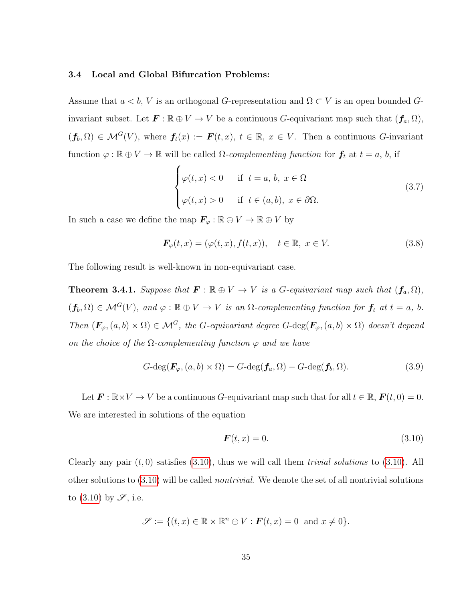## 3.4 Local and Global Bifurcation Problems:

Assume that  $a < b$ , V is an orthogonal G-representation and  $\Omega \subset V$  is an open bounded Ginvariant subset. Let  $\mathbf{F} : \mathbb{R} \oplus V \to V$  be a continuous G-equivariant map such that  $(\mathbf{f}_a, \Omega)$ ,  $(f_b, \Omega) \in \mathcal{M}^G(V)$ , where  $f_t(x) := \mathbf{F}(t, x), t \in \mathbb{R}, x \in V$ . Then a continuous G-invariant function  $\varphi : \mathbb{R} \oplus V \to \mathbb{R}$  will be called  $\Omega$ -complementing function for  $f_t$  at  $t = a, b$ , if

$$
\begin{cases}\n\varphi(t,x) < 0 \quad \text{if } t = a, b, x \in \Omega \\
\varphi(t,x) > 0 \quad \text{if } t \in (a,b), x \in \partial\Omega.\n\end{cases}
$$
\n
$$
(3.7)
$$

In such a case we define the map  $\mathbf{F}_{\varphi} : \mathbb{R} \oplus V \to \mathbb{R} \oplus V$  by

$$
\mathbf{F}_{\varphi}(t,x) = (\varphi(t,x), f(t,x)), \quad t \in \mathbb{R}, \ x \in V. \tag{3.8}
$$

The following result is well-known in non-equivariant case.

<span id="page-44-1"></span>**Theorem 3.4.1.** Suppose that  $\mathbf{F} : \mathbb{R} \oplus V \to V$  is a G-equivariant map such that  $(\mathbf{f}_a, \Omega)$ ,  $(f_b, \Omega) \in \mathcal{M}^G(V)$ , and  $\varphi : \mathbb{R} \oplus V \to V$  is an  $\Omega$ -complementing function for  $f_t$  at  $t = a$ , b. Then  $(\mathbf{F}_{\varphi},(a,b)\times\Omega) \in \mathcal{M}^G$ , the G-equivariant degree G-deg $(\mathbf{F}_{\varphi},(a,b)\times\Omega)$  doesn't depend on the choice of the  $\Omega$ -complementing function  $\varphi$  and we have

$$
G\text{-deg}(\boldsymbol{F}_{\varphi}, (a, b) \times \Omega) = G\text{-deg}(\boldsymbol{f}_a, \Omega) - G\text{-deg}(\boldsymbol{f}_b, \Omega). \tag{3.9}
$$

Let  $\mathbf{F} : \mathbb{R} \times V \to V$  be a continuous G-equivariant map such that for all  $t \in \mathbb{R}$ ,  $\mathbf{F}(t, 0) = 0$ . We are interested in solutions of the equation

<span id="page-44-0"></span>
$$
\boldsymbol{F}(t,x) = 0.\tag{3.10}
$$

Clearly any pair  $(t, 0)$  satisfies  $(3.10)$ , thus we will call them *trivial solutions* to  $(3.10)$ . All other solutions to  $(3.10)$  will be called *nontrivial*. We denote the set of all nontrivial solutions to  $(3.10)$  by  $\mathscr{S}$ , i.e.

$$
\mathscr{S} := \{ (t, x) \in \mathbb{R} \times \mathbb{R}^n \oplus V : \boldsymbol{F}(t, x) = 0 \text{ and } x \neq 0 \}.
$$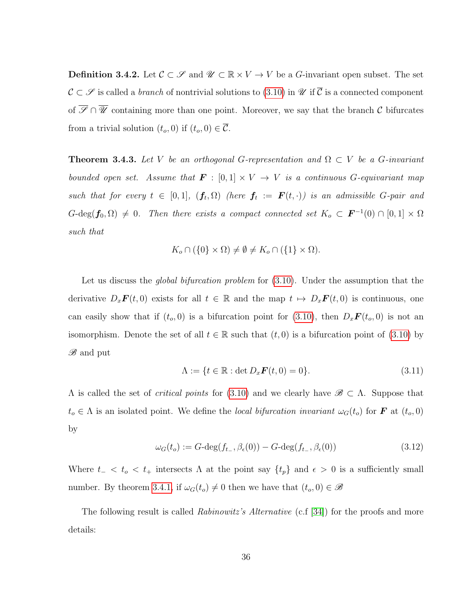**Definition 3.4.2.** Let  $\mathcal{C} \subset \mathcal{S}$  and  $\mathcal{U} \subset \mathbb{R} \times V \to V$  be a G-invariant open subset. The set  $\mathcal{C} \subset \mathcal{S}$  is called a *branch* of nontrivial solutions to [\(3.10\)](#page-44-0) in  $\mathcal{U}$  if  $\overline{\mathcal{C}}$  is a connected component of  $\overline{\mathscr{S}} \cap \overline{\mathscr{U}}$  containing more than one point. Moreover, we say that the branch  $\mathcal{C}$  bifurcates from a trivial solution  $(t_o, 0)$  if  $(t_o, 0) \in \overline{\mathcal{C}}$ .

**Theorem 3.4.3.** Let V be an orthogonal G-representation and  $\Omega \subset V$  be a G-invariant bounded open set. Assume that  $\mathbf{F} : [0,1] \times V \to V$  is a continuous G-equivariant map such that for every  $t \in [0,1]$ ,  $(f_t, \Omega)$  (here  $f_t := F(t, \cdot)$ ) is an admissible G-pair and  $G-\deg(\mathbf{f}_0,\Omega) \neq 0$ . Then there exists a compact connected set  $K_o \subset \mathbf{F}^{-1}(0) \cap [0,1] \times \Omega$ such that

$$
K_o \cap (\{0\} \times \Omega) \neq \emptyset \neq K_o \cap (\{1\} \times \Omega).
$$

Let us discuss the *global bifurcation problem* for  $(3.10)$ . Under the assumption that the derivative  $D_x\boldsymbol{F}(t,0)$  exists for all  $t \in \mathbb{R}$  and the map  $t \mapsto D_x\boldsymbol{F}(t,0)$  is continuous, one can easily show that if  $(t_o, 0)$  is a bifurcation point for  $(3.10)$ , then  $D_x \mathbf{F}(t_o, 0)$  is not an isomorphism. Denote the set of all  $t \in \mathbb{R}$  such that  $(t, 0)$  is a bifurcation point of [\(3.10\)](#page-44-0) by **B** and put

<span id="page-45-0"></span>
$$
\Lambda := \{ t \in \mathbb{R} : \det D_x \mathbf{F}(t, 0) = 0 \}. \tag{3.11}
$$

 $\Lambda$  is called the set of *critical points* for [\(3.10\)](#page-44-0) and we clearly have  $\mathscr{B} \subset \Lambda$ . Suppose that  $t_o \in \Lambda$  is an isolated point. We define the local bifurcation invariant  $\omega_G(t_o)$  for **F** at  $(t_o, 0)$ by

$$
\omega_G(t_o) := G \cdot \deg(f_{t_o}, \beta_{\epsilon}(0)) - G \cdot \deg(f_{t_o}, \beta_{\epsilon}(0)) \tag{3.12}
$$

Where  $t_{-} < t_{o} < t_{+}$  intersects  $\Lambda$  at the point say  $\{t_{p}\}\$  and  $\epsilon > 0$  is a sufficiently small number. By theorem [3.4.1,](#page-44-1) if  $\omega_G(t_o) \neq 0$  then we have that  $(t_o, 0) \in \mathscr{B}$ 

The following result is called *Rabinowitz's Alternative* (c.f [\[34\]](#page-83-0)) for the proofs and more details: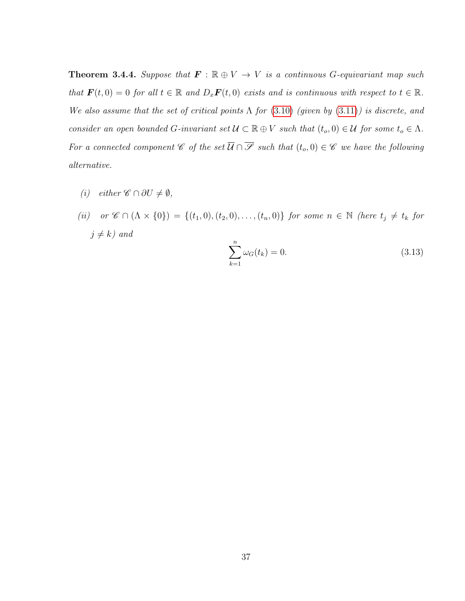**Theorem 3.4.4.** Suppose that  $\mathbf{F} : \mathbb{R} \oplus V \to V$  is a continuous G-equivariant map such that  $\mathbf{F}(t, 0) = 0$  for all  $t \in \mathbb{R}$  and  $D_x \mathbf{F}(t, 0)$  exists and is continuous with respect to  $t \in \mathbb{R}$ . We also assume that the set of critical points  $\Lambda$  for [\(3.10\)](#page-44-0) (given by [\(3.11\)](#page-45-0)) is discrete, and consider an open bounded G-invariant set  $\mathcal{U} \subset \mathbb{R} \oplus V$  such that  $(t_o, 0) \in \mathcal{U}$  for some  $t_o \in \Lambda$ . For a connected component  $\mathscr{C}$  of the set  $\overline{\mathcal{U}} \cap \overline{\mathscr{S}}$  such that  $(t_o, 0) \in \mathscr{C}$  we have the following alternative.

- (i) either  $\mathscr{C} \cap \partial U \neq \emptyset$ ,
- (ii) or  $\mathscr{C} \cap (\Lambda \times \{0\}) = \{(t_1, 0), (t_2, 0), \ldots, (t_n, 0)\}$  for some  $n \in \mathbb{N}$  (here  $t_j \neq t_k$  for  $j \neq k$ ) and

$$
\sum_{k=1}^{n} \omega_G(t_k) = 0.
$$
\n(3.13)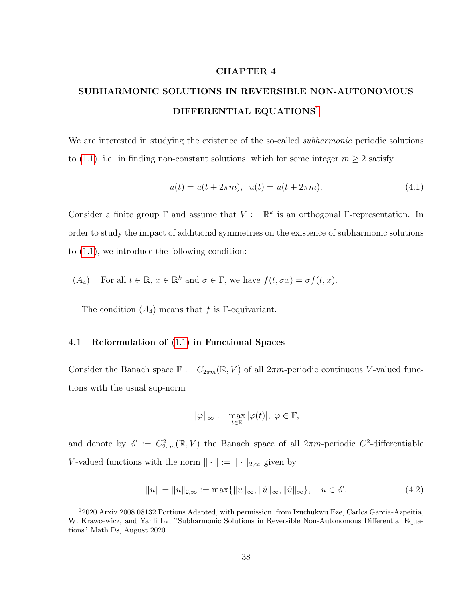# CHAPTER 4

# SUBHARMONIC SOLUTIONS IN REVERSIBLE NON-AUTONOMOUS DIFFERENTIAL EQUATIONS<sup>[1](#page-47-0)</sup>

We are interested in studying the existence of the so-called *subharmonic* periodic solutions to [\(1.1\)](#page-10-0), i.e. in finding non-constant solutions, which for some integer  $m \geq 2$  satisfy

$$
u(t) = u(t + 2\pi m), \quad \dot{u}(t) = \dot{u}(t + 2\pi m). \tag{4.1}
$$

Consider a finite group  $\Gamma$  and assume that  $V := \mathbb{R}^k$  is an orthogonal  $\Gamma$ -representation. In order to study the impact of additional symmetries on the existence of subharmonic solutions to [\(1.1\)](#page-10-0), we introduce the following condition:

(A<sub>4</sub>) For all 
$$
t \in \mathbb{R}
$$
,  $x \in \mathbb{R}^k$  and  $\sigma \in \Gamma$ , we have  $f(t, \sigma x) = \sigma f(t, x)$ .

The condition  $(A_4)$  means that f is Γ-equivariant.

#### 4.1 Reformulation of [\(1.1\)](#page-10-0) in Functional Spaces

Consider the Banach space  $\mathbb{F} := C_{2\pi m}(\mathbb{R}, V)$  of all  $2\pi m$ -periodic continuous V-valued functions with the usual sup-norm

$$
\|\varphi\|_\infty:=\max_{t\in\mathbb{R}}|\varphi(t)|,\ \varphi\in\mathbb{F},
$$

and denote by  $\mathscr{E} := C^2_{2\pi m}(\mathbb{R}, V)$  the Banach space of all  $2\pi m$ -periodic  $C^2$ -differentiable V-valued functions with the norm  $\|\cdot\| := \|\cdot\|_{2,\infty}$  given by

$$
||u|| = ||u||_{2,\infty} := \max{||u||_{\infty}, ||\dot{u}||_{\infty}, ||\ddot{u}||_{\infty}}, \quad u \in \mathscr{E}.
$$
 (4.2)

<span id="page-47-0"></span><sup>1</sup>2020 Arxiv.2008.08132 Portions Adapted, with permission, from Izuchukwu Eze, Carlos Garcia-Azpeitia, W. Krawcewicz, and Yanli Lv, "Subharmonic Solutions in Reversible Non-Autonomous Differential Equations" Math.Ds, August 2020.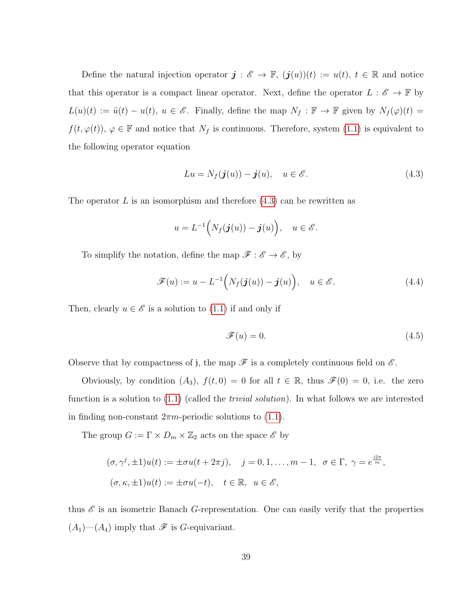Define the natural injection operator  $\mathbf{j} : \mathscr{E} \to \mathbb{F}$ ,  $(\mathbf{j}(u))(t) := u(t), t \in \mathbb{R}$  and notice that this operator is a compact linear operator. Next, define the operator  $L : \mathscr{E} \to \mathbb{F}$  by  $L(u)(t) := \ddot{u}(t) - u(t), u \in \mathscr{E}$ . Finally, define the map  $N_f : \mathbb{F} \to \mathbb{F}$  given by  $N_f(\varphi)(t) =$  $f(t, \varphi(t)), \varphi \in \mathbb{F}$  and notice that  $N_f$  is continuous. Therefore, system [\(1.1\)](#page-10-0) is equivalent to the following operator equation

<span id="page-48-0"></span>
$$
Lu = N_f(\boldsymbol{j}(u)) - \boldsymbol{j}(u), \quad u \in \mathscr{E}.
$$
\n(4.3)

The operator L is an isomorphism and therefore  $(4.3)$  can be rewritten as

$$
u = L^{-1}\Big(N_f(\boldsymbol{j}(u)) - \boldsymbol{j}(u)\Big), \quad u \in \mathscr{E}.
$$

To simplify the notation, define the map  $\mathscr{F}:\mathscr{E}\to\mathscr{E},$  by

<span id="page-48-1"></span>
$$
\mathscr{F}(u) := u - L^{-1}\Big(N_f(\boldsymbol{j}(u)) - \boldsymbol{j}(u)\Big), \quad u \in \mathscr{E}.
$$
\n(4.4)

Then, clearly  $u \in \mathscr{E}$  is a solution to [\(1.1\)](#page-10-0) if and only if

$$
\mathcal{F}(u) = 0.\tag{4.5}
$$

Observe that by compactness of j, the map  $\mathscr F$  is a completely continuous field on  $\mathscr E$ .

Obviously, by condition  $(A_3)$ ,  $f(t, 0) = 0$  for all  $t \in \mathbb{R}$ , thus  $\mathscr{F}(0) = 0$ , i.e. the zero function is a solution to  $(1.1)$  (called the *trivial solution*). In what follows we are interested in finding non-constant  $2\pi m$ -periodic solutions to [\(1.1\)](#page-10-0).

The group  $G := \Gamma \times D_m \times \mathbb{Z}_2$  acts on the space  $\mathscr{E}$  by

$$
(\sigma, \gamma^j, \pm 1)u(t) := \pm \sigma u(t + 2\pi j), \quad j = 0, 1, \dots, m - 1, \quad \sigma \in \Gamma, \quad \gamma = e^{\frac{i2\pi}{m}},
$$
  

$$
(\sigma, \kappa, \pm 1)u(t) := \pm \sigma u(-t), \quad t \in \mathbb{R}, \quad u \in \mathscr{E},
$$

thus  $\mathscr E$  is an isometric Banach G-representation. One can easily verify that the properties  $(A_1)$ — $(A_4)$  imply that  $\mathscr F$  is G-equivariant.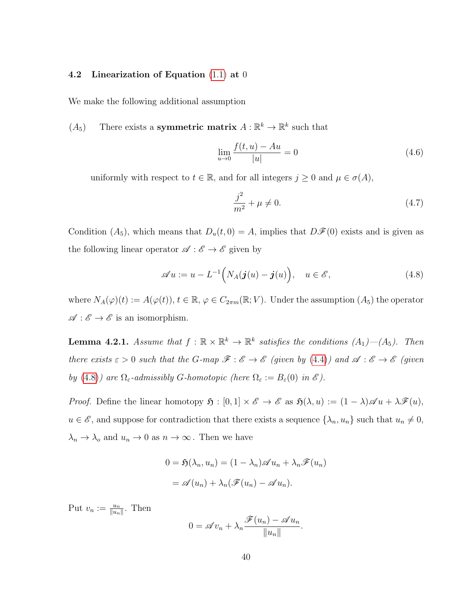## 4.2 Linearization of Equation [\(1.1\)](#page-10-0) at 0

We make the following additional assumption

 $(A_5)$  There exists a **symmetric matrix**  $A: \mathbb{R}^k \to \mathbb{R}^k$  such that

$$
\lim_{u \to 0} \frac{f(t, u) - Au}{|u|} = 0
$$
\n(4.6)

uniformly with respect to  $t \in \mathbb{R}$ , and for all integers  $j \geq 0$  and  $\mu \in \sigma(A)$ ,

$$
\frac{j^2}{m^2} + \mu \neq 0.
$$
 (4.7)

Condition  $(A_5)$ , which means that  $D_u(t, 0) = A$ , implies that  $D\mathscr{F}(0)$  exists and is given as the following linear operator  $\mathscr{A} : \mathscr{E} \to \mathscr{E}$  given by

<span id="page-49-0"></span>
$$
\mathscr{A}u := u - L^{-1}\Big(N_A(\boldsymbol{j}(u) - \boldsymbol{j}(u)\Big), \quad u \in \mathscr{E}, \tag{4.8}
$$

where  $N_A(\varphi)(t) := A(\varphi(t)), t \in \mathbb{R}, \varphi \in C_{2\pi m}(\mathbb{R}; V)$ . Under the assumption  $(A_5)$  the operator  $\mathscr{A} : \mathscr{E} \to \mathscr{E}$  is an isomorphism.

<span id="page-49-1"></span>**Lemma 4.2.1.** Assume that  $f : \mathbb{R} \times \mathbb{R}^k \to \mathbb{R}^k$  satisfies the conditions  $(A_1)$ — $(A_5)$ . Then there exists  $\varepsilon > 0$  such that the G-map  $\mathscr{F} : \mathscr{E} \to \mathscr{E}$  (given by [\(4.4\)](#page-48-1)) and  $\mathscr{A} : \mathscr{E} \to \mathscr{E}$  (given by [\(4.8\)](#page-49-0)) are  $\Omega_{\varepsilon}$ -admissibly G-homotopic (here  $\Omega_{\varepsilon} := B_{\varepsilon}(0)$  in  $\mathscr{E}$ ).

*Proof.* Define the linear homotopy  $\mathfrak{H} : [0,1] \times \mathscr{E} \to \mathscr{E}$  as  $\mathfrak{H}(\lambda, u) := (1 - \lambda) \mathscr{A} u + \lambda \mathscr{F}(u)$ ,  $u \in \mathscr{E}$ , and suppose for contradiction that there exists a sequence  $\{\lambda_n, u_n\}$  such that  $u_n \neq 0$ ,  $\lambda_n \to \lambda_o$  and  $u_n \to 0$  as  $n \to \infty$ . Then we have

$$
0 = \mathfrak{H}(\lambda_n, u_n) = (1 - \lambda_n) \mathscr{A} u_n + \lambda_n \mathscr{F}(u_n)
$$

$$
= \mathscr{A}(u_n) + \lambda_n (\mathscr{F}(u_n) - \mathscr{A} u_n).
$$

Put  $v_n := \frac{u_n}{\|u_n\|}$ . Then

$$
0 = \mathscr{A}v_n + \lambda_n \frac{\mathscr{F}(u_n) - \mathscr{A}u_n}{\|u_n\|}
$$

.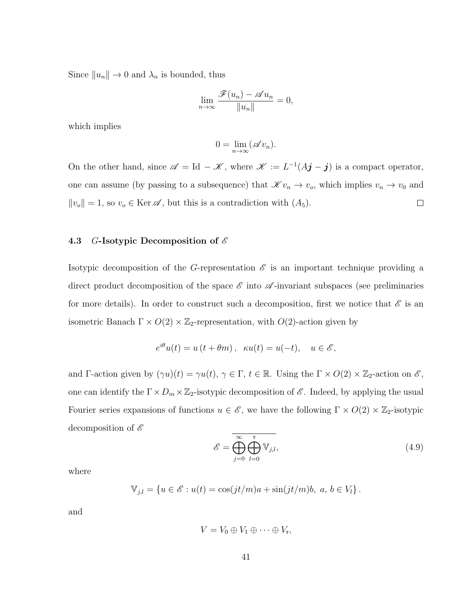Since  $||u_n|| \to 0$  and  $\lambda_n$  is bounded, thus

$$
\lim_{n \to \infty} \frac{\mathscr{F}(u_n) - \mathscr{A}u_n}{\|u_n\|} = 0,
$$

which implies

$$
0 = \lim_{n \to \infty} (\mathscr{A}v_n).
$$

On the other hand, since  $\mathscr{A} = \mathrm{Id} - \mathscr{K}$ , where  $\mathscr{K} := L^{-1}(A\mathbf{j} - \mathbf{j})$  is a compact operator, one can assume (by passing to a subsequence) that  $\mathscr{K} v_n \to v_o$ , which implies  $v_n \to v_0$  and  $||v_o|| = 1$ , so  $v_o \in \text{Ker } \mathscr{A}$ , but this is a contradiction with  $(A_5)$ .  $\Box$ 

## 4.3 G-Isotypic Decomposition of  $\mathscr E$

Isotypic decomposition of the G-representation  $\mathscr E$  is an important technique providing a direct product decomposition of the space  $\mathscr E$  into  $\mathscr A$ -invariant subspaces (see preliminaries for more details). In order to construct such a decomposition, first we notice that  $\mathscr E$  is an isometric Banach  $\Gamma \times O(2) \times \mathbb{Z}_2$ -representation, with  $O(2)$ -action given by

$$
e^{i\theta}u(t) = u(t + \theta m), \quad \kappa u(t) = u(-t), \quad u \in \mathscr{E},
$$

and Γ-action given by  $(\gamma u)(t) = \gamma u(t)$ ,  $\gamma \in \Gamma$ ,  $t \in \mathbb{R}$ . Using the  $\Gamma \times O(2) \times \mathbb{Z}_2$ -action on  $\mathscr{E}$ , one can identify the  $\Gamma \times D_m \times \mathbb{Z}_2$ -isotypic decomposition of  $\mathscr{E}$ . Indeed, by applying the usual Fourier series expansions of functions  $u \in \mathscr{E}$ , we have the following  $\Gamma \times O(2) \times \mathbb{Z}_2$ -isotypic decomposition of  $\mathscr E$ 

<span id="page-50-0"></span>
$$
\mathscr{E} = \overline{\bigoplus_{j=0}^{\infty} \bigoplus_{l=0}^{\mathfrak{r}} \mathbb{V}_{j,l}},\tag{4.9}
$$

where

$$
\mathbb{V}_{j,l} = \{ u \in \mathscr{E} : u(t) = \cos(jt/m)a + \sin(jt/m)b, \ a, b \in V_l \}.
$$

and

$$
V=V_0\oplus V_1\oplus\cdots\oplus V_{\mathfrak{r}},
$$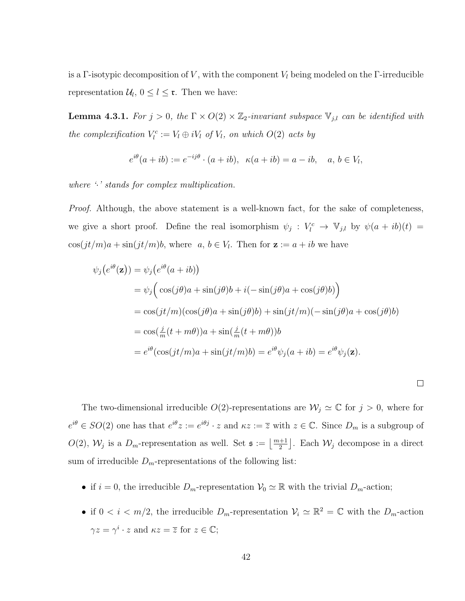is a Γ-isotypic decomposition of V, with the component  $V_l$  being modeled on the Γ-irreducible representation  $\mathcal{U}_l$ ,  $0 \leq l \leq \mathfrak{r}$ . Then we have:

**Lemma 4.3.1.** For  $j > 0$ , the  $\Gamma \times O(2) \times \mathbb{Z}_2$ -invariant subspace  $\mathbb{V}_{j,l}$  can be identified with the complexification  $V_l^c := V_l \oplus iV_l$  of  $V_l$ , on which  $O(2)$  acts by

$$
e^{i\theta}(a+ib) := e^{-ij\theta} \cdot (a+ib), \ \ \kappa(a+ib) = a - ib, \quad a, b \in V_l,
$$

where  $\cdot$  stands for complex multiplication.

*Proof.* Although, the above statement is a well-known fact, for the sake of completeness, we give a short proof. Define the real isomorphism  $\psi_j : V_l^c \to \mathbb{V}_{j,l}$  by  $\psi(a+ib)(t) =$  $\cos(jt/m)a + \sin(jt/m)b$ , where  $a, b \in V_l$ . Then for  $\mathbf{z} := a + ib$  we have

$$
\psi_j(e^{i\theta}(\mathbf{z})) = \psi_j(e^{i\theta}(a+ib))
$$
  
=  $\psi_j\Big(\cos(j\theta)a + \sin(j\theta)b + i(-\sin(j\theta)a + \cos(j\theta)b)\Big)$   
=  $\cos(jt/m)(\cos(j\theta)a + \sin(j\theta)b) + \sin(jt/m)(-\sin(j\theta)a + \cos(j\theta)b)$   
=  $\cos(\frac{j}{m}(t+m\theta))a + \sin(\frac{j}{m}(t+m\theta))b$   
=  $e^{i\theta}(\cos(jt/m)a + \sin(jt/m)b) = e^{i\theta}\psi_j(a+ib) = e^{i\theta}\psi_j(\mathbf{z}).$ 

The two-dimensional irreducible  $O(2)$ -representations are  $\mathcal{W}_j \simeq \mathbb{C}$  for  $j > 0$ , where for  $e^{i\theta} \in SO(2)$  one has that  $e^{i\theta}z := e^{i\theta j} \cdot z$  and  $\kappa z := \overline{z}$  with  $z \in \mathbb{C}$ . Since  $D_m$  is a subgroup of  $O(2)$ ,  $\mathcal{W}_j$  is a  $D_m$ -representation as well. Set  $\mathfrak{s} := \left\lfloor \frac{m+1}{2} \right\rfloor$ . Each  $\mathcal{W}_j$  decompose in a direct sum of irreducible  $D_m$ -representations of the following list:

- if  $i = 0$ , the irreducible  $D_m$ -representation  $\mathcal{V}_0 \simeq \mathbb{R}$  with the trivial  $D_m$ -action;
- if  $0 < i < m/2$ , the irreducible  $D_m$ -representation  $\mathcal{V}_i \simeq \mathbb{R}^2 = \mathbb{C}$  with the  $D_m$ -action  $\gamma z = \gamma^i \cdot z$  and  $\kappa z = \overline{z}$  for  $z \in \mathbb{C}$ ;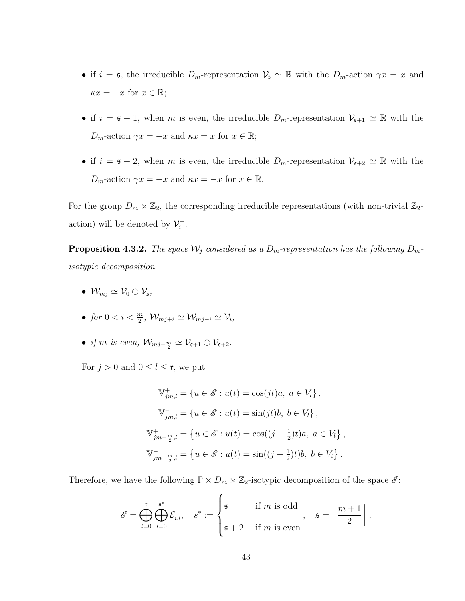- if  $i = \mathfrak{s}$ , the irreducible  $D_m$ -representation  $\mathcal{V}_{\mathfrak{s}} \simeq \mathbb{R}$  with the  $D_m$ -action  $\gamma x = x$  and  $\kappa x = -x$  for  $x \in \mathbb{R}$ ;
- if  $i = \mathfrak{s} + 1$ , when m is even, the irreducible  $D_m$ -representation  $\mathcal{V}_{\mathfrak{s}+1} \simeq \mathbb{R}$  with the  $D_m$ -action  $\gamma x = -x$  and  $\kappa x = x$  for  $x \in \mathbb{R}$ ;
- if  $i = \mathfrak{s} + 2$ , when m is even, the irreducible  $D_m$ -representation  $\mathcal{V}_{\mathfrak{s}+2} \simeq \mathbb{R}$  with the  $D_m$ -action  $\gamma x = -x$  and  $\kappa x = -x$  for  $x \in \mathbb{R}$ .

For the group  $D_m \times \mathbb{Z}_2$ , the corresponding irreducible representations (with non-trivial  $\mathbb{Z}_2$ action) will be denoted by  $\mathcal{V}_i^ \frac{i}{i}$ .

**Proposition 4.3.2.** The space  $\mathcal{W}_j$  considered as a  $D_m$ -representation has the following  $D_m$ isotypic decomposition

- $\mathcal{W}_{mj} \simeq \mathcal{V}_0 \oplus \mathcal{V}_{\mathfrak{s}},$
- for  $0 < i < \frac{m}{2}$ ,  $\mathcal{W}_{mj+i} \simeq \mathcal{W}_{mj-i} \simeq \mathcal{V}_i$ ,
- if m is even,  $\mathcal{W}_{mj-\frac{m}{2}} \simeq \mathcal{V}_{s+1} \oplus \mathcal{V}_{s+2}$ .

For  $j > 0$  and  $0 \leq l \leq \mathfrak{r}$ , we put

$$
\mathbb{V}_{jm,l}^{+} = \{ u \in \mathscr{E} : u(t) = \cos(jt)a, \ a \in V_l \},\
$$

$$
\mathbb{V}_{jm,l}^{-} = \{ u \in \mathscr{E} : u(t) = \sin(jt)b, \ b \in V_l \},\
$$

$$
\mathbb{V}_{jm-\frac{m}{2},l}^{+} = \{ u \in \mathscr{E} : u(t) = \cos((j-\frac{1}{2})t)a, \ a \in V_l \},\
$$

$$
\mathbb{V}_{jm-\frac{m}{2},l}^{-} = \{ u \in \mathscr{E} : u(t) = \sin((j-\frac{1}{2})t)b, \ b \in V_l \}.
$$

Therefore, we have the following  $\Gamma \times D_m \times \mathbb{Z}_2$ -isotypic decomposition of the space  $\mathscr{E}$ :

$$
\mathscr{E} = \bigoplus_{l=0}^{\mathfrak{r}} \bigoplus_{i=0}^{\mathfrak{s}^*} \mathcal{E}_{i,l}^{-}, \quad s^* := \begin{cases} \mathfrak{s} & \text{if } m \text{ is odd} \\ \mathfrak{s} + 2 & \text{if } m \text{ is even} \end{cases}, \quad \mathfrak{s} = \left\lfloor \frac{m+1}{2} \right\rfloor,
$$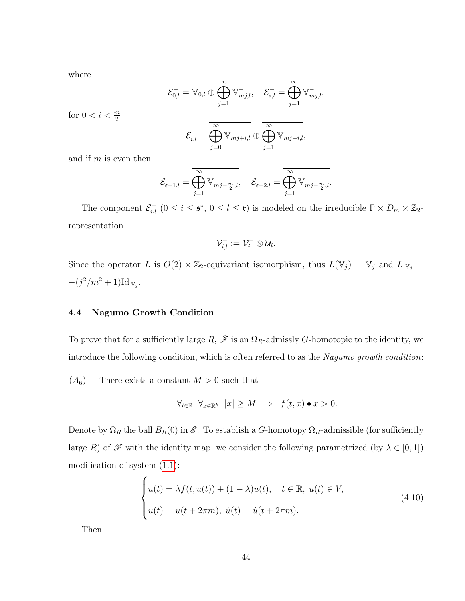where

$$
\mathcal{E}_{0,l}^- = \mathbb{V}_{0,l} \oplus \overline{\bigoplus_{j=1}^{\infty} \mathbb{V}_{mj,l}^+}, \quad \mathcal{E}_{\mathfrak{s},l}^- = \overline{\bigoplus_{j=1}^{\infty} \mathbb{V}_{mj,l}^-},
$$

for  $0 < i < \frac{m}{2}$ 

$$
\mathcal{E}_{i,l}^- = \overline{\bigoplus_{j=0}^{\infty} \mathbb{V}_{mj+i,l}} \oplus \overline{\bigoplus_{j=1}^{\infty} \mathbb{V}_{mj-i,l}},
$$

and if  $m$  is even then

$$
\mathcal{E}_{\mathfrak{s}+1,l}^{-} = \overline{\bigoplus_{j=1}^{\infty} \mathbb{V}_{mj-\frac{m}{2},l}^{+}}, \quad \mathcal{E}_{\mathfrak{s}+2,l}^{-} = \overline{\bigoplus_{j=1}^{\infty} \mathbb{V}_{mj-\frac{m}{2},l}^{-}}.
$$

The component  $\mathcal{E}_{i,l}^-(0 \leq i \leq s^*, 0 \leq l \leq \mathfrak{r})$  is modeled on the irreducible  $\Gamma \times D_m \times \mathbb{Z}_2$ representation

$$
\mathcal{V}^-_{i,l}:=\mathcal{V}^-_i\otimes\mathcal{U}_l.
$$

Since the operator L is  $O(2) \times \mathbb{Z}_2$ -equivariant isomorphism, thus  $L(\mathbb{V}_j) = \mathbb{V}_j$  and  $L|_{\mathbb{V}_j} =$  $-(j^2/m^2+1) \mathrm{Id}_{V_j}.$ 

# 4.4 Nagumo Growth Condition

To prove that for a sufficiently large  $R$ ,  $\mathscr F$  is an  $\Omega_R$ -admissly G-homotopic to the identity, we introduce the following condition, which is often referred to as the Nagumo growth condition:

 $(A_6)$  There exists a constant  $M > 0$  such that

$$
\forall_{t \in \mathbb{R}} \ \forall_{x \in \mathbb{R}^k} \ |x| \ge M \ \Rightarrow \ f(t, x) \bullet x > 0.
$$

Denote by  $\Omega_R$  the ball  $B_R(0)$  in  $\mathscr E$ . To establish a G-homotopy  $\Omega_R$ -admissible (for sufficiently large R) of  $\mathscr F$  with the identity map, we consider the following parametrized (by  $\lambda \in [0,1]$ ) modification of system [\(1.1\)](#page-10-0):

<span id="page-53-0"></span>
$$
\begin{cases}\n\ddot{u}(t) = \lambda f(t, u(t)) + (1 - \lambda)u(t), \quad t \in \mathbb{R}, \ u(t) \in V, \\
u(t) = u(t + 2\pi m), \ \dot{u}(t) = \dot{u}(t + 2\pi m).\n\end{cases} \tag{4.10}
$$

Then: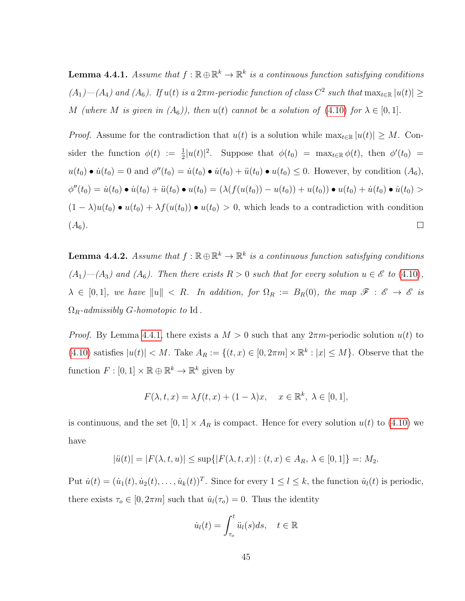<span id="page-54-0"></span>**Lemma 4.4.1.** Assume that  $f : \mathbb{R} \oplus \mathbb{R}^k \to \mathbb{R}^k$  is a continuous function satisfying conditions  $(A_1)$ — $(A_4)$  and  $(A_6)$ . If  $u(t)$  is a  $2\pi m$ -periodic function of class  $C^2$  such that  $\max_{t\in\mathbb{R}}|u(t)|\geq$ M (where M is given in  $(A_6)$ ), then  $u(t)$  cannot be a solution of  $(4.10)$  for  $\lambda \in [0,1]$ .

*Proof.* Assume for the contradiction that  $u(t)$  is a solution while  $\max_{t\in\mathbb{R}}|u(t)| \geq M$ . Consider the function  $\phi(t) := \frac{1}{2}|u(t)|^2$ . Suppose that  $\phi(t_0) = \max_{t \in \mathbb{R}} \phi(t)$ , then  $\phi'(t_0) =$  $u(t_0) \bullet \dot{u}(t_0) = 0$  and  $\phi''(t_0) = \dot{u}(t_0) \bullet \dot{u}(t_0) + \ddot{u}(t_0) \bullet u(t_0) \leq 0$ . However, by condition  $(A_6)$ ,  $\phi''(t_0) = \dot{u}(t_0) \bullet \dot{u}(t_0) + \ddot{u}(t_0) \bullet u(t_0) = (\lambda(f(u(t_0)) - u(t_0)) + u(t_0)) \bullet u(t_0) + \dot{u}(t_0) \bullet \dot{u}(t_0) >$  $(1 - \lambda)u(t_0) \bullet u(t_0) + \lambda f(u(t_0)) \bullet u(t_0) > 0$ , which leads to a contradiction with condition  $(A_6).$  $\Box$ 

<span id="page-54-1"></span>**Lemma 4.4.2.** Assume that  $f : \mathbb{R} \oplus \mathbb{R}^k \to \mathbb{R}^k$  is a continuous function satisfying conditions  $(A_1)$ — $(A_3)$  and  $(A_6)$ . Then there exists  $R > 0$  such that for every solution  $u \in \mathscr{E}$  to  $(4.10)$ ,  $\lambda \in [0,1],$  we have  $||u|| < R$ . In addition, for  $\Omega_R := B_R(0)$ , the map  $\mathscr{F} : \mathscr{E} \to \mathscr{E}$  is  $\Omega_R$ -admissibly G-homotopic to Id.

*Proof.* By Lemma [4](#page-54-0).4.1, there exists a  $M > 0$  such that any  $2\pi m$ -periodic solution  $u(t)$  to  $(4.10)$  satisfies  $|u(t)| < M$ . Take  $A_R := \{(t, x) \in [0, 2\pi m] \times \mathbb{R}^k : |x| \leq M\}$ . Observe that the function  $F : [0,1] \times \mathbb{R} \oplus \mathbb{R}^k \to \mathbb{R}^k$  given by

$$
F(\lambda, t, x) = \lambda f(t, x) + (1 - \lambda)x, \quad x \in \mathbb{R}^k, \ \lambda \in [0, 1],
$$

is continuous, and the set  $[0, 1] \times A_R$  is compact. Hence for every solution  $u(t)$  to [\(4.10\)](#page-53-0) we have

$$
|\ddot{u}(t)| = |F(\lambda, t, u)| \le \sup\{|F(\lambda, t, x)| : (t, x) \in A_R, \lambda \in [0, 1]\} =: M_2.
$$

Put  $\dot{u}(t) = (\dot{u}_1(t), \dot{u}_2(t), \dots, \dot{u}_k(t))^T$ . Since for every  $1 \leq l \leq k$ , the function  $\dot{u}_l(t)$  is periodic, there exists  $\tau_o \in [0, 2\pi m]$  such that  $\dot{u}_l(\tau_o) = 0$ . Thus the identity

$$
\dot{u}_l(t) = \int_{\tau_o}^t \ddot{u}_l(s)ds, \quad t \in \mathbb{R}
$$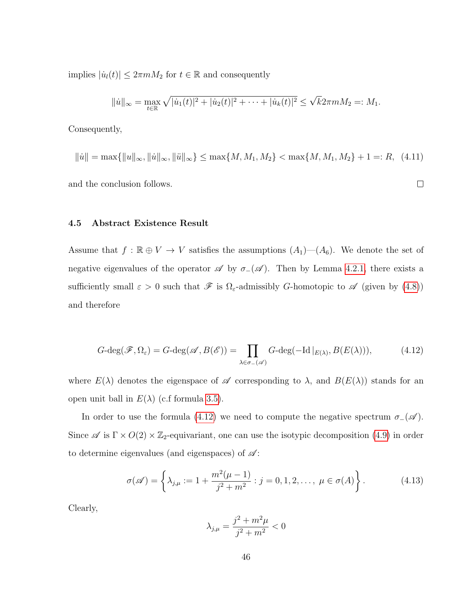implies  $|\dot{u}_l(t)| \leq 2\pi mM_2$  for  $t \in \mathbb{R}$  and consequently

$$
||\dot{u}||_{\infty} = \max_{t \in \mathbb{R}} \sqrt{|\dot{u}_1(t)|^2 + |\dot{u}_2(t)|^2 + \cdots + |\dot{u}_k(t)|^2} \le \sqrt{k} 2\pi m M_2 =: M_1.
$$

Consequently,

$$
\|\dot{u}\| = \max\{\|u\|_{\infty}, \|\dot{u}\|_{\infty}, \|\ddot{u}\|_{\infty}\} \le \max\{M, M_1, M_2\} < \max\{M, M_1, M_2\} + 1 =: R, \tag{4.11}
$$

and the conclusion follows.

 $\Box$ 

#### 4.5 Abstract Existence Result

Assume that  $f : \mathbb{R} \oplus V \to V$  satisfies the assumptions  $(A_1)$ — $(A_6)$ . We denote the set of negative eigenvalues of the operator  $\mathscr A$  by  $\sigma_-(\mathscr A)$ . Then by Lemma [4.2.1,](#page-49-1) there exists a sufficiently small  $\varepsilon > 0$  such that  $\mathscr F$  is  $\Omega_{\varepsilon}$ -admissibly G-homotopic to  $\mathscr A$  (given by [\(4.8\)](#page-49-0)) and therefore

<span id="page-55-0"></span>
$$
G\text{-deg}(\mathscr{F}, \Omega_{\varepsilon}) = G\text{-deg}(\mathscr{A}, B(\mathscr{E})) = \prod_{\lambda \in \sigma_{-}(\mathscr{A})} G\text{-deg}(-\text{Id}|_{E(\lambda)}, B(E(\lambda))), \tag{4.12}
$$

where  $E(\lambda)$  denotes the eigenspace of  $\mathscr A$  corresponding to  $\lambda$ , and  $B(E(\lambda))$  stands for an open unit ball in  $E(\lambda)$  (c.f formula [3.5\)](#page-29-0).

In order to use the formula [\(4.12\)](#page-55-0) we need to compute the negative spectrum  $\sigma_-(\mathscr{A})$ . Since  $\mathscr A$  is  $\Gamma \times O(2) \times \mathbb{Z}_2$ -equivariant, one can use the isotypic decomposition [\(4.9\)](#page-50-0) in order to determine eigenvalues (and eigenspaces) of  $\mathscr{A}$ :

$$
\sigma(\mathscr{A}) = \left\{ \lambda_{j,\mu} := 1 + \frac{m^2(\mu - 1)}{j^2 + m^2} : j = 0, 1, 2, \dots, \ \mu \in \sigma(A) \right\}.
$$
 (4.13)

Clearly,

$$
\lambda_{j,\mu} = \frac{j^2 + m^2 \mu}{j^2 + m^2} < 0
$$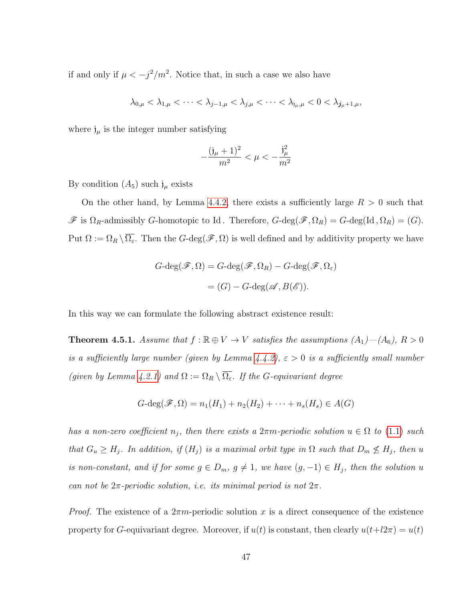if and only if  $\mu < -j^2/m^2$ . Notice that, in such a case we also have

$$
\lambda_{0,\mu} < \lambda_{1,\mu} < \cdots < \lambda_{j-1,\mu} < \lambda_{j,\mu} < \cdots < \lambda_{j_\mu,\mu} < 0 < \lambda_{j_\mu+1,\mu},
$$

where  $j_{\mu}$  is the integer number satisfying

$$
-\frac{(\mathfrak{j}_{\mu}+1)^2}{m^2} < \mu < -\frac{\mathfrak{j}_{\mu}^2}{m^2}
$$

By condition  $(A_5)$  such  $j_\mu$  exists

On the other hand, by Lemma [4.4.2,](#page-54-1) there exists a sufficiently large  $R > 0$  such that  $\mathscr F$  is  $\Omega_R$ -admissibly G-homotopic to Id. Therefore,  $G$ -deg $(\mathscr F, \Omega_R) = G$ -deg $(\mathrm{Id}, \Omega_R) = (G)$ . Put  $\Omega := \Omega_R \setminus \overline{\Omega_{\varepsilon}}$ . Then the  $G$ -deg $(\mathscr{F}, \Omega)$  is well defined and by additivity property we have

$$
G-\deg(\mathscr{F}, \Omega) = G-\deg(\mathscr{F}, \Omega_R) - G-\deg(\mathscr{F}, \Omega_{\varepsilon})
$$

$$
= (G) - G-\deg(\mathscr{A}, B(\mathscr{E})).
$$

In this way we can formulate the following abstract existence result:

<span id="page-56-0"></span>**Theorem 4.5.1.** Assume that  $f : \mathbb{R} \oplus V \to V$  satisfies the assumptions  $(A_1)$ — $(A_6)$ ,  $R > 0$ is a sufficiently large number (given by Lemma  $\frac{1}{4}$ ,  $\frac{1}{2}$ ),  $\varepsilon > 0$  is a sufficiently small number (given by Lemma [4.2.1\)](#page-49-1) and  $\Omega := \Omega_R \setminus \overline{\Omega_{\varepsilon}}$ . If the G-equivariant degree

$$
G\text{-deg}(\mathscr{F},\Omega) = n_1(H_1) + n_2(H_2) + \cdots + n_s(H_s) \in A(G)
$$

has a non-zero coefficient  $n_j$ , then there exists a  $2\pi m$ -periodic solution  $u \in \Omega$  to [\(1.1\)](#page-10-0) such that  $G_u \geq H_j$ . In addition, if  $(H_j)$  is a maximal orbit type in  $\Omega$  such that  $D_m \nleq H_j$ , then u is non-constant, and if for some  $g \in D_m$ ,  $g \neq 1$ , we have  $(g, -1) \in H_j$ , then the solution u can not be  $2\pi$ -periodic solution, i.e. its minimal period is not  $2\pi$ .

*Proof.* The existence of a  $2\pi m$ -periodic solution x is a direct consequence of the existence property for G-equivariant degree. Moreover, if  $u(t)$  is constant, then clearly  $u(t+l2\pi) = u(t)$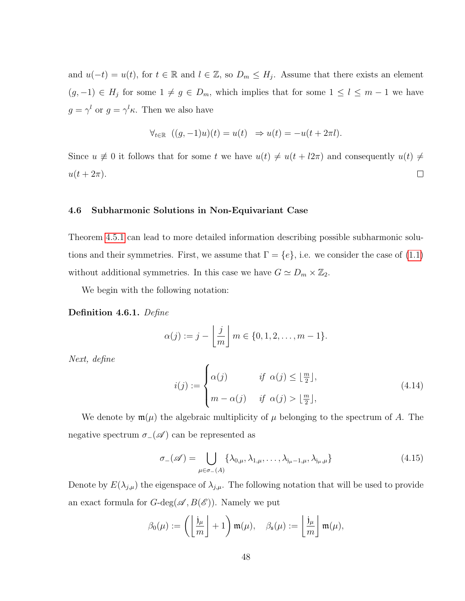and  $u(-t) = u(t)$ , for  $t \in \mathbb{R}$  and  $l \in \mathbb{Z}$ , so  $D_m \leq H_j$ . Assume that there exists an element  $(g, -1) \in H_j$  for some  $1 \neq g \in D_m$ , which implies that for some  $1 \leq l \leq m-1$  we have  $g = \gamma^l$  or  $g = \gamma^l \kappa$ . Then we also have

$$
\forall_{t \in \mathbb{R}} \ \ ((g, -1)u)(t) = u(t) \ \Rightarrow u(t) = -u(t + 2\pi l).
$$

Since  $u \neq 0$  it follows that for some t we have  $u(t) \neq u(t + l2\pi)$  and consequently  $u(t) \neq$  $u(t+2\pi).$  $\Box$ 

#### 4.6 Subharmonic Solutions in Non-Equivariant Case

Theorem [4.5.1](#page-56-0) can lead to more detailed information describing possible subharmonic solutions and their symmetries. First, we assume that  $\Gamma = \{e\}$ , i.e. we consider the case of [\(1.1\)](#page-10-0) without additional symmetries. In this case we have  $G \simeq D_m \times \mathbb{Z}_2$ .

We begin with the following notation:

#### Definition 4.6.1. Define

$$
\alpha(j) := j - \left\lfloor \frac{j}{m} \right\rfloor m \in \{0, 1, 2, \dots, m - 1\}.
$$

Next, define

$$
i(j) := \begin{cases} \alpha(j) & \text{if } \alpha(j) \leq \lfloor \frac{m}{2} \rfloor, \\ m - \alpha(j) & \text{if } \alpha(j) > \lfloor \frac{m}{2} \rfloor, \end{cases}
$$
(4.14)

We denote by  $\mathfrak{m}(\mu)$  the algebraic multiplicity of  $\mu$  belonging to the spectrum of A. The negative spectrum  $\sigma_-(\mathscr{A})$  can be represented as

$$
\sigma_{-}(\mathscr{A}) = \bigcup_{\mu \in \sigma_{-}(A)} \{\lambda_{0,\mu}, \lambda_{1,\mu}, \dots, \lambda_{j_{\mu}-1,\mu}, \lambda_{j_{\mu},\mu}\}\n\tag{4.15}
$$

Denote by  $E(\lambda_{j,\mu})$  the eigenspace of  $\lambda_{j,\mu}$ . The following notation that will be used to provide an exact formula for  $G$ -deg $(\mathscr{A}, B(\mathscr{E}))$ . Namely we put

$$
\beta_0(\mu) := \left( \left\lfloor \frac{\mathfrak{j}_{\mu}}{m} \right\rfloor + 1 \right) \mathfrak{m}(\mu), \quad \beta_{\mathfrak{s}}(\mu) := \left\lfloor \frac{\mathfrak{j}_{\mu}}{m} \right\rfloor \mathfrak{m}(\mu),
$$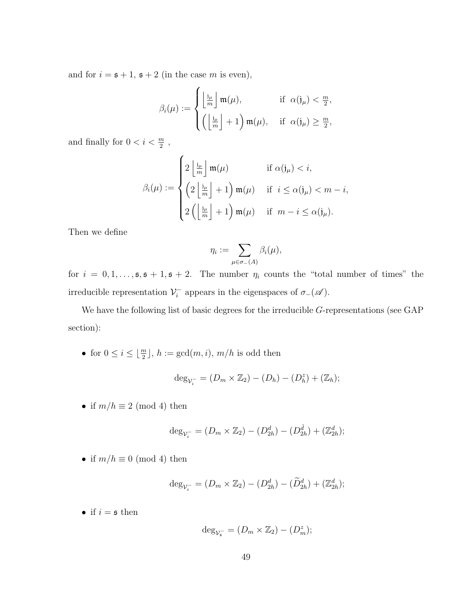and for  $i = \mathfrak{s} + 1$ ,  $\mathfrak{s} + 2$  (in the case m is even),

$$
\beta_i(\mu) := \begin{cases} \left\lfloor \frac{j_\mu}{m} \right\rfloor \mathfrak{m}(\mu), & \text{if } \alpha(j_\mu) < \frac{m}{2}, \\ \left( \left\lfloor \frac{j_\mu}{m} \right\rfloor + 1 \right) \mathfrak{m}(\mu), & \text{if } \alpha(j_\mu) \ge \frac{m}{2}, \end{cases}
$$

and finally for  $0 < i < \frac{m}{2}$ ,

$$
\beta_i(\mu) := \begin{cases} 2\left\lfloor \frac{i\mu}{m} \right\rfloor \mathfrak{m}(\mu) & \text{if } \alpha(j_\mu) < i, \\ \left( 2\left\lfloor \frac{i\mu}{m} \right\rfloor + 1 \right) \mathfrak{m}(\mu) & \text{if } i \leq \alpha(j_\mu) < m - i, \\ 2\left( \left\lfloor \frac{i\mu}{m} \right\rfloor + 1 \right) \mathfrak{m}(\mu) & \text{if } m - i \leq \alpha(j_\mu). \end{cases}
$$

Then we define

$$
\eta_i := \sum_{\mu \in \sigma_-(A)} \beta_i(\mu),
$$

for  $i = 0, 1, \ldots, \mathfrak{s}, \mathfrak{s} + 1, \mathfrak{s} + 2$ . The number  $\eta_i$  counts the "total number of times" the irreducible representation  $\mathcal{V}_i^$  $i_i^-$  appears in the eigenspaces of  $\sigma_-(\mathscr{A})$ .

We have the following list of basic degrees for the irreducible G-representations (see GAP section):

• for  $0 \leq i \leq \lfloor \frac{m}{2} \rfloor$ ,  $h := \gcd(m, i)$ ,  $m/h$  is odd then

$$
\deg_{\mathcal{V}_i^-} = (D_m \times \mathbb{Z}_2) - (D_h) - (D_h^z) + (\mathbb{Z}_h);
$$

• if  $m/h \equiv 2 \pmod{4}$  then

$$
\deg_{\mathcal{V}_i^-} = (D_m \times \mathbb{Z}_2) - (D_{2h}^d) - (D_{2h}^{\hat{d}}) + (\mathbb{Z}_{2h}^d);
$$

• if  $m/h \equiv 0 \pmod{4}$  then

$$
\deg_{\mathcal{V}_i^-} = (D_m \times \mathbb{Z}_2) - (D_{2h}^d) - (\widetilde{D}_{2h}^d) + (\mathbb{Z}_{2h}^d);
$$

 $\bullet\,$  if  $i=\mathfrak{s}$  then

$$
\deg_{\mathcal{V}_\mathfrak{s}} = (D_m \times \mathbb{Z}_2) - (D_m^z);
$$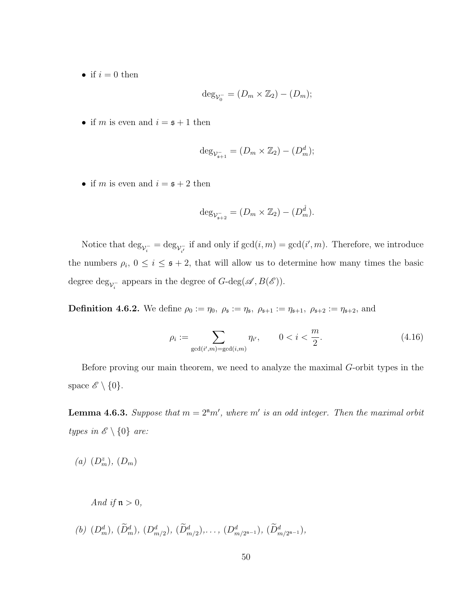• if  $i = 0$  then

$$
\deg_{\mathcal{V}_0^-} = (D_m \times \mathbb{Z}_2) - (D_m);
$$

• if m is even and  $i = \mathfrak{s} + 1$  then

$$
\deg_{\mathcal{V}_{\mathfrak{s}+1}^-} = (D_m \times \mathbb{Z}_2) - (D_m^d);
$$

• if m is even and  $i = \mathfrak{s} + 2$  then

$$
\deg_{\mathcal{V}_{\mathfrak{s}+2}^-} = (D_m \times \mathbb{Z}_2) - (D_m^{\hat{d}}).
$$

Notice that  $\deg_{\mathcal{V}_i^-} = \deg_{\mathcal{V}_i^-}$  if and only if  $gcd(i, m) = gcd(i', m)$ . Therefore, we introduce the numbers  $\rho_i$ ,  $0 \leq i \leq s+2$ , that will allow us to determine how many times the basic degree  $\deg_{\mathcal{V}_i^-}$  appears in the degree of  $G$ -deg $(\mathscr{A}, B(\mathscr{E}))$ .

**Definition 4.6.2.** We define  $\rho_0 := \eta_0, \ \rho_{\mathfrak{s}} := \eta_{\mathfrak{s}}, \ \rho_{\mathfrak{s}+1} := \eta_{\mathfrak{s}+1}, \ \rho_{\mathfrak{s}+2} := \eta_{\mathfrak{s}+2}, \text{ and}$ 

$$
\rho_i := \sum_{\gcd(i',m) = \gcd(i,m)} \eta_{i'}, \qquad 0 < i < \frac{m}{2}.\tag{4.16}
$$

Before proving our main theorem, we need to analyze the maximal G-orbit types in the space  $\mathscr{E} \setminus \{0\}.$ 

<span id="page-59-0"></span>**Lemma 4.6.3.** Suppose that  $m = 2<sup>n</sup>m'$ , where m' is an odd integer. Then the maximal orbit types in  $\mathscr{E} \setminus \{0\}$  are:

(a)  $(D_m^z)$ ,  $(D_m)$ 

And if  $\mathfrak{n} > 0$ ,

(b)  $(D_m^d)$ ,  $(\tilde{D}_m^d)$ ,  $(D_{m/2}^d)$ ,  $(\tilde{D}_{m/2}^d)$ , ...,  $(D_{m/2^{n-1}}^d)$ ,  $(\tilde{D}_{m/2^{n-1}}^d)$ ,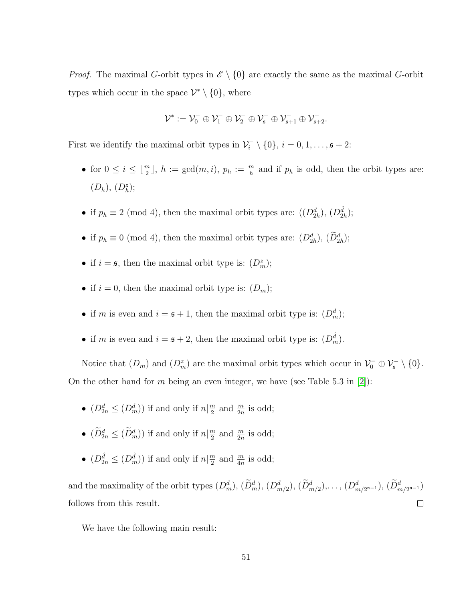*Proof.* The maximal G-orbit types in  $\mathscr{E} \setminus \{0\}$  are exactly the same as the maximal G-orbit types which occur in the space  $\mathcal{V}^* \setminus \{0\}$ , where

$$
\mathcal{V}^*:=\mathcal{V}_0^-\oplus \mathcal{V}_1^-\oplus \mathcal{V}_2^-\oplus \mathcal{V}_\mathfrak{s}^-\oplus \mathcal{V}_{\mathfrak{s}+1}^-\oplus \mathcal{V}_{\mathfrak{s}+2}^-.
$$

First we identify the maximal orbit types in  $\mathcal{V}_i^$  $i_i^-\setminus\{0\}, i=0,1,\ldots, s+2:$ 

- for  $0 \leq i \leq \lfloor \frac{m}{2} \rfloor$ ,  $h := \gcd(m, i)$ ,  $p_h := \frac{m}{h}$  and if  $p_h$  is odd, then the orbit types are:  $(D_h), (D_h^z);$
- if  $p_h \equiv 2 \pmod{4}$ , then the maximal orbit types are:  $((D_{2h}^d), (D_{2h}^{\hat{d}}))$ ;
- if  $p_h \equiv 0 \pmod{4}$ , then the maximal orbit types are:  $(D_{2h}^d)$ ,  $(D_{2h}^d)$ ;
- if  $i = \mathfrak{s}$ , then the maximal orbit type is:  $(D_m^z)$ ;
- if  $i = 0$ , then the maximal orbit type is:  $(D_m)$ ;
- if m is even and  $i = s + 1$ , then the maximal orbit type is:  $(D_m^d)$ ;
- if m is even and  $i = s + 2$ , then the maximal orbit type is:  $(D_m^{\hat{d}})$ .

Notice that  $(D_m)$  and  $(D_m^z)$  are the maximal orbit types which occur in  $\mathcal{V}_0^- \oplus \mathcal{V}_s^- \setminus \{0\}.$ On the other hand for m being an even integer, we have (see Table 5.3 in [\[2\]](#page-81-0)):

- $(D_{2n}^d \leq (D_m^d))$  if and only if  $n | \frac{m}{2}$  $\frac{m}{2}$  and  $\frac{m}{2n}$  is odd;
- $(\widetilde{D}_{2n}^d \leq (\widetilde{D}_m^d))$  if and only if  $n | \frac{m}{2}$  $\frac{m}{2}$  and  $\frac{m}{2n}$  is odd;
- $(D_{2n}^{\hat{d}} \leq (D_m^{\hat{d}}))$  if and only if  $n | \frac{m}{2}$  $\frac{m}{2}$  and  $\frac{m}{4n}$  is odd;

and the maximality of the orbit types  $(D_m^d)$ ,  $(D_m^d)$ ,  $(D_{m/2}^d)$ ,  $(D_{m/2}^d)$ , ...,  $(D_{m/2^{n-1}}^d)$ ,  $(D_{m/2^{n-1}}^d)$ follows from this result.  $\Box$ 

We have the following main result: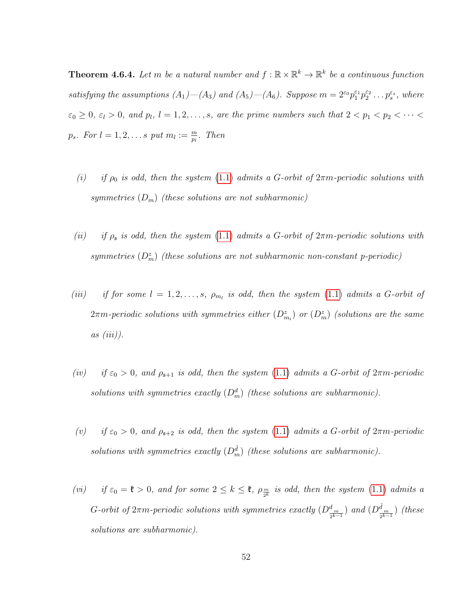<span id="page-61-0"></span>**Theorem 4.6.4.** Let m be a natural number and  $f : \mathbb{R} \times \mathbb{R}^k \to \mathbb{R}^k$  be a continuous function satisfying the assumptions  $(A_1)$ — $(A_3)$  and  $(A_5)$ — $(A_6)$ . Suppose  $m = 2^{\varepsilon_0} p_1^{\varepsilon_1} p_2^{\varepsilon_2} \dots p_s^{\varepsilon_s}$ , where  $\varepsilon_0 \geq 0$ ,  $\varepsilon_l > 0$ , and  $p_l$ ,  $l = 1, 2, \ldots, s$ , are the prime numbers such that  $2 < p_1 < p_2 < \cdots <$  $p_s$ . For  $l = 1, 2, \ldots s$  put  $m_l := \frac{m}{p_l}$ . Then

- (i) if  $\rho_0$  is odd, then the system [\(1.1\)](#page-10-0) admits a G-orbit of  $2\pi m$ -periodic solutions with symmetries  $(D_m)$  (these solutions are not subharmonic)
- (ii) if  $\rho_{\mathfrak{s}}$  is odd, then the system [\(1.1\)](#page-10-0) admits a G-orbit of  $2\pi m$ -periodic solutions with symmetries  $(D_m^z)$  (these solutions are not subharmonic non-constant p-periodic)
- (iii) if for some  $l = 1, 2, \ldots, s$ ,  $\rho_{m_l}$  is odd, then the system [\(1.1\)](#page-10-0) admits a G-orbit of  $2\pi m\text{-}periodic\; solutions\; with\; symmetries\; either\; (D^z_{m_i})\; or\; (D^z_m)\; (solutions\; are\; the\; same\;).$  $as (iii)$ .
- (iv) if  $\varepsilon_0 > 0$ , and  $\rho_{s+1}$  is odd, then the system [\(1.1\)](#page-10-0) admits a G-orbit of  $2\pi m$ -periodic solutions with symmetries exactly  $(D_m^d)$  (these solutions are subharmonic).
- (v) if  $\varepsilon_0 > 0$ , and  $\rho_{s+2}$  is odd, then the system [\(1.1\)](#page-10-0) admits a G-orbit of  $2\pi m$ -periodic solutions with symmetries exactly  $(D_m^{\hat{d}})$  (these solutions are subharmonic).
- (vi) if  $\varepsilon_0 = \mathfrak{k} > 0$ , and for some  $2 \leq k \leq \mathfrak{k}$ ,  $\rho_{\frac{m}{2^k}}$  is odd, then the system [\(1.1\)](#page-10-0) admits a G-orbit of  $2\pi m$ -periodic solutions with symmetries exactly  $(D_{\frac{1}{2^{k-1}}}^d)$  and  $(D_{\frac{n}{2^{k-1}}}^{\hat{d}})$  (these solutions are subharmonic).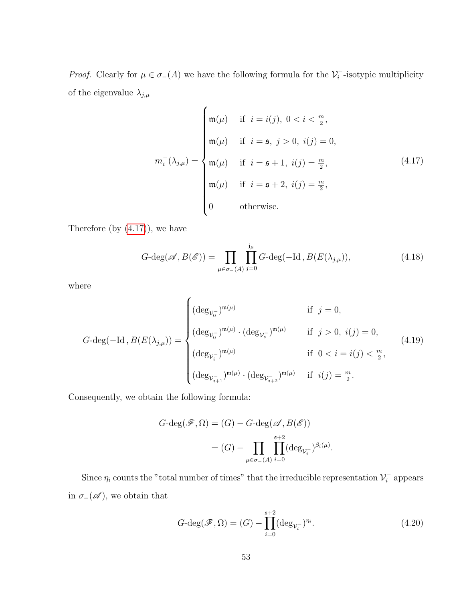*Proof.* Clearly for  $\mu \in \sigma_-(A)$  we have the following formula for the  $\mathcal{V}_i^$  $i$ <sup>-</sup>isotypic multiplicity of the eigenvalue  $\lambda_{j,\mu}$ 

<span id="page-62-0"></span>
$$
m_{i}^{-}(\lambda_{j,\mu}) = \begin{cases} \mathfrak{m}(\mu) & \text{if } i = i(j), \ 0 < i < \frac{m}{2}, \\ \mathfrak{m}(\mu) & \text{if } i = \mathfrak{s}, \ j > 0, \ i(j) = 0, \\ \mathfrak{m}(\mu) & \text{if } i = \mathfrak{s} + 1, \ i(j) = \frac{m}{2}, \\ \mathfrak{m}(\mu) & \text{if } i = \mathfrak{s} + 2, \ i(j) = \frac{m}{2}, \\ 0 & \text{otherwise.} \end{cases}
$$
(4.17)

Therefore (by  $(4.17)$ ), we have

$$
G\text{-deg}(\mathscr{A}, B(\mathscr{E})) = \prod_{\mu \in \sigma_{-}(A)} \prod_{j=0}^{j_{\mu}} G\text{-deg}(-\text{Id}, B(E(\lambda_{j,\mu})), \tag{4.18}
$$

where

$$
G\text{-deg}(-\text{Id}\,,B(E(\lambda_{j,\mu})) = \begin{cases} (\deg_{\mathcal{V}_0^-})^{\mathfrak{m}(\mu)} & \text{if } j = 0, \\ (\deg_{\mathcal{V}_0^-})^{\mathfrak{m}(\mu)} \cdot (\deg_{\mathcal{V}_s^-})^{\mathfrak{m}(\mu)} & \text{if } j > 0, i(j) = 0, \\ (\deg_{\mathcal{V}_i^-})^{\mathfrak{m}(\mu)} & \text{if } 0 < i = i(j) < \frac{m}{2}, \\ (\deg_{\mathcal{V}_{s+1}^-})^{\mathfrak{m}(\mu)} \cdot (\deg_{\mathcal{V}_{s+2}^-})^{\mathfrak{m}(\mu)} & \text{if } i(j) = \frac{m}{2}. \end{cases} (4.19)
$$

Consequently, we obtain the following formula:

$$
G\text{-deg}(\mathscr{F}, \Omega) = (G) - G\text{-deg}(\mathscr{A}, B(\mathscr{E}))
$$

$$
= (G) - \prod_{\mu \in \sigma_{-}(A)} \prod_{i=0}^{s+2} (\deg_{\mathcal{V}_{i}^{-}})^{\beta_{i}(\mu)}.
$$

Since  $\eta_i$  counts the "total number of times" that the irreducible representation  $\mathcal{V}_i^$  $i<sub>i</sub>$  appears in  $\sigma_-(\mathscr{A})$ , we obtain that

<span id="page-62-1"></span>
$$
G\text{-deg}(\mathscr{F},\Omega) = (G) - \prod_{i=0}^{\mathfrak{s}+2} (\deg_{\mathcal{V}_i^-})^{\eta_i}.
$$
\n(4.20)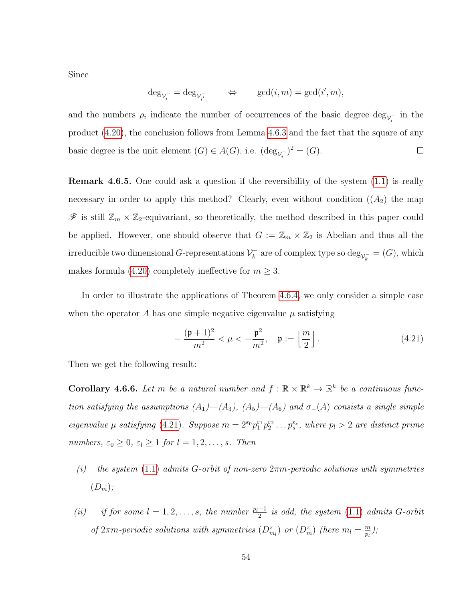Since

$$
\deg_{\mathcal{V}_i^-} = \deg_{\mathcal{V}_{i'}^-} \qquad \Leftrightarrow \qquad \gcd(i,m) = \gcd(i',m),
$$

and the numbers  $\rho_i$  indicate the number of occurrences of the basic degree  $\deg_{\mathcal{V}_i^-}$  in the product [\(4.20\)](#page-62-1), the conclusion follows from Lemma [4.6.3](#page-59-0) and the fact that the square of any basic degree is the unit element  $(G) \in A(G)$ , i.e.  $(\deg_{\mathcal{V}_i^-})^2 = (G)$ .  $\Box$ 

Remark 4.6.5. One could ask a question if the reversibility of the system [\(1.1\)](#page-10-0) is really necessary in order to apply this method? Clearly, even without condition  $((A_2)$  the map  $\mathscr{F}$  is still  $\mathbb{Z}_m \times \mathbb{Z}_2$ -equivariant, so theoretically, the method described in this paper could be applied. However, one should observe that  $G := \mathbb{Z}_m \times \mathbb{Z}_2$  is Abelian and thus all the irreducible two dimensional G-representations  $\mathcal{V}_k^ \chi_k^-$  are of complex type so  $\deg_{\mathcal{V}_k^-} = (G)$ , which makes formula [\(4.20\)](#page-62-1) completely ineffective for  $m \geq 3$ .

In order to illustrate the applications of Theorem [4.6.4,](#page-61-0) we only consider a simple case when the operator A has one simple negative eigenvalue  $\mu$  satisfying

<span id="page-63-0"></span>
$$
-\frac{(\mathfrak{p}+1)^2}{m^2} < \mu < -\frac{\mathfrak{p}^2}{m^2}, \quad \mathfrak{p} := \left\lfloor \frac{m}{2} \right\rfloor.
$$
 (4.21)

Then we get the following result:

**Corollary 4.6.6.** Let m be a natural number and  $f : \mathbb{R} \times \mathbb{R}^k \to \mathbb{R}^k$  be a continuous function satisfying the assumptions  $(A_1)$ — $(A_3)$ ,  $(A_5)$ — $(A_6)$  and  $\sigma$ - $(A)$  consists a single simple eigenvalue  $\mu$  satisfying [\(4.21\)](#page-63-0). Suppose  $m = 2^{\epsilon_0} p_1^{\epsilon_1} p_2^{\epsilon_2} \dots p_s^{\epsilon_s}$ , where  $p_l > 2$  are distinct prime numbers,  $\varepsilon_0 \geq 0$ ,  $\varepsilon_l \geq 1$  for  $l = 1, 2, \ldots, s$ . Then

- (i) the system [\(1.1\)](#page-10-0) admits G-orbit of non-zero  $2\pi m$ -periodic solutions with symmetries  $(D_m);$
- (ii) if for some  $l = 1, 2, \ldots, s$ , the number  $\frac{p_l-1}{2}$  is odd, the system [\(1.1\)](#page-10-0) admits G-orbit of  $2\pi m$ -periodic solutions with symmetries  $(D_{m_l}^z)$  or  $(D_m^z)$  (here  $m_l = \frac{m_l}{p_l}$  $\frac{m}{p_l}),$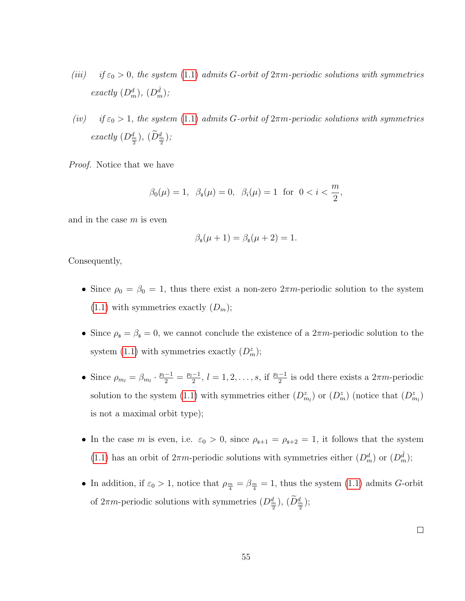- (iii) if  $\varepsilon_0 > 0$ , the system [\(1.1\)](#page-10-0) admits G-orbit of  $2\pi m$ -periodic solutions with symmetries exactly  $(D_m^d)$ ,  $(D_m^{\hat{d}})$ ;
- (iv) if  $\varepsilon_0 > 1$ , the system [\(1.1\)](#page-10-0) admits G-orbit of  $2\pi m$ -periodic solutions with symmetries exactly  $(D_{\frac{m}{2}}^d)$ ,  $(D_{\frac{m}{2}}^d)$ ;

Proof. Notice that we have

$$
\beta_0(\mu) = 1
$$
,  $\beta_{\mathfrak{s}}(\mu) = 0$ ,  $\beta_i(\mu) = 1$  for  $0 < i < \frac{m}{2}$ ,

and in the case  $m$  is even

$$
\beta_{\mathfrak{s}}(\mu+1)=\beta_{\mathfrak{s}}(\mu+2)=1.
$$

Consequently,

- Since  $\rho_0 = \beta_0 = 1$ , thus there exist a non-zero  $2\pi m$ -periodic solution to the system  $(1.1)$  with symmetries exactly  $(D_m)$ ;
- Since  $\rho_{\mathfrak{s}} = \beta_{\mathfrak{s}} = 0$ , we cannot conclude the existence of a  $2\pi m$ -periodic solution to the system [\(1.1\)](#page-10-0) with symmetries exactly  $(D_m^z)$ ;
- Since  $\rho_{m_l} = \beta_{m_l} \cdot \frac{p_l 1}{2} = \frac{p_l 1}{2}$  $\frac{-1}{2}$ ,  $l = 1, 2, \ldots, s$ , if  $\frac{p_l-1}{2}$  is odd there exists a  $2\pi m$ -periodic solution to the system [\(1.1\)](#page-10-0) with symmetries either  $(D_{m_l}^z)$  or  $(D_{m}^z)$  (notice that  $(D_{m_l}^z)$ ) is not a maximal orbit type);
- In the case m is even, i.e.  $\varepsilon_0 > 0$ , since  $\rho_{s+1} = \rho_{s+2} = 1$ , it follows that the system [\(1.1\)](#page-10-0) has an orbit of  $2\pi m$ -periodic solutions with symmetries either  $(D_m^d)$  or  $(D_m^{\hat{d}})$ ;
- In addition, if  $\varepsilon_0 > 1$ , notice that  $\rho_{\frac{m}{4}} = \beta_{\frac{m}{4}} = 1$ , thus the system [\(1.1\)](#page-10-0) admits G-orbit of  $2\pi m$ -periodic solutions with symmetries  $(D_{\frac{m}{2}}^d)$ ,  $(D_{\frac{m}{2}}^d)$ ;

 $\Box$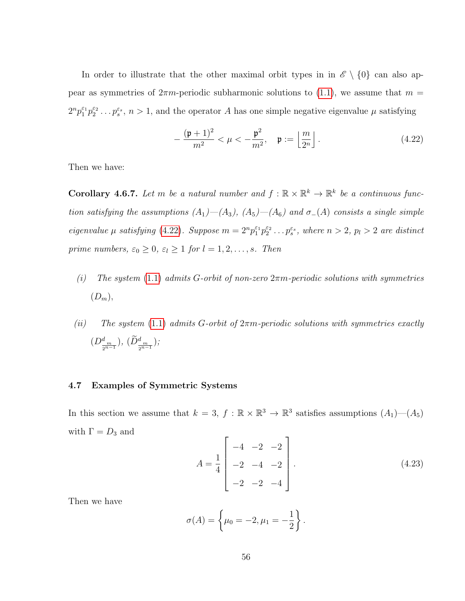In order to illustrate that the other maximal orbit types in in  $\mathscr{E} \setminus \{0\}$  can also appear as symmetries of  $2\pi m$ -periodic subharmonic solutions to [\(1.1\)](#page-10-0), we assume that  $m =$  $2^{n}p_1^{\varepsilon_1}p_2^{\varepsilon_2}\dots p_s^{\varepsilon_s}, n>1$ , and the operator A has one simple negative eigenvalue  $\mu$  satisfying

<span id="page-65-0"></span>
$$
-\frac{(\mathfrak{p}+1)^2}{m^2} < \mu < -\frac{\mathfrak{p}^2}{m^2}, \quad \mathfrak{p} := \left\lfloor \frac{m}{2^n} \right\rfloor.
$$
 (4.22)

Then we have:

**Corollary 4.6.7.** Let m be a natural number and  $f : \mathbb{R} \times \mathbb{R}^k \to \mathbb{R}^k$  be a continuous function satisfying the assumptions  $(A_1)$ — $(A_3)$ ,  $(A_5)$ — $(A_6)$  and  $\sigma$ - $(A)$  consists a single simple eigenvalue  $\mu$  satisfying [\(4.22\)](#page-65-0). Suppose  $m = 2^n p_1^{\varepsilon_1} p_2^{\varepsilon_2} \dots p_s^{\varepsilon_s}$ , where  $n > 2$ ,  $p_l > 2$  are distinct prime numbers,  $\varepsilon_0 \geq 0$ ,  $\varepsilon_l \geq 1$  for  $l = 1, 2, ..., s$ . Then

- (i) The system [\(1.1\)](#page-10-0) admits G-orbit of non-zero  $2\pi m$ -periodic solutions with symmetries  $(D_m),$
- (ii) The system [\(1.1\)](#page-10-0) admits G-orbit of  $2\pi m$ -periodic solutions with symmetries exactly  $(D^d_{\frac{m}{2^{n-1}}}), (\tilde{D}^d_{\frac{m}{2^{n-1}}});$

## 4.7 Examples of Symmetric Systems

In this section we assume that  $k = 3, f : \mathbb{R} \times \mathbb{R}^3 \to \mathbb{R}^3$  satisfies assumptions  $(A_1)$ — $(A_5)$ with  $\Gamma = D_3$  and Ē

$$
A = \frac{1}{4} \begin{bmatrix} -4 & -2 & -2 \\ -2 & -4 & -2 \\ -2 & -2 & -4 \end{bmatrix} .
$$
 (4.23)

Then we have

$$
\sigma(A) = \left\{\mu_0 = -2, \mu_1 = -\frac{1}{2}\right\}.
$$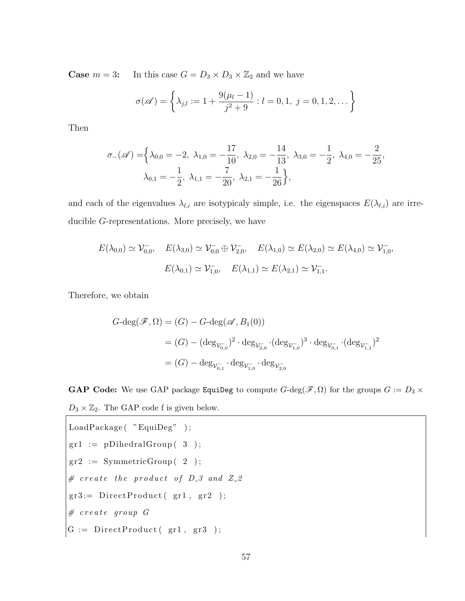**Case**  $m = 3$ : In this case  $G = D_3 \times D_3 \times \mathbb{Z}_2$  and we have

$$
\sigma(\mathscr{A}) = \left\{ \lambda_{j,l} := 1 + \frac{9(\mu_l - 1)}{j^2 + 9} : l = 0, 1, j = 0, 1, 2, \dots \right\}
$$

Then

$$
\sigma_{-}(\mathscr{A}) = \left\{ \lambda_{0,0} = -2, \ \lambda_{1,0} = -\frac{17}{10}, \ \lambda_{2,0} = -\frac{14}{13}, \ \lambda_{3,0} = -\frac{1}{2}, \ \lambda_{4,0} = -\frac{2}{25}, \\ \lambda_{0,1} = -\frac{1}{2}, \ \lambda_{1,1} = -\frac{7}{20}, \ \lambda_{2,1} = -\frac{1}{26} \right\},
$$

and each of the eigenvalues  $\lambda_{l,i}$  are isotypicaly simple, i.e. the eigenspaces  $E(\lambda_{l,i})$  are irreducible G-representations. More precisely, we have

$$
E(\lambda_{0,0}) \simeq \mathcal{V}_{0,0}^{-}, \quad E(\lambda_{3,0}) \simeq \mathcal{V}_{0,0}^{-} \oplus \mathcal{V}_{2,0}^{-}, \quad E(\lambda_{1,0}) \simeq E(\lambda_{2,0}) \simeq E(\lambda_{4,0}) \simeq \mathcal{V}_{1,0}^{-},
$$

$$
E(\lambda_{0,1}) \simeq \mathcal{V}_{1,0}^{-}, \quad E(\lambda_{1,1}) \simeq E(\lambda_{2,1}) \simeq \mathcal{V}_{1,1}^{-}.
$$

Therefore, we obtain

$$
G\text{-deg}(\mathscr{F}, \Omega) = (G) - G\text{-deg}(\mathscr{A}, B_1(0))
$$
  
=  $(G) - (\deg_{\mathcal{V}_{0,0}^-})^2 \cdot \deg_{\mathcal{V}_{2,0}^-} \cdot (\deg_{\mathcal{V}_{1,0}^-})^3 \cdot \deg_{\mathcal{V}_{0,1}^-} \cdot (\deg_{\mathcal{V}_{1,1}^-})^2$   
=  $(G) - \deg_{\mathcal{V}_{0,1}^-} \cdot \deg_{\mathcal{V}_{1,0}^-} \cdot \deg_{\mathcal{V}_{2,0}^-}$ 

**GAP Code:** We use GAP package EquiDeg to compute  $G$ -deg( $\mathscr{F}, \Omega$ ) for the groups  $G := D_3 \times$  $D_3 \times \mathbb{Z}_2$ . The GAP code f is given below.

```
\label{eq:loadPackage} \text{LoadPackage} \left( \begin{array}{c} \text{"EquiDeg"}\\ \text{"EquiDeg"}\\ \end{array} \right);gr1 := pDihedralGroup(3);
gr2 := SymmetricGroup(-2) ;\# create the product of D<sub>-</sub>3 and Z<sub>-2</sub>
\texttt{gr3} := \texttt{DirectProduct(}\texttt{gr1}\texttt{,}\texttt{gr2})\texttt{;}# \, \text{create} \, \text{group} \, G\boxed{\mathrm{G}\ :=\ \mathrm{DirectProduct}\,(\mathrm{gr1}\,,\mathrm{gr3}\,)};
```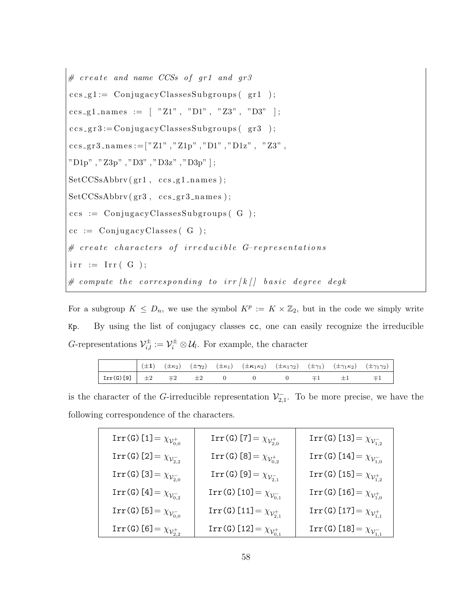# c r e a t e and name CCSs o f gr1 and gr3 c c s g 1 := C on ju g acyCl a s se sSub g r oup s ( g r 1 ) ; c c s g 1 n am e s := [ "Z1" , "D1" , "Z3" , "D3" ] ; c c s g r 3 := C on ju g acyCl a s se sSub g r oup s ( g r 3 ) ; c c s g r 3 n am e s :=[ "Z1" , "Z1p" , "D1" , "D1z" , "Z3" , "D1p" , "Z3p" , "D3" , "D3z" , "D3p" ] ; SetCCSsAbbrv ( gr1 , c c s g 1 n am e s ) ; SetCCSsAbbrv ( gr3 , c c s g r 3 n am e s ) ; c c s := C on ju g acyCl a s se sSub g r oup s ( G ) ; cc := C on ju g ac yCl a s se s ( G ) ; # c r e a t e c h a r a c t e r s o f i r r e d u c i b l e G−r e p r e s e n t a t i o n s i r r := I r r ( G ) ; # compute t h e c o r r e s p o n d i n g t o i r r [ k [ ] b a s i c d e g r e e degk

For a subgroup  $K \leq D_n$ , we use the symbol  $K^p := K \times \mathbb{Z}_2$ , but in the code we simply write Kp. By using the list of conjugacy classes cc, one can easily recognize the irreducible G-representations  $\mathcal{V}_{i,l}^{\pm} := \mathcal{V}_i^{\pm} \otimes \mathcal{U}_l$ . For example, the character

|                                                                                                   |  |  | ( $\pm 1$ ) $(\pm \kappa_2)$ $(\pm \gamma_2)$ $(\pm \kappa_1)$ $(\pm \kappa_1 \kappa_2)$ $(\pm \kappa_1 \gamma_2)$ $(\pm \gamma_1)$ $(\pm \gamma_1 \kappa_2)$ $(\pm \gamma_1 \gamma_2)$ |  |                         |  |
|---------------------------------------------------------------------------------------------------|--|--|-----------------------------------------------------------------------------------------------------------------------------------------------------------------------------------------|--|-------------------------|--|
| $\begin{array}{ c c c c c }\hline \text{Irr(G)[9]} & \pm 2 & \mp 2 & \pm 2 \\ \hline \end{array}$ |  |  |                                                                                                                                                                                         |  | $\mp 1$ $\pm 1$ $\mp 1$ |  |

is the character of the G-irreducible representation  $\mathcal{V}_{2,1}^-$ . To be more precise, we have the following correspondence of the characters.

| $\operatorname{Irr}(\operatorname{G})$ [1] = $\chi_{\mathcal{V}_{0,0}^+}$          | $\operatorname{Irr}(\operatorname{G})$ [7] = $\chi_{\mathcal{V}_{2,0}^+}$           | $\operatorname{Irr}(\operatorname{\mathsf{G}})$ [13] = $\chi_{\mathcal{V}_{1,2}^-}$ |
|------------------------------------------------------------------------------------|-------------------------------------------------------------------------------------|-------------------------------------------------------------------------------------|
| $\text{Irr}(\texttt{G})$ [2] = $\chi_{\mathcal{V}_{2,2}^-}$                        | $\text{Irr}(\mathtt{G})$ [8] = $\chi_{\mathcal{V}_{0,2}^+}$                         | $\text{Irr}(\texttt{G})$ [14] = $\chi_{\mathcal{V}_{1,0}^-}$                        |
| $\operatorname{Irr}(\operatorname{G})\left[3\right]=\chi_{\mathcal{V}_{2,0}^-}$    | $\text{Irr}(\mathtt{G})$ [9] = $\chi_{\mathcal{V}_{2,1}^-}$                         | $\text{Irr}(\texttt{G})$ [15] = $\chi_{\mathcal{V}_{1,2}^+}$                        |
| $\operatorname{Irr}(\operatorname{\mathsf{G}})$ [4] = $\chi_{\mathcal{V}_{0,2}^-}$ | $\texttt{Irr(G)}$ [10] = $\chi_{\mathcal{V}_{0,1}^-}$                               | $\text{Irr}(\texttt{G})$ [16] = $\chi_{\mathcal{V}_{1,0}^+}$                        |
| $\text{Irr}(\texttt{G})$ [5] $= \chi_{\mathcal{V}_{0,0}^-}$                        | $\operatorname{Irr}(\operatorname{\mathsf{G}})$ [11] = $\chi_{\mathcal{V}_{2,1}^+}$ | $\operatorname{Irr}(\operatorname{\mathsf{G}})$ [17] = $\chi_{\mathcal{V}_{1,1}^+}$ |
| $\text{Irr}(\texttt{G})$ [6] = $\chi_{\mathcal{V}_{2,2}^+}$                        | Irr(G) [12] = $\chi_{\mathcal{V}_{0,1}^+}$                                          | Irr(G) [18] = $\chi_{\mathcal{V}_{1,1}^-}$                                          |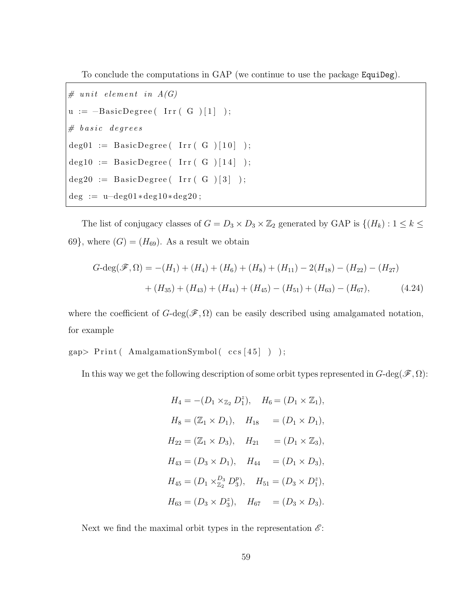To conclude the computations in GAP (we continue to use the package EquiDeg).

```
# unit element in A(G)u := -BasicDegree(\text{Irr}(\text{G})[1]);
\# \emph{basic} \emph{degrees}deg01 := BasicDegree( Irr (G) [10] );\text{deg}10 := \text{BasicDegree}( \text{Irr}( G ) [14 ] );
deg20 := BasicDegree( Irr (G)[3]);
\text{deg} := \text{u}-\text{deg}01*\text{deg}10*\text{deg}20;
```
The list of conjugacy classes of  $G = D_3 \times D_3 \times \mathbb{Z}_2$  generated by GAP is  $\{(H_k) : 1 \leq k \leq \mathbb{Z}_2\}$ 69}, where  $(G) = (H_{69})$ . As a result we obtain

$$
G-\deg(\mathscr{F},\Omega) = -(H_1) + (H_4) + (H_6) + (H_8) + (H_{11}) - 2(H_{18}) - (H_{22}) - (H_{27})
$$

$$
+ (H_{35}) + (H_{43}) + (H_{44}) + (H_{45}) - (H_{51}) + (H_{63}) - (H_{67}), \tag{4.24}
$$

where the coefficient of  $G$ -deg( $\mathscr{F}, \Omega$ ) can be easily described using amalgamated notation, for example

 $gap > Print($  AmalgamationSymbol( $ccs [45]$ );

In this way we get the following description of some orbit types represented in  $G$ -deg( $\mathscr{F}, \Omega$ ):

$$
H_4 = -(D_1 \times_{\mathbb{Z}_2} D_1^z), \quad H_6 = (D_1 \times \mathbb{Z}_1),
$$
  
\n
$$
H_8 = (\mathbb{Z}_1 \times D_1), \quad H_{18} = (D_1 \times D_1),
$$
  
\n
$$
H_{22} = (\mathbb{Z}_1 \times D_3), \quad H_{21} = (D_1 \times \mathbb{Z}_3),
$$
  
\n
$$
H_{43} = (D_3 \times D_1), \quad H_{44} = (D_1 \times D_3),
$$
  
\n
$$
H_{45} = (D_1 \times_{\mathbb{Z}_2}^{D_3} D_3^p), \quad H_{51} = (D_3 \times D_1^z),
$$
  
\n
$$
H_{63} = (D_3 \times D_3^z), \quad H_{67} = (D_3 \times D_3).
$$

Next we find the maximal orbit types in the representation  $\mathscr{E}$ :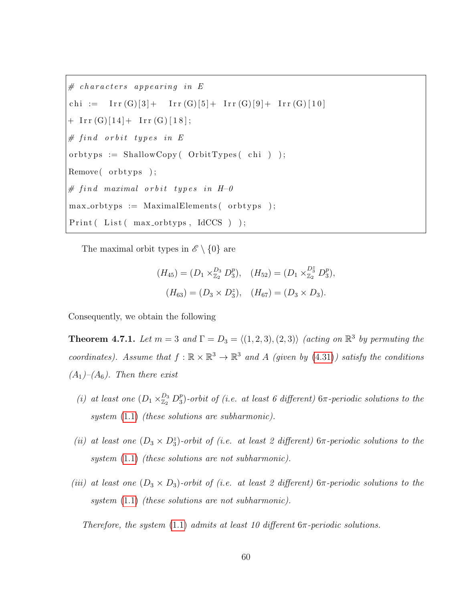```
# characters appearing in Echi := Irr(G)[3] + Irr(G)[5] + Irr(G)[9] + Irr(G)[10]+ \operatorname{Irr}(G)[14] + \operatorname{Irr}(G)[18];# \text{ find orbit types in } Eorbtyps := ShallowCopy (OrbitTypes (chi) );
Remove( orbtyps );# find maximal orbit types in H-0
max_-orbtyps := MaximalElements (orbtyps);
Print( List( max-orbtypes, IdCCS) );
```
The maximal orbit types in  $\mathscr{E} \setminus \{0\}$  are

$$
(H_{45}) = (D_1 \times_{\mathbb{Z}_2}^{D_3} D_3^p), \quad (H_{52}) = (D_1 \times_{\mathbb{Z}_2}^{D_3^*} D_3^p),
$$

$$
(H_{63}) = (D_3 \times D_3^z), \quad (H_{67}) = (D_3 \times D_3).
$$

Consequently, we obtain the following

**Theorem 4.7.1.** Let  $m = 3$  and  $\Gamma = D_3 = \langle (1, 2, 3), (2, 3) \rangle$  (acting on  $\mathbb{R}^3$  by permuting the coordinates). Assume that  $f : \mathbb{R} \times \mathbb{R}^3 \to \mathbb{R}^3$  and A (given by [\(4.31\)](#page-78-0)) satisfy the conditions  $(A_1)$ – $(A_6)$ . Then there exist

- (i) at least one  $(D_1 \times_{\mathbb{Z}_2}^{D_3} D_3^p)$  $^p_3$ )-orbit of (i.e. at least 6 different)  $6\pi$ -periodic solutions to the system [\(1.1\)](#page-10-0) (these solutions are subharmonic).
- (ii) at least one  $(D_3 \times D_3^z)$ -orbit of (i.e. at least 2 different)  $6\pi$ -periodic solutions to the system  $(1.1)$  (these solutions are not subharmonic).
- (iii) at least one  $(D_3 \times D_3)$ -orbit of (i.e. at least 2 different) 6π-periodic solutions to the system  $(1.1)$  (these solutions are not subharmonic).

Therefore, the system  $(1.1)$  admits at least 10 different  $6\pi$ -periodic solutions.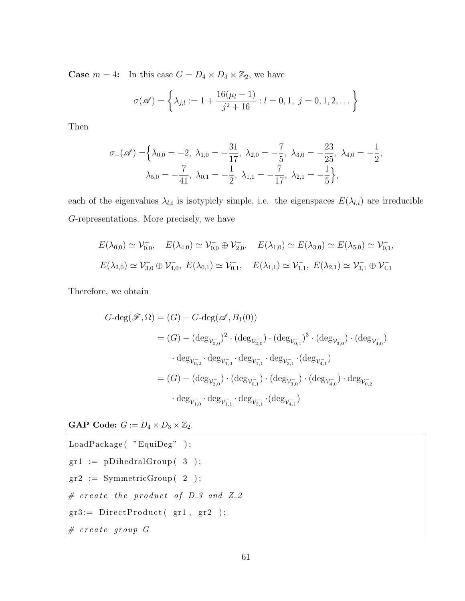**Case**  $m = 4$ : In this case  $G = D_4 \times D_3 \times \mathbb{Z}_2$ , we have

$$
\sigma(\mathscr{A}) = \left\{ \lambda_{j,l} := 1 + \frac{16(\mu_l - 1)}{j^2 + 16} : l = 0, 1, j = 0, 1, 2, \dots \right\}
$$

Then

$$
\sigma_{-}(\mathscr{A}) = \left\{ \lambda_{0,0} = -2, \ \lambda_{1,0} = -\frac{31}{17}, \ \lambda_{2,0} = -\frac{7}{5}, \ \lambda_{3,0} = -\frac{23}{25}, \ \lambda_{4,0} = -\frac{1}{2}, \\ \lambda_{5,0} = -\frac{7}{41}, \ \lambda_{0,1} = -\frac{1}{2}, \ \lambda_{1,1} = -\frac{7}{17}, \ \lambda_{2,1} = -\frac{1}{5} \right\},
$$

each of the eigenvalues  $\lambda_{l,i}$  is isotypicly simple, i.e. the eigenspaces  $E(\lambda_{l,i})$  are irreducible G-representations. More precisely, we have

$$
E(\lambda_{0,0}) \simeq \mathcal{V}_{0,0}^{-}, \quad E(\lambda_{4,0}) \simeq \mathcal{V}_{0,0}^{-} \oplus \mathcal{V}_{2,0}^{-}, \quad E(\lambda_{1,0}) \simeq E(\lambda_{3,0}) \simeq E(\lambda_{5,0}) \simeq \mathcal{V}_{0,1}^{-},
$$
  

$$
E(\lambda_{2,0}) \simeq \mathcal{V}_{3,0}^{-} \oplus \mathcal{V}_{4,0}^{-}, \quad E(\lambda_{0,1}) \simeq \mathcal{V}_{0,1}^{-}, \quad E(\lambda_{1,1}) \simeq \mathcal{V}_{1,1}^{-}, \quad E(\lambda_{2,1}) \simeq \mathcal{V}_{3,1}^{-} \oplus \mathcal{V}_{4,1}^{-}
$$

Therefore, we obtain

$$
G\text{-deg}(\mathscr{F}, \Omega) = (G) - G\text{-deg}(\mathscr{A}, B_1(0))
$$
  
\n
$$
= (G) - (\deg_{\mathcal{V}_{0,0}^-})^2 \cdot (\deg_{\mathcal{V}_{2,0}^-}) \cdot (\deg_{\mathcal{V}_{0,1}^-})^3 \cdot (\deg_{\mathcal{V}_{3,0}^-}) \cdot (\deg_{\mathcal{V}_{4,0}^-})
$$
  
\n
$$
\cdot \deg_{\mathcal{V}_{0,2}^-} \cdot \deg_{\mathcal{V}_{1,0}^-} \cdot \deg_{\mathcal{V}_{1,1}^-} \cdot \deg_{\mathcal{V}_{3,1}^-} \cdot (\deg_{\mathcal{V}_{4,1}^-})
$$
  
\n
$$
= (G) - (\deg_{\mathcal{V}_{2,0}^-}) \cdot (\deg_{\mathcal{V}_{0,1}^-}) \cdot (\deg_{\mathcal{V}_{3,0}^-}) \cdot (\deg_{\mathcal{V}_{4,0}^-}) \cdot \deg_{\mathcal{V}_{0,2}^-}
$$
  
\n
$$
\cdot \deg_{\mathcal{V}_{1,0}^-} \cdot \deg_{\mathcal{V}_{1,1}^-} \cdot \deg_{\mathcal{V}_{3,1}^-} \cdot (\deg_{\mathcal{V}_{4,1}^-})
$$

**GAP Code:**  $G := D_4 \times D_3 \times \mathbb{Z}_2$ .

\n
$$
\text{LoadPackage}(\text{ "EquiDeg" });\n \text{gr1} := \text{DihedralGroup}(\text{3});\n \text{gr2} := \text{SymmetricGroup}(\text{2});\n \# \text{ create the product of } D_3 \text{ and } Z_2 \text{gr3} := \text{DirectProduct}(\text{ gr1 }, \text{ gr2 });\n \# \text{ create group } G\n \end{math}
$$
\n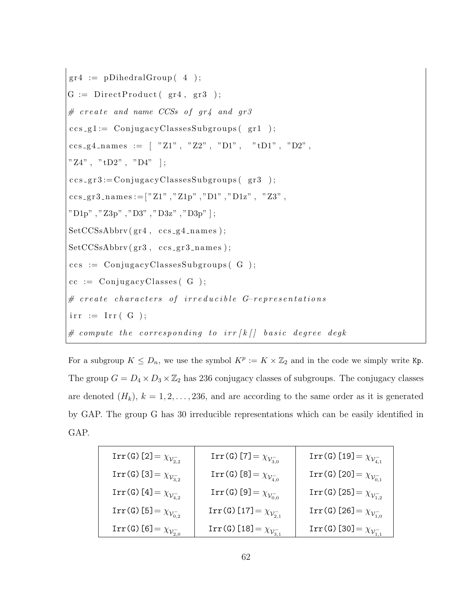g r 4 := pDihedralGroup ( 4 ) ; G := Di r e c tP r o d u c t ( gr4 , g r 3 ) ; # c r e a t e and name CCSs o f gr4 and gr3 c c s g 1 := C on ju g acyCl a s se sSub g r oup s ( g r 1 ) ; c c s g 4 n am e s := [ "Z1" , "Z2" , "D1" , "tD1" , "D2" , "Z4" , "tD2" , "D4" ] ; c c s g r 3 := C on ju g acyCl a s se sSub g r oup s ( g r 3 ) ; c c s g r 3 n am e s :=[ "Z1" , "Z1p" , "D1" , "D1z" , "Z3" , "D1p" , "Z3p" , "D3" , "D3z" , "D3p" ] ; SetCCSsAbbrv ( gr4 , c c s g 4 n am e s ) ; SetCCSsAbbrv ( gr3 , c c s g r 3 n am e s ) ; c c s := C on ju g acyCl a s se sSub g r oup s ( G ) ; cc := C on ju g ac yCl a s se s ( G ) ; # c r e a t e c h a r a c t e r s o f i r r e d u c i b l e G−r e p r e s e n t a t i o n s i r r := I r r ( G ) ; # compute t h e c o r r e s p o n d i n g t o i r r [ k [ ] b a s i c d e g r e e degk

For a subgroup  $K \leq D_n$ , we use the symbol  $K^p := K \times \mathbb{Z}_2$  and in the code we simply write Kp. The group  $G = D_4 \times D_3 \times \mathbb{Z}_2$  has 236 conjugacy classes of subgroups. The conjugacy classes are denoted  $(H_k)$ ,  $k = 1, 2, ..., 236$ , and are according to the same order as it is generated by GAP. The group G has 30 irreducible representations which can be easily identified in GAP.

| Irr(G)[2] = $\chi_{\mathcal{V}^-_{2,2}}$                    | Irr(G)[7] = $\chi_{\mathcal{V}^-_{3,0}}$                     | Irr(G)[19] = $\chi_{\mathcal{V}_{4.1}^-}$                      |
|-------------------------------------------------------------|--------------------------------------------------------------|----------------------------------------------------------------|
| Irr(G) [3] = $\chi_{\mathcal{V}_{3,2}^-}$                   | $\text{Irr}(\texttt{G})$ [8] = $\chi_{\mathcal{V}^-_{4,0}}$  | Irr(G)[20] = $\chi_{\mathcal{V}_{0,1}^-}$                      |
| Irr(G)[4] = $\chi_{\mathcal{V}_{4,2}^-}$                    | Irr(G)[9] = $\chi_{\mathcal{V}_{0,0}^-}$                     | Irr(G)[25] = $\chi_{\mathcal{V}^-_{1,2}}$                      |
| $\text{Irr}(\texttt{G})$ [5] = $\chi_{\mathcal{V}_{0,2}^-}$ | $\text{Irr}(\texttt{G})$ [17] = $\chi_{\mathcal{V}_{2,1}^-}$ | $\text{Irr}(\texttt{G})$ [26] = $\chi_{\mathcal{V}_{1,0}^-}$   |
| Irr(G) [6] = $\chi_{\mathcal{V}_{2,0}^-}$                   | Irr(G) [18] = $\chi_{\mathcal{V}_{3,1}^-}$                   | $\texttt{Irr}(\mathtt{G})$ [30] = $\chi_{\mathcal{V}_{1,1}^-}$ |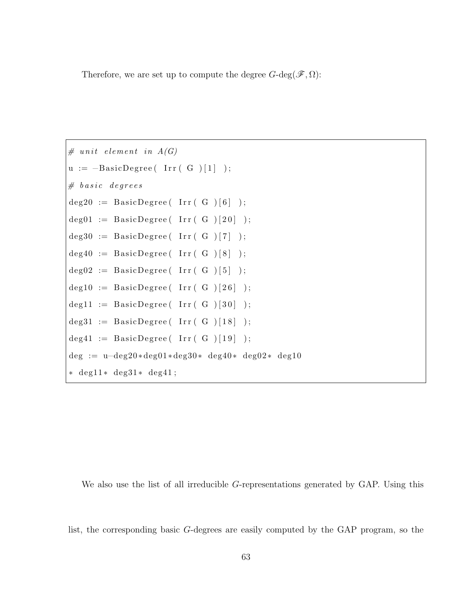Therefore, we are set up to compute the degree  $G$ -deg $(\mathscr{F}, \Omega)$ :

```
# unit element in A(G)u := -BasicDegree(\text{Irr}(\text{G})[1]);
# basis degreesdeg20 := BasicDegree( Irr (G) [6]);
deg01 := BasicDegree (Irr (G ) [20] );
deg30 := BasicDegree (Irr (G ) [7] );
deg40 := BasicDegree (Irr (G ) [8] );
\text{deg}02 := \text{BasicDegree}( \text{Irr}( G ) [5 ] );
deg10 := BasicDegree (Irr (G ) [26] );
deg11 := BasicDegree (Irr (G) [30] );
deg31 := BasicDegree (Irr (G) [18] );
deg41 := BasicDegree (Irr (G) [19] );
deg := u-deg20*deg01*deg30* deg40* deg02* deg10
∗ deg11 ∗ deg31 ∗ deg41 ;
```
We also use the list of all irreducible G-representations generated by GAP. Using this

list, the corresponding basic G-degrees are easily computed by the GAP program, so the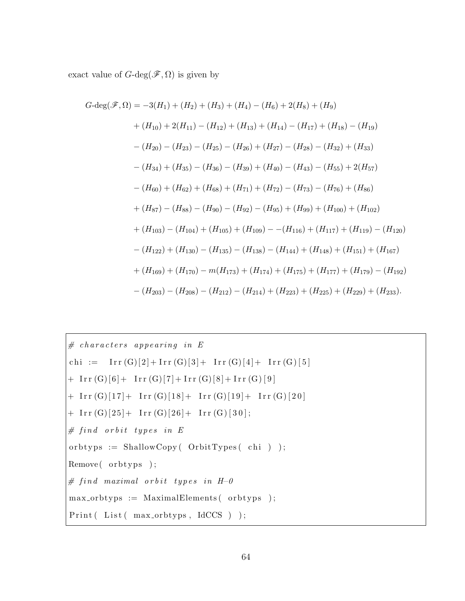exact value of  $G\text{-}\deg(\mathscr{F}, \Omega)$  is given by

$$
G\text{-deg}(\mathscr{F}, \Omega) = -3(H_1) + (H_2) + (H_3) + (H_4) - (H_6) + 2(H_8) + (H_9)
$$
  
+  $(H_{10}) + 2(H_{11}) - (H_{12}) + (H_{13}) + (H_{14}) - (H_{17}) + (H_{18}) - (H_{19})$   
-  $(H_{20}) - (H_{23}) - (H_{25}) - (H_{26}) + (H_{27}) - (H_{28}) - (H_{32}) + (H_{33})$   
-  $(H_{34}) + (H_{35}) - (H_{36}) - (H_{39}) + (H_{40}) - (H_{43}) - (H_{55}) + 2(H_{57})$   
-  $(H_{60}) + (H_{62}) + (H_{68}) + (H_{71}) + (H_{72}) - (H_{73}) - (H_{76}) + (H_{86})$   
+  $(H_{87}) - (H_{88}) - (H_{90}) - (H_{92}) - (H_{95}) + (H_{99}) + (H_{100}) + (H_{102})$   
+  $(H_{103}) - (H_{104}) + (H_{105}) + (H_{109}) - - (H_{116}) + (H_{117}) + (H_{119}) - (H_{120})$   
-  $(H_{122}) + (H_{130}) - (H_{135}) - (H_{138}) - (H_{144}) + (H_{148}) + (H_{151}) + (H_{167})$   
+  $(H_{169}) + (H_{170}) - m(H_{173}) + (H_{174}) + (H_{175}) + (H_{177}) + (H_{179}) - (H_{192})$   
-  $(H_{203}) - (H_{208}) - (H_{212}) - (H_{214}) + (H_{223}) + (H_{225}) + (H_{229}) + (H_{233}).$ 

# c h a r a c t e r s a p pe a r i n g in E c hi := I r r (G)[ 2]+ I r r (G)[ 3] + I r r (G)[ 4] + I r r (G ) [ 5 ] + I r r (G)[ 6]+ I r r (G)[ 7] + I r r (G)[ 8] + I r r (G ) [ 9 ] + I r r (G)[ 1 7]+ I r r (G)[ 1 8]+ I r r (G)[ 1 9]+ I r r (G) [ 2 0 ] + I r r (G)[ 2 5]+ I r r (G)[ 2 6]+ I r r (G ) [ 3 0 ] ; # f i n d o r b i t t y p e s in E o r b t y p s := ShallowCopy ( OrbitTypes ( c hi ) ) ; Remove ( o r b t yp s ) ; # f i n d maximal o r b i t t y p e s in H−0 max orbtyps := MaximalElements ( o rb t yp s ) ; P ri n t ( L i s t ( max orbtyps , IdCCS ) ) ;

 $\overline{\phantom{a}}$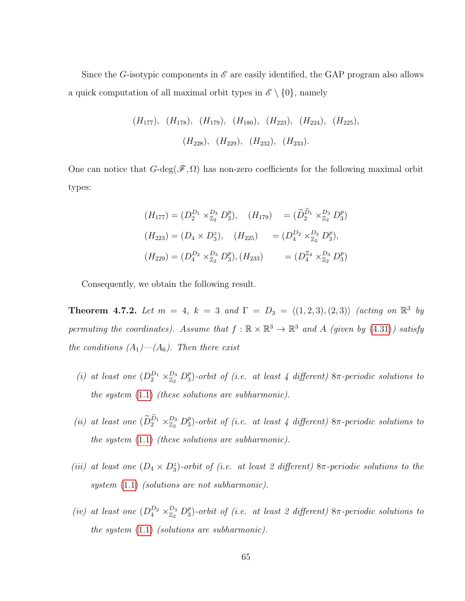Since the G-isotypic components in  $\mathscr E$  are easily identified, the GAP program also allows a quick computation of all maximal orbit types in  $\mathscr{E} \setminus \{0\}$ , namely

$$
(H_{177})
$$
,  $(H_{178})$ ,  $(H_{179})$ ,  $(H_{180})$ ,  $(H_{223})$ ,  $(H_{224})$ ,  $(H_{225})$ ,   
 $(H_{228})$ ,  $(H_{229})$ ,  $(H_{232})$ ,  $(H_{233})$ .

One can notice that  $G$ -deg( $\mathscr{F}, \Omega$ ) has non-zero coefficients for the following maximal orbit types:

$$
(H_{177}) = (D_2^{D_1} \times_{\mathbb{Z}_2}^{D_3} D_3^p), \quad (H_{179}) = (\widetilde{D}_2^{\widetilde{D}_1} \times_{\mathbb{Z}_2}^{D_3} D_3^p)
$$
  

$$
(H_{223}) = (D_4 \times D_3^z), \quad (H_{225}) = (D_4^{D_2} \times_{\mathbb{Z}_2}^{D_3} D_3^p),
$$
  

$$
(H_{229}) = (D_4^{D_2} \times_{\mathbb{Z}_2}^{D_3} D_3^p), (H_{233}) = (D_4^{\mathbb{Z}_4} \times_{\mathbb{Z}_2}^{D_3} D_3^p)
$$

Consequently, we obtain the following result.

**Theorem 4.7.2.** Let  $m = 4$ ,  $k = 3$  and  $\Gamma = D_3 = \langle (1, 2, 3), (2, 3) \rangle$  (acting on  $\mathbb{R}^3$  by permuting the coordinates). Assume that  $f : \mathbb{R} \times \mathbb{R}^3 \to \mathbb{R}^3$  and A (given by [\(4.31\)](#page-78-0)) satisfy the conditions  $(A_1)$ — $(A_6)$ . Then there exist

- (i) at least one  $(D_2^{D_1} \times_{\mathbb{Z}_2}^{D_3} D_3^p)$  $^p_3$ )-orbit of (i.e. at least 4 different)  $8\pi$ -periodic solutions to the system [\(1.1\)](#page-10-0) (these solutions are subharmonic).
- (ii) at least one  $(\widetilde{D}_2^{D_1} \times_{\mathbb{Z}_2}^{D_3} D_3^p)$  $^p_3$ )-orbit of (i.e. at least 4 different)  $8\pi$ -periodic solutions to the system [\(1.1\)](#page-10-0) (these solutions are subharmonic).
- (iii) at least one  $(D_4 \times D_3^z)$ -orbit of (i.e. at least 2 different) 8π-periodic solutions to the system  $(1.1)$  (solutions are not subharmonic).
- (iv) at least one  $(D_4^{D_2} \times_{\mathbb{Z}_2}^{D_3} D_3^p)$  $^p_3$ )-orbit of (i.e. at least 2 different)  $8\pi$ -periodic solutions to the system [\(1.1\)](#page-10-0) (solutions are subharmonic).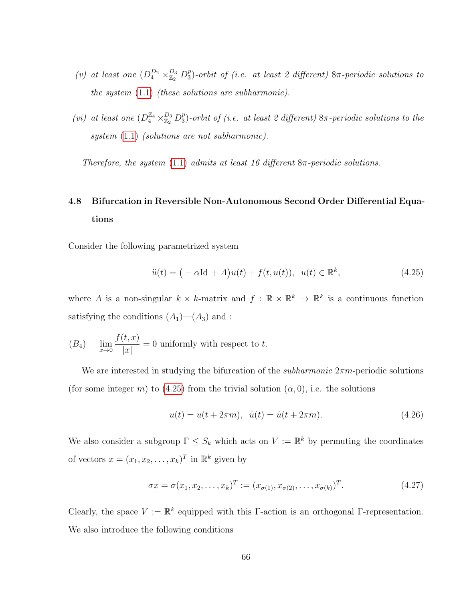- (*v*) at least one  $(D_4^{D_2} \times_{\mathbb{Z}_2}^{D_3} D_3^p)$  $^p_3$ )-orbit of (i.e. at least 2 different)  $8\pi$ -periodic solutions to the system [\(1.1\)](#page-10-0) (these solutions are subharmonic).
- (vi) at least one  $(D_4^{\mathbb{Z}_4}\times_{\mathbb{Z}_2}^{D_3}D_3^p$  $^p_3$ )-orbit of (i.e. at least 2 different)  $8\pi$ -periodic solutions to the system  $(1.1)$  (solutions are not subharmonic).

Therefore, the system  $(1.1)$  admits at least 16 different  $8\pi$ -periodic solutions.

# 4.8 Bifurcation in Reversible Non-Autonomous Second Order Differential Equations

Consider the following parametrized system

<span id="page-75-0"></span>
$$
\ddot{u}(t) = (-\alpha \text{Id} + A)u(t) + f(t, u(t)), \ \ u(t) \in \mathbb{R}^k,
$$
\n(4.25)

where A is a non-singular  $k \times k$ -matrix and  $f : \mathbb{R} \times \mathbb{R}^k \to \mathbb{R}^k$  is a continuous function satisfying the conditions  $(A_1)$ — $(A_3)$  and :

$$
(B_4) \quad \lim_{x \to 0} \frac{f(t, x)}{|x|} = 0
$$
 uniformly with respect to t.

We are interested in studying the bifurcation of the *subharmonic*  $2\pi m$ -periodic solutions (for some integer m) to [\(4.25\)](#page-75-0) from the trivial solution  $(\alpha, 0)$ , i.e. the solutions

<span id="page-75-1"></span>
$$
u(t) = u(t + 2\pi m), \quad \dot{u}(t) = \dot{u}(t + 2\pi m). \tag{4.26}
$$

We also consider a subgroup  $\Gamma \leq S_k$  which acts on  $V := \mathbb{R}^k$  by permuting the coordinates of vectors  $x = (x_1, x_2, \dots, x_k)^T$  in  $\mathbb{R}^k$  given by

$$
\sigma x = \sigma(x_1, x_2, \dots, x_k)^T := (x_{\sigma(1)}, x_{\sigma(2)}, \dots, x_{\sigma(k)})^T.
$$
\n(4.27)

Clearly, the space  $V := \mathbb{R}^k$  equipped with this Γ-action is an orthogonal Γ-representation. We also introduce the following conditions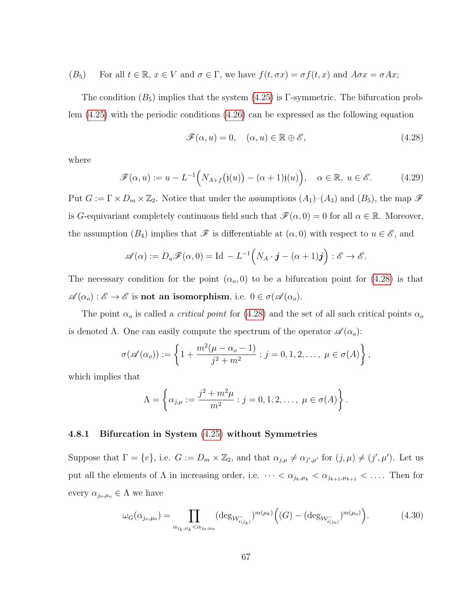$$
(B_5)
$$
 For all  $t \in \mathbb{R}$ ,  $x \in V$  and  $\sigma \in \Gamma$ , we have  $f(t, \sigma x) = \sigma f(t, x)$  and  $A\sigma x = \sigma Ax$ ;

The condition  $(B_5)$  implies that the system  $(4.25)$  is Γ-symmetric. The bifurcation problem [\(4.25\)](#page-75-0) with the periodic conditions [\(4.26\)](#page-75-1) can be expressed as the following equation

<span id="page-76-0"></span>
$$
\mathcal{F}(\alpha, u) = 0, \quad (\alpha, u) \in \mathbb{R} \oplus \mathscr{E}, \tag{4.28}
$$

where

$$
\mathscr{F}(\alpha, u) := u - L^{-1}\Big(N_{A+f}\big(\mathfrak{j}(u)\big) - (\alpha+1)\mathfrak{j}(u)\Big), \quad \alpha \in \mathbb{R}, \ u \in \mathscr{E}.
$$
 (4.29)

Put  $G := \Gamma \times D_m \times \mathbb{Z}_2$ . Notice that under the assumptions  $(A_1)$ – $(A_3)$  and  $(B_5)$ , the map  $\mathscr F$ is G-equivariant completely continuous field such that  $\mathscr{F}(\alpha, 0) = 0$  for all  $\alpha \in \mathbb{R}$ . Moreover, the assumption  $(B_4)$  implies that  $\mathscr F$  is differentiable at  $(\alpha,0)$  with respect to  $u \in \mathscr E$ , and

$$
\mathscr{A}(\alpha) := D_u \mathscr{F}(\alpha, 0) = \mathrm{Id} - L^{-1} \Big( N_A \cdot \boldsymbol{j} - (\alpha + 1) \boldsymbol{j} \Big) : \mathscr{E} \to \mathscr{E}.
$$

The necessary condition for the point  $(\alpha_o, 0)$  to be a bifurcation point for [\(4.28\)](#page-76-0) is that  $\mathscr{A}(\alpha_o): \mathscr{E} \to \mathscr{E}$  is not an isomorphism, i.e.  $0 \in \sigma(\mathscr{A}(\alpha_o))$ .

The point  $\alpha_o$  is called a *critical point* for [\(4.28\)](#page-76-0) and the set of all such critical points  $\alpha_o$ is denoted  $\Lambda$ . One can easily compute the spectrum of the operator  $\mathscr{A}(\alpha_o)$ :

$$
\sigma(\mathscr{A}(\alpha_o)) := \left\{ 1 + \frac{m^2(\mu - \alpha_o - 1)}{j^2 + m^2} : j = 0, 1, 2, \dots, \ \mu \in \sigma(A) \right\},\
$$

which implies that

$$
\Lambda = \left\{ \alpha_{j,\mu} := \frac{j^2 + m^2 \mu}{m^2} : j = 0, 1, 2, \dots, \mu \in \sigma(A) \right\}.
$$

#### 4.8.1 Bifurcation in System [\(4.25\)](#page-75-0) without Symmetries

Suppose that  $\Gamma = \{e\}$ , i.e.  $G := D_m \times \mathbb{Z}_2$ , and that  $\alpha_{j,\mu} \neq \alpha_{j',\mu'}$  for  $(j,\mu) \neq (j',\mu')$ . Let us put all the elements of  $\Lambda$  in increasing order, i.e.  $\cdots < \alpha_{j_k,\mu_k} < \alpha_{j_{k+1},\mu_{k+1}} < \dots$ . Then for every  $\alpha_{j_o,\mu_o} \in \Lambda$  we have

<span id="page-76-1"></span>
$$
\omega_G(\alpha_{j_o,\mu_o}) = \prod_{\alpha_{j_k,\mu_k} < \alpha_{j_o,\mu_o}} (\deg_{\mathcal{W}^-_{i(j_k)}})^{m(\mu_k)} \Big( (G) - (\deg_{\mathcal{W}^-_{i(j_o)}})^{m(\mu_o)} \Big). \tag{4.30}
$$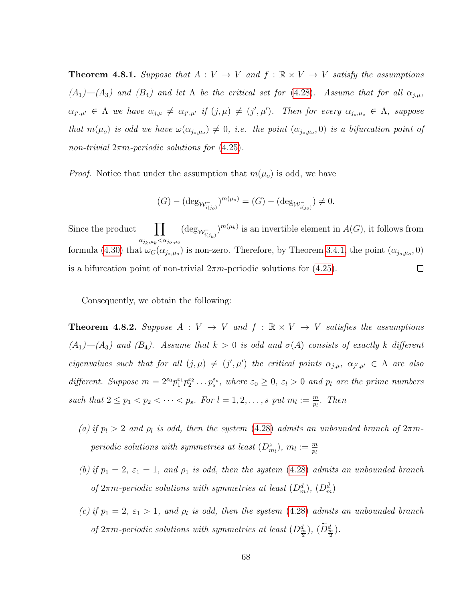**Theorem 4.8.1.** Suppose that  $A: V \to V$  and  $f: \mathbb{R} \times V \to V$  satisfy the assumptions  $(A_1)$ — $(A_3)$  and  $(B_4)$  and let  $\Lambda$  be the critical set for [\(4.28\)](#page-76-0). Assume that for all  $\alpha_{j,\mu}$ ,  $\alpha_{j',\mu'} \in \Lambda$  we have  $\alpha_{j,\mu} \neq \alpha_{j',\mu'}$  if  $(j,\mu) \neq (j',\mu')$ . Then for every  $\alpha_{j_o,\mu_o} \in \Lambda$ , suppose that  $m(\mu_o)$  is odd we have  $\omega(\alpha_{j_o,\mu_o}) \neq 0$ , i.e. the point  $(\alpha_{j_o,\mu_o},0)$  is a bifurcation point of non-trivial  $2\pi m$ -periodic solutions for  $(4.25)$ .

*Proof.* Notice that under the assumption that  $m(\mu_o)$  is odd, we have

$$
(G) - (\deg_{\mathcal{W}^-_{i(j_o)}})^{m(\mu_o)} = (G) - (\deg_{\mathcal{W}^-_{i(j_o)}}) \neq 0.
$$

 $(\deg_{\mathcal{W}^-_{\epsilon(\alpha)}})^{m(\mu_k)}$  is an invertible element in  $A(G)$ , it follows from Since the product  $\alpha_{j_k,\mu_k} < \alpha_{j_o,\mu_o}$ formula [\(4.30\)](#page-76-1) that  $\omega_G(\alpha_{j_o,\mu_o})$  is non-zero. Therefore, by Theorem [3.4.1,](#page-44-0) the point  $(\alpha_{j_o,\mu_o},0)$ is a bifurcation point of non-trivial  $2\pi m$ -periodic solutions for [\(4.25\)](#page-75-0).  $\Box$ 

Consequently, we obtain the following:

**Theorem 4.8.2.** Suppose  $A: V \rightarrow V$  and  $f: \mathbb{R} \times V \rightarrow V$  satisfies the assumptions  $(A_1)$ — $(A_3)$  and  $(B_4)$ . Assume that  $k > 0$  is odd and  $\sigma(A)$  consists of exactly k different eigenvalues such that for all  $(j,\mu) \neq (j',\mu')$  the critical points  $\alpha_{j,\mu}, \alpha_{j',\mu'} \in \Lambda$  are also different. Suppose  $m = 2\epsilon_0 p_1^{\epsilon_1} p_2^{\epsilon_2} \dots p_s^{\epsilon_s}$ , where  $\epsilon_0 \geq 0$ ,  $\epsilon_l > 0$  and  $p_l$  are the prime numbers such that  $2 \leq p_1 < p_2 < \cdots < p_s$ . For  $l = 1, 2, \ldots, s$  put  $m_l := \frac{m}{p_l}$ . Then

- (a) if  $p_l > 2$  and  $\rho_l$  is odd, then the system [\(4.28\)](#page-76-0) admits an unbounded branch of  $2\pi m$ periodic solutions with symmetries at least  $(D_{m_l}^z)$ ,  $m_l := \frac{m}{p_l}$
- (b) if  $p_1 = 2$ ,  $\varepsilon_1 = 1$ , and  $\rho_1$  is odd, then the system [\(4.28\)](#page-76-0) admits an unbounded branch of  $2\pi m$ -periodic solutions with symmetries at least  $(D_m^d)$ ,  $(D_m^{\hat{d}})$
- (c) if  $p_1 = 2$ ,  $\varepsilon_1 > 1$ , and  $p_l$  is odd, then the system [\(4.28\)](#page-76-0) admits an unbounded branch of  $2\pi m$ -periodic solutions with symmetries at least  $(D_{\frac{m}{2}}^d)$ ,  $(D_{\frac{m}{2}}^d)$ .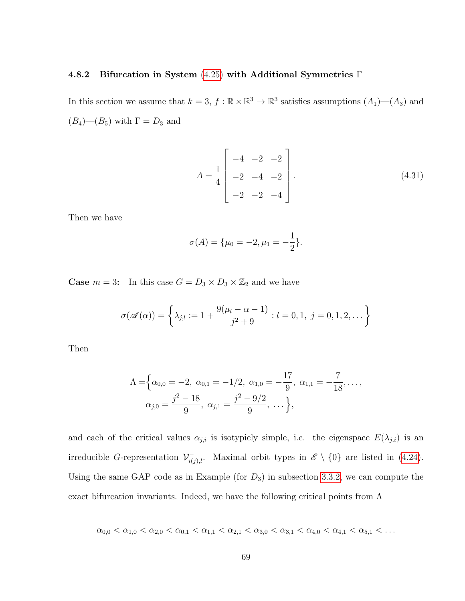### 4.8.2 Bifurcation in System [\(4.25\)](#page-75-0) with Additional Symmetries Γ

In this section we assume that  $k = 3$ ,  $f : \mathbb{R} \times \mathbb{R}^3 \to \mathbb{R}^3$  satisfies assumptions  $(A_1)$ — $(A_3)$  and  $(B_4)$ — $(B_5)$  with  $\Gamma = D_3$  and

<span id="page-78-0"></span>
$$
A = \frac{1}{4} \begin{bmatrix} -4 & -2 & -2 \\ -2 & -4 & -2 \\ -2 & -2 & -4 \end{bmatrix}.
$$
 (4.31)

Then we have

$$
\sigma(A) = \{\mu_0 = -2, \mu_1 = -\frac{1}{2}\}.
$$

**Case**  $m = 3$ : In this case  $G = D_3 \times D_3 \times \mathbb{Z}_2$  and we have

$$
\sigma(\mathscr{A}(\alpha)) = \left\{ \lambda_{j,l} := 1 + \frac{9(\mu_l - \alpha - 1)}{j^2 + 9} : l = 0, 1, j = 0, 1, 2, \dots \right\}
$$

Then

$$
\Lambda = \left\{ \alpha_{0,0} = -2, \ \alpha_{0,1} = -1/2, \ \alpha_{1,0} = -\frac{17}{9}, \ \alpha_{1,1} = -\frac{7}{18}, \dots, \right.
$$

$$
\alpha_{j,0} = \frac{j^2 - 18}{9}, \ \alpha_{j,1} = \frac{j^2 - 9/2}{9}, \ \dots \right\},
$$

and each of the critical values  $\alpha_{j,i}$  is isotypicly simple, i.e. the eigenspace  $E(\lambda_{j,i})$  is an irreducible G-representation  $\mathcal{V}^-_{i(j),l}$ . Maximal orbit types in  $\mathscr{E} \setminus \{0\}$  are listed in [\(4.24\)](#page-68-0). Using the same GAP code as in Example (for  $D_3$ ) in subsection [3.3.2,](#page-35-0) we can compute the exact bifurcation invariants. Indeed, we have the following critical points from  $\Lambda$ 

$$
\alpha_{0,0} < \alpha_{1,0} < \alpha_{2,0} < \alpha_{0,1} < \alpha_{1,1} < \alpha_{2,1} < \alpha_{3,0} < \alpha_{3,1} < \alpha_{4,0} < \alpha_{4,1} < \alpha_{5,1} < \dots
$$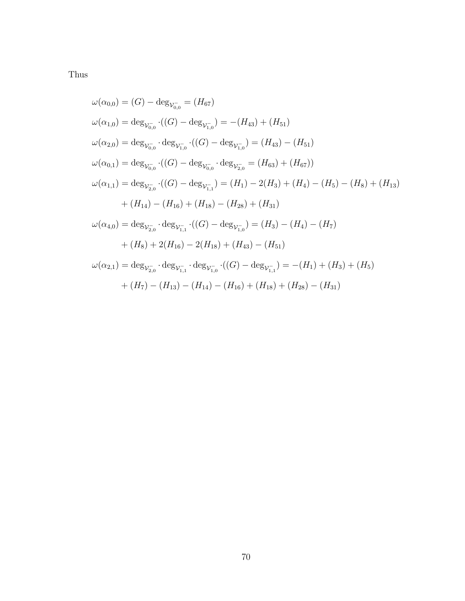Thus

$$
\omega(\alpha_{0,0}) = (G) - \deg_{\mathcal{V}_{0,0}^{-}} = (H_{67})
$$
  
\n
$$
\omega(\alpha_{1,0}) = \deg_{\mathcal{V}_{0,0}^{-}} \cdot ((G) - \deg_{\mathcal{V}_{1,0}^{-}}) = -(H_{43}) + (H_{51})
$$
  
\n
$$
\omega(\alpha_{2,0}) = \deg_{\mathcal{V}_{0,0}^{-}} \cdot \deg_{\mathcal{V}_{1,0}^{-}} \cdot ((G) - \deg_{\mathcal{V}_{1,0}^{-}}) = (H_{43}) - (H_{51})
$$
  
\n
$$
\omega(\alpha_{0,1}) = \deg_{\mathcal{V}_{0,0}^{-}} \cdot ((G) - \deg_{\mathcal{V}_{0,0}^{-}} \cdot \deg_{\mathcal{V}_{2,0}^{-}}) = (H_{63}) + (H_{67})
$$
  
\n
$$
\omega(\alpha_{1,1}) = \deg_{\mathcal{V}_{2,0}^{-}} \cdot ((G) - \deg_{\mathcal{V}_{1,1}^{-}}) = (H_{1}) - 2(H_{3}) + (H_{4}) - (H_{5}) - (H_{8}) + (H_{13})
$$
  
\n
$$
+ (H_{14}) - (H_{16}) + (H_{18}) - (H_{28}) + (H_{31})
$$
  
\n
$$
\omega(\alpha_{4,0}) = \deg_{\mathcal{V}_{2,0}^{-}} \cdot \deg_{\mathcal{V}_{1,1}^{-}} \cdot ((G) - \deg_{\mathcal{V}_{1,0}^{-}}) = (H_{3}) - (H_{4}) - (H_{7})
$$
  
\n
$$
+ (H_{8}) + 2(H_{16}) - 2(H_{18}) + (H_{43}) - (H_{51})
$$
  
\n
$$
\omega(\alpha_{2,1}) = \deg_{\mathcal{V}_{2,0}^{-}} \cdot \deg_{\mathcal{V}_{1,1}^{-}} \cdot \deg_{\mathcal{V}_{1,0}^{-}} \cdot ((G) - \deg_{\mathcal{V}_{1,1}^{-}}) = -(H_{1}) + (H_{3}) + (H_{5})
$$
  
\n
$$
+ (H_{7}) - (H_{13}) - (H_{14}) - (H_{16}) + (H_{18}) + (H_{28}) - (H_{31})
$$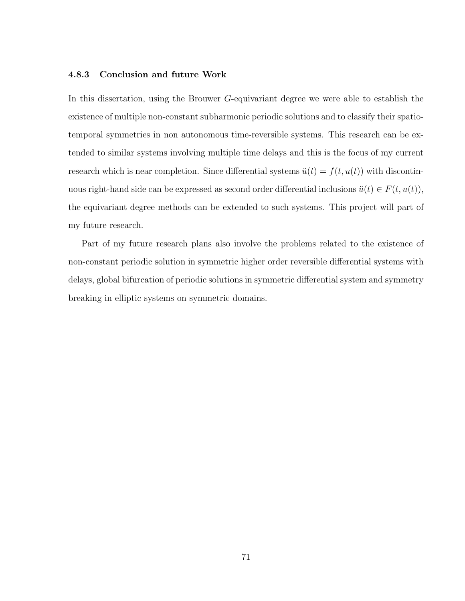### 4.8.3 Conclusion and future Work

In this dissertation, using the Brouwer G-equivariant degree we were able to establish the existence of multiple non-constant subharmonic periodic solutions and to classify their spatiotemporal symmetries in non autonomous time-reversible systems. This research can be extended to similar systems involving multiple time delays and this is the focus of my current research which is near completion. Since differential systems  $\ddot{u}(t) = f(t, u(t))$  with discontinuous right-hand side can be expressed as second order differential inclusions  $\ddot{u}(t) \in F(t, u(t)),$ the equivariant degree methods can be extended to such systems. This project will part of my future research.

Part of my future research plans also involve the problems related to the existence of non-constant periodic solution in symmetric higher order reversible differential systems with delays, global bifurcation of periodic solutions in symmetric differential system and symmetry breaking in elliptic systems on symmetric domains.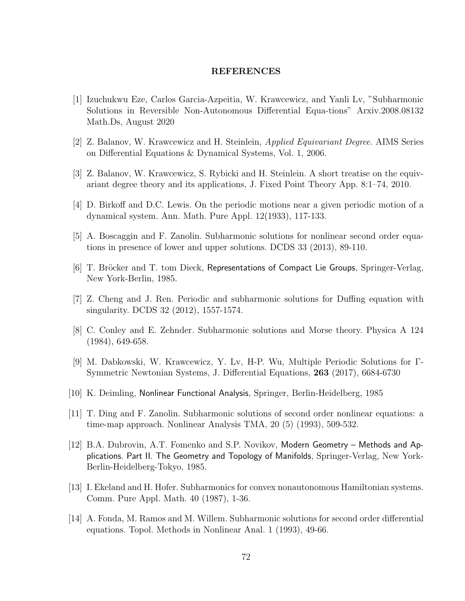### REFERENCES

- [1] Izuchukwu Eze, Carlos Garcia-Azpeitia, W. Krawcewicz, and Yanli Lv, "Subharmonic Solutions in Reversible Non-Autonomous Differential Equa-tions" Arxiv.2008.08132 Math.Ds, August 2020
- [2] Z. Balanov, W. Krawcewicz and H. Steinlein, Applied Equivariant Degree. AIMS Series on Differential Equations & Dynamical Systems, Vol. 1, 2006.
- [3] Z. Balanov, W. Krawcewicz, S. Rybicki and H. Steinlein. A short treatise on the equivariant degree theory and its applications, J. Fixed Point Theory App. 8:1–74, 2010.
- [4] D. Birkoff and D.C. Lewis. On the periodic motions near a given periodic motion of a dynamical system. Ann. Math. Pure Appl. 12(1933), 117-133.
- [5] A. Boscaggin and F. Zanolin. Subharmonic solutions for nonlinear second order equations in presence of lower and upper solutions. DCDS 33 (2013), 89-110.
- [6] T. Bröcker and T. tom Dieck, Representations of Compact Lie Groups, Springer-Verlag, New York-Berlin, 1985.
- [7] Z. Cheng and J. Ren. Periodic and subharmonic solutions for Duffing equation with singularity. DCDS 32 (2012), 1557-1574.
- [8] C. Conley and E. Zehnder. Subharmonic solutions and Morse theory. Physica A 124 (1984), 649-658.
- [9] M. Dabkowski, W. Krawcewicz, Y. Lv, H-P. Wu, Multiple Periodic Solutions for Γ-Symmetric Newtonian Systems, J. Differential Equations, 263 (2017), 6684-6730
- [10] K. Deimling, Nonlinear Functional Analysis, Springer, Berlin-Heidelberg, 1985
- [11] T. Ding and F. Zanolin. Subharmonic solutions of second order nonlinear equations: a time-map approach. Nonlinear Analysis TMA, 20 (5) (1993), 509-532.
- [12] B.A. Dubrovin, A.T. Fomenko and S.P. Novikov, Modern Geometry Methods and Applications. Part II. The Geometry and Topology of Manifolds, Springer-Verlag, New York-Berlin-Heidelberg-Tokyo, 1985.
- [13] I. Ekeland and H. Hofer. Subharmonics for convex nonautonomous Hamiltonian systems. Comm. Pure Appl. Math. 40 (1987), 1-36.
- [14] A. Fonda, M. Ramos and M. Willem. Subharmonic solutions for second order differential equations. Topol. Methods in Nonlinear Anal. 1 (1993), 49-66.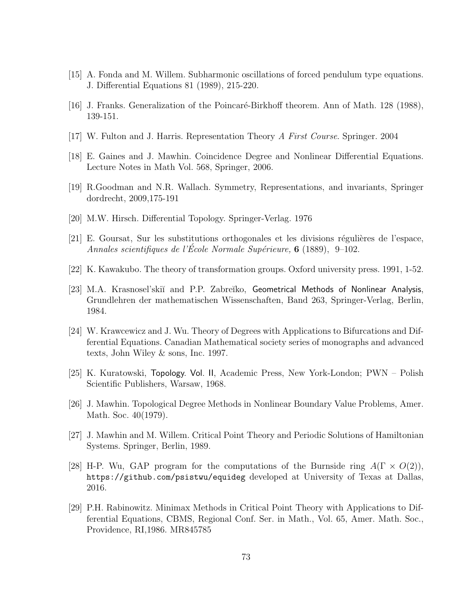- [15] A. Fonda and M. Willem. Subharmonic oscillations of forced pendulum type equations. J. Differential Equations 81 (1989), 215-220.
- [16] J. Franks. Generalization of the Poincaré-Birkhoff theorem. Ann of Math. 128 (1988), 139-151.
- [17] W. Fulton and J. Harris. Representation Theory A First Course. Springer. 2004
- [18] E. Gaines and J. Mawhin. Coincidence Degree and Nonlinear Differential Equations. Lecture Notes in Math Vol. 568, Springer, 2006.
- [19] R.Goodman and N.R. Wallach. Symmetry, Representations, and invariants, Springer dordrecht, 2009,175-191
- [20] M.W. Hirsch. Differential Topology. Springer-Verlag. 1976
- $[21]$  E. Goursat, Sur les substitutions orthogonales et les divisions régulières de l'espace, Annales scientifiques de l'Ecole Normale Supérieure,  $6$  (1889), 9–102.
- [22] K. Kawakubo. The theory of transformation groups. Oxford university press. 1991, 1-52.
- [23] M.A. Krasnosel'skiĭ and P.P. Zabreĭko, Geometrical Methods of Nonlinear Analysis, Grundlehren der mathematischen Wissenschaften, Band 263, Springer-Verlag, Berlin, 1984.
- [24] W. Krawcewicz and J. Wu. Theory of Degrees with Applications to Bifurcations and Differential Equations. Canadian Mathematical society series of monographs and advanced texts, John Wiley & sons, Inc. 1997.
- [25] K. Kuratowski, Topology. Vol. II, Academic Press, New York-London; PWN Polish Scientific Publishers, Warsaw, 1968.
- [26] J. Mawhin. Topological Degree Methods in Nonlinear Boundary Value Problems, Amer. Math. Soc. 40(1979).
- [27] J. Mawhin and M. Willem. Critical Point Theory and Periodic Solutions of Hamiltonian Systems. Springer, Berlin, 1989.
- [28] H-P. Wu, GAP program for the computations of the Burnside ring  $A(\Gamma \times O(2))$ , https://github.com/psistwu/equideg developed at University of Texas at Dallas, 2016.
- [29] P.H. Rabinowitz. Minimax Methods in Critical Point Theory with Applications to Differential Equations, CBMS, Regional Conf. Ser. in Math., Vol. 65, Amer. Math. Soc., Providence, RI,1986. MR845785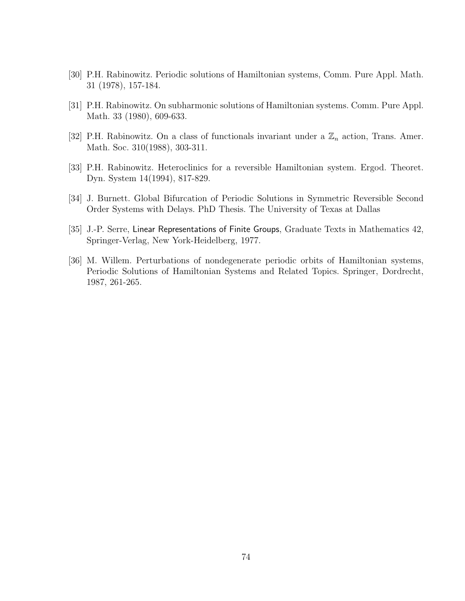- [30] P.H. Rabinowitz. Periodic solutions of Hamiltonian systems, Comm. Pure Appl. Math. 31 (1978), 157-184.
- [31] P.H. Rabinowitz. On subharmonic solutions of Hamiltonian systems. Comm. Pure Appl. Math. 33 (1980), 609-633.
- [32] P.H. Rabinowitz. On a class of functionals invariant under a  $\mathbb{Z}_n$  action, Trans. Amer. Math. Soc. 310(1988), 303-311.
- [33] P.H. Rabinowitz. Heteroclinics for a reversible Hamiltonian system. Ergod. Theoret. Dyn. System 14(1994), 817-829.
- [34] J. Burnett. Global Bifurcation of Periodic Solutions in Symmetric Reversible Second Order Systems with Delays. PhD Thesis. The University of Texas at Dallas
- [35] J.-P. Serre, Linear Representations of Finite Groups, Graduate Texts in Mathematics 42, Springer-Verlag, New York-Heidelberg, 1977.
- [36] M. Willem. Perturbations of nondegenerate periodic orbits of Hamiltonian systems, Periodic Solutions of Hamiltonian Systems and Related Topics. Springer, Dordrecht, 1987, 261-265.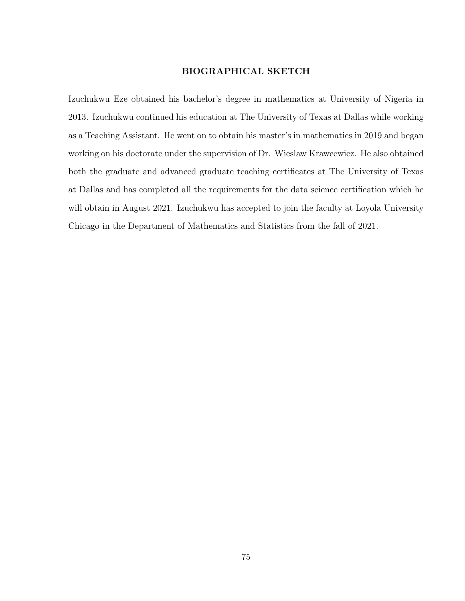### BIOGRAPHICAL SKETCH

Izuchukwu Eze obtained his bachelor's degree in mathematics at University of Nigeria in 2013. Izuchukwu continued his education at The University of Texas at Dallas while working as a Teaching Assistant. He went on to obtain his master's in mathematics in 2019 and began working on his doctorate under the supervision of Dr. Wieslaw Krawcewicz. He also obtained both the graduate and advanced graduate teaching certificates at The University of Texas at Dallas and has completed all the requirements for the data science certification which he will obtain in August 2021. Izuchukwu has accepted to join the faculty at Loyola University Chicago in the Department of Mathematics and Statistics from the fall of 2021.